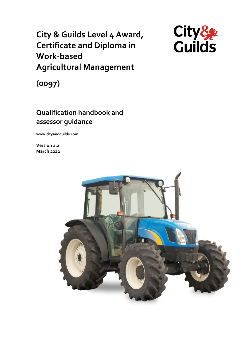# **City & Guilds Level 4 Award, Certificate and Diploma in Work-based Agricultural Management**



**(0097)**

## **Qualification handbook and assessor guidance**

**www.cityandguilds.com**

**Version 2.2 March 2022**

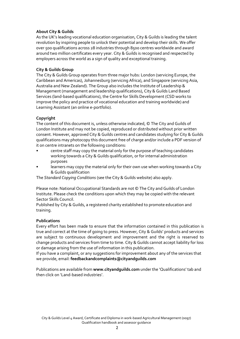#### **About City & Guilds**

As the UK's leading vocational education organisation, City & Guilds is leading the talent revolution by inspiring people to unlock their potential and develop their skills. We offer over 500 qualifications across 28 industries through 8500 centres worldwide and award around two million certificates every year. City & Guilds is recognised and respected by employers across the world as a sign of quality and exceptional training.

#### **City & Guilds Group**

The City & Guilds Group operates from three major hubs: London (servicing Europe, the Caribbean and Americas), Johannesburg (servicing Africa), and Singapore (servicing Asia, Australia and New Zealand). The Group also includes the Institute of Leadership & Management (management and leadership qualifications), City & Guilds Land Based Services (land-based qualifications), the Centre for Skills Development (CSD works to improve the policy and practice of vocational education and training worldwide) and Learning Assistant (an online e-portfolio).

#### **Copyright**

The content of this document is, unless otherwise indicated, © The City and Guilds of London Institute and may not be copied, reproduced or distributed without prior written consent. However, approved City & Guilds centres and candidates studying for City & Guilds qualifications may photocopy this document free of charge and/or include a PDF version of it on centre intranets on the following conditions:

- centre staff may copy the material only for the purpose of teaching candidates working towards a City & Guilds qualification, or for internal administration purposes
- learners may copy the material only for their own use when working towards a City & Guilds qualification

The *Standard Copying Conditions* (see the City & Guilds website) also apply.

Please note: National Occupational Standards are not © The City and Guilds of London Institute. Please check the conditions upon which they may be copied with the relevant Sector Skills Council.

Published by City & Guilds, a registered charity established to promote education and training.

#### **Publications**

Every effort has been made to ensure that the information contained in this publication is true and correct at the time of going to press. However, City & Guilds' products and services are subject to continuous development and improvement and the right is reserved to change products and services from time to time. City & Guilds cannot accept liability for loss or damage arising from the use of information in this publication.

If you have a complaint, or any suggestions for improvement about any of the services that we provide, email: **feedbackandcomplaints@cityandguilds.com**

Publications are available from **www.cityandguilds.com** under the 'Qualifications' tab and then click on 'Land-based industries'.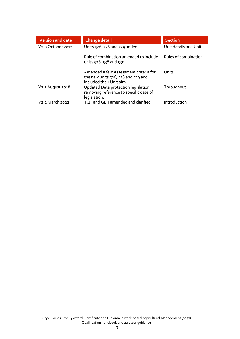| <b>Version and date</b>       | <b>Change detail</b>                                                                                        | <b>Section</b>         |
|-------------------------------|-------------------------------------------------------------------------------------------------------------|------------------------|
| V <sub>2.0</sub> October 2017 | Units 526, 538 and 539 added.                                                                               | Unit details and Units |
|                               | Rule of combination amended to include<br>units 526, 538 and 539.                                           | Rules of combination   |
|                               | Amended a few Assessment criteria for<br>the new units $526, 538$ and $539$ and<br>included their Unit aim. | Units                  |
| V <sub>2.1</sub> August 2018  | Updated Data protection legislation,<br>removing reference to specific date of<br>legislation.              | Throughout             |
| V <sub>2.2</sub> March 2022   | TQT and GLH amended and clarified                                                                           | Introduction           |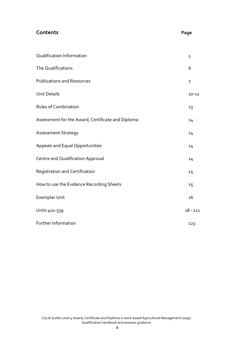### **Contents**

| ۰.<br>v<br>$\sim$<br>. .<br>۰. |
|--------------------------------|
|--------------------------------|

| Qualification Information                         | 5          |
|---------------------------------------------------|------------|
| The Qualifications                                | 6          |
| <b>Publications and Resources</b>                 | 7          |
| <b>Unit Details</b>                               | $10 - 12$  |
| <b>Rules of Combination</b>                       | 13         |
| Assessment for the Award, Certificate and Diploma | 14         |
| <b>Assessment Strategy</b>                        | 14         |
| <b>Appeals and Equal Opportunities</b>            | 14         |
| <b>Centre and Qualification Approval</b>          | 14         |
| <b>Registration and Certification</b>             | 15         |
| How to use the Evidence Recording Sheets          | 15         |
| <b>Exemplar Unit</b>                              | 16         |
| Units 401-539                                     | $18 - 121$ |
| Further Information                               | 123        |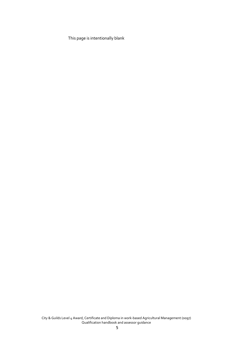This page is intentionally blank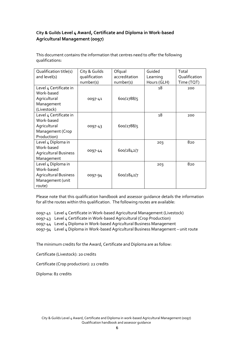### **City & Guilds Level 4 Award, Certificate and Diploma in Work-based Agricultural Management (0097)**

This document contains the information that centres need to offer the following qualifications:

| Qualification title(s)<br>and level(s)                                                         | City & Guilds<br>qualification<br>number(s) | Ofqual<br>accreditation<br>number(s) | Guided<br>Learning<br>Hours (GLH) | Total<br>Qualification<br>Time (TQT) |
|------------------------------------------------------------------------------------------------|---------------------------------------------|--------------------------------------|-----------------------------------|--------------------------------------|
| Level 4 Certificate in<br>Work-based<br>Agricultural<br>Management<br>(Livestock)              | 0097-41                                     | 600/2788/5                           | 18                                | 200                                  |
| Level 4 Certificate in<br>Work-based<br>Agricultural<br>Management (Crop<br>Production)        | 0097-43                                     | 600/2788/5                           | 18                                | 200                                  |
| Level 4 Diploma in<br>Work-based<br><b>Agricultural Business</b><br>Management                 | 0097-44                                     | 600/2842/7                           | 203                               | 820                                  |
| Level 4 Diploma in<br>Work-based<br><b>Agricultural Business</b><br>Management (unit<br>route) | 0097-94                                     | 600/2842/7                           | 203                               | 820                                  |

Please note that this qualification handbook and assessor guidance details the information for all the routes within this qualification. The following routes are available:

0097-41 Level 4 Certificate in Work-based Agricultural Management (Livestock)

0097-43 Level 4 Certificate in Work-based Agricultural (Crop Production)

0097-44 Level 4 Diploma in Work-based Agricultural Business Management

0097-94 Level 4 Diploma in Work-based Agricultural Business Management – unit route

The minimum credits for the Award, Certificate and Diploma are as follow:

Certificate (Livestock): 20 credits

Certificate (Crop production): 22 credits

Diploma: 82 credits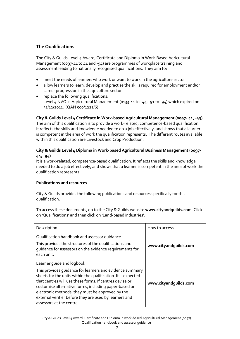#### **The Qualifications**

The City & Guilds Level 4 Award, Certificate and Diploma in Work-Based Agricultural Management (0097-41 to 44 and -94) are programmes of workplace training and assessment leading to nationally recognised qualifications. They aim to:

- meet the needs of learners who work or want to work in the agriculture sector
- allow learners to learn, develop and practise the skills required for employment and/or career progression in the agriculture sector
- replace the following qualifications: Level 4 NVQ in Agricultural Management (0133-41 to -44, -91 to -94) which expired on 31/12/2011. (QAN 500/1221/6)

#### **City & Guilds Level 4 Certificate in Work-based Agricultural Management (0097- 41, -43)**

The aim of this qualification is to provide a work-related, competence-based qualification. It reflects the skills and knowledge needed to do a job effectively, and shows that a learner is competent in the area of work the qualification represents. The different routes available within this qualification are Livestock and Crop Production.

#### **City & Guilds Level 4 Diploma in Work-based Agricultural Business Management (0097- 44, -94)**

It is a work-related, competence-based qualification. It reflects the skills and knowledge needed to do a job effectively, and shows that a learner is competent in the area of work the qualification represents.

#### **Publications and resources**

City & Guilds provides the following publications and resources specifically for this qualification.

To access these documents, go to the City & Guilds website **www.cityandguilds.com**. Click on 'Qualifications' and then click on 'Land-based industries'.

| Description                                                                                                                                                                                                                                                                                                                                                                                                          | How to access         |  |
|----------------------------------------------------------------------------------------------------------------------------------------------------------------------------------------------------------------------------------------------------------------------------------------------------------------------------------------------------------------------------------------------------------------------|-----------------------|--|
| Qualification handbook and assessor quidance<br>This provides the structures of the qualifications and<br>quidance for assessors on the evidence requirements for<br>each unit.                                                                                                                                                                                                                                      | www.cityandquilds.com |  |
| Learner quide and logbook<br>This provides quidance for learners and evidence summary<br>sheets for the units within the qualification. It is expected<br>that centres will use these forms. If centres devise or<br>customise alternative forms, including paper-based or<br>electronic methods, they must be approved by the<br>external verifier before they are used by learners and<br>assessors at the centre. | www.cityandquilds.com |  |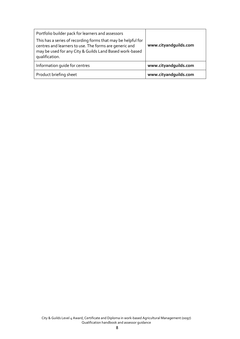| Portfolio builder pack for learners and assessors                                                                                                                                                   |                       |
|-----------------------------------------------------------------------------------------------------------------------------------------------------------------------------------------------------|-----------------------|
| This has a series of recording forms that may be helpful for<br>centres and learners to use. The forms are generic and<br>may be used for any City & Guilds Land Based work-based<br>qualification. | www.cityandquilds.com |
| Information quide for centres                                                                                                                                                                       | www.cityandquilds.com |
| Product briefing sheet                                                                                                                                                                              | www.cityandguilds.com |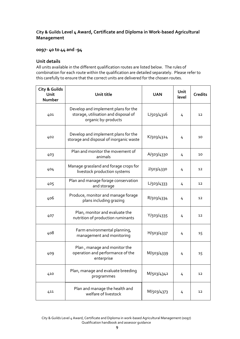#### **City & Guilds Level 4 Award, Certificate and Diploma in Work-based Agricultural Management**

#### **0097- 40 to 44 and -94**

#### **Unit details**

All units available in the different qualification routes are listed below. The rules of combination for each route within the qualification are detailed separately. Please refer to this carefully to ensure that the correct units are delivered for the chosen routes.

| <b>City &amp; Guilds</b><br>Unit<br>Number | Unit title                                                                                         | <b>UAN</b> | <b>Unit</b><br>level | <b>Credits</b> |
|--------------------------------------------|----------------------------------------------------------------------------------------------------|------------|----------------------|----------------|
| 401                                        | Develop and implement plans for the<br>storage, utilisation and disposal of<br>organic by-products | L/503/4316 | 4                    | 12             |
| 402                                        | Develop and implement plans for the<br>storage and disposal of inorganic waste                     | K/503/4324 | 4                    | 10             |
| 403                                        | Plan and monitor the movement of<br>animals                                                        | A/503/4330 | 4                    | 10             |
| 404                                        | Manage grassland and forage crops for<br>livestock production systems                              | J/503/4330 | 4                    | 12             |
| 405                                        | Plan and manage forage conservation<br>and storage                                                 | L/503/4333 | 4                    | 12             |
| 406                                        | Produce, monitor and manage forage<br>plans including grazing                                      | R/503/4334 | 4                    | 12             |
| 407                                        | Plan, monitor and evaluate the<br>nutrition of production ruminants                                | Y/503/4335 | 4                    | 12             |
| 408                                        | Farm environmental planning,<br>management and monitoring                                          | H/503/4337 | 4                    | 15             |
| 409                                        | Plan, manage and monitor the<br>operation and performance of the<br>enterprise                     | M/503/4339 | 4                    | 15             |
| 410                                        | Plan, manage and evaluate breeding<br>programmes                                                   | M/503/4342 | 4                    | 12             |
| 411                                        | Plan and manage the health and<br>welfare of livestock                                             | M/503/4373 | 4                    | 12             |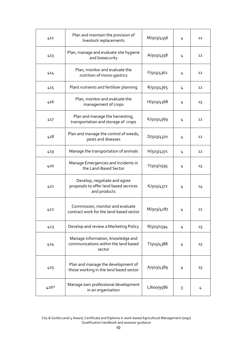| 412    | Plan and maintain the provision of<br>livestock replacements                           | M/503/4356 | 4             | 12 |
|--------|----------------------------------------------------------------------------------------|------------|---------------|----|
| 413    | Plan, manage and evaluate site hygiene<br>and biosecurity                              | A/503/4358 | 4             | 12 |
| 414    | Plan, monitor and evaluate the<br>nutrition of mono-gastrics                           | F/503/4362 | 4             | 12 |
| 415    | Plant nutrients and fertiliser planning                                                | R/503/4365 | 4             | 12 |
| 416    | Plan, monitor and evaluate the<br>management of crops                                  | H/503/4368 | 4             | 15 |
| 417    | Plan and manage the harvesting,<br>transportation and storage of crops                 | K/503/4369 | 4             | 12 |
| 418    | Plan and manage the control of weeds,<br>pests and diseases                            | D/503/4370 | 4             | 12 |
| 419    | Manage the transportation of animals                                                   | H/503/4371 | 4             | 12 |
| 420    | Manage Emergencies and Incidents in<br>the Land-Based Sector                           | Y/503/1595 | 4             | 15 |
| 421    | Develop, negotiate and agree<br>proposals to offer land based services<br>and products | K/503/4372 | 4             | 14 |
| 422    | Commission, monitor and evaluate<br>contract work for the land-based sector            | M/503/4287 | $\frac{1}{4}$ | 12 |
| 423    | Develop and review a Marketing Policy                                                  | R/503/1594 | 4             | 15 |
| 424    | Manage information, knowledge and<br>communications within the land based<br>sector    | T/503/4388 | 4             | 15 |
| 425    | Plan and manage the development of<br>those working in the land based sector           | A/503/4389 | 4             | 15 |
| $426*$ | Manage own professional development<br>in an organisation                              | L/600/9586 | 3             | 4  |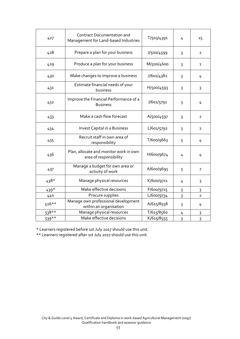| 427    | <b>Contract Documentation and</b><br>Management for Land-based Industries | T/503/4391 | 4              | 15             |
|--------|---------------------------------------------------------------------------|------------|----------------|----------------|
| 428    | Prepare a plan for your business                                          | J/500/4599 | 3              | $\overline{2}$ |
| 429    | Produce a plan for your business                                          | M/500/4600 | 3              | 1              |
| 430    | Make changes to improve a business                                        | J/601/4382 | 3              | 4              |
| 431    | Estimate financial needs of your<br>business                              | H/500/4593 | 3              | 3              |
| 432    | Improve the Financial Performance of a<br><b>Business</b>                 | J/601/5791 | 3              | 4              |
| 433    | Make a cash flow forecast                                                 | A/500/4597 | 3              | $\overline{2}$ |
| 434    | Invest Capital in a Business                                              | L/601/5792 | 3              | $\overline{2}$ |
| 435    | Recruit staff in own area of<br>responsibility                            | T/600/9663 | 5              | 4              |
| 436    | Plan, allocate and monitor work in own<br>area of responsibility          | H/6oo/9674 | 4              | 4              |
| 437    | Manage a budget for own area or<br>activity of work                       | A/600/9695 | 5              | $\overline{7}$ |
| 438*   | Manage physical resources                                                 | K/600/9711 | 4              | 3              |
| $439*$ | Make effective decisions                                                  | F/600/9715 | 3              | 3              |
| 440    | Procure supplies                                                          | L/600/9734 | 3              | $\overline{2}$ |
| 526**  | Manage own professional development<br>within an organisation             | A/615/8558 | 3              | 4              |
| 538**  | Manage physical resources                                                 | T/615/8560 | 4              | 3              |
| 539**  | Make effective decisions                                                  | K/615/8555 | $\overline{3}$ | $\overline{3}$ |

\* Learners registered before 1st July 2017 should use this unit.

\*\* Learners registered after 1st July 2017 should use this unit.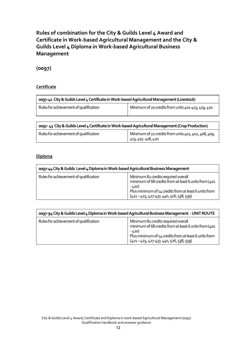### **Rules of combination for the City & Guilds Level 4 Award and Certificate in Work-based Agricultural Management and the City & Guilds Level 4 Diploma in Work-based Agricultural Business Management**

**(0097)** 

#### **Certificate**

| 0097-41 City & Guilds Level 4 Certificate in Work-based Agricultural Management (Livestock) |                                                    |  |
|---------------------------------------------------------------------------------------------|----------------------------------------------------|--|
| Rules for achievement of qualification                                                      | Minimum of 20 credits from units 401-415, 419, 420 |  |
|                                                                                             |                                                    |  |

| 0097-43 City & Guilds Level 4 Certificate in Work-based Agricultural Management (Crop Production) |                                                                            |  |
|---------------------------------------------------------------------------------------------------|----------------------------------------------------------------------------|--|
| Rules for achievement of qualification                                                            | Minimum of 22 credits from units 401, 402, 408, 409,<br>413, 415- 418, 420 |  |

#### **Diploma**

| 0097-44 City & Guilds Level 4 Diploma in Work-based Agricultural Business Management |                                                                                                                                                                                                                 |  |
|--------------------------------------------------------------------------------------|-----------------------------------------------------------------------------------------------------------------------------------------------------------------------------------------------------------------|--|
| Rules for achievement of qualification                                               | Minimum 82 credits required overall<br>minimum of 68 credits from at least 6 units from (401<br>$-420$<br>Plus minimum of 14 credits from at least 6 units from<br>$(421 - 425, 427 - 437, 440, 526, 538, 539)$ |  |

| 0097-94 City & Guilds Level 4 Diploma in Work-based Agricultural Business Management - UNIT ROUTE |                                                                                                                                                                                                                |  |  |
|---------------------------------------------------------------------------------------------------|----------------------------------------------------------------------------------------------------------------------------------------------------------------------------------------------------------------|--|--|
| Rules for achievement of qualification                                                            | Minimum 82 credits required overall<br>minimum of 68 credits from at least 6 units from (401<br>-420)<br>Plus minimum of 14 credits from at least 6 units from<br>$(421 - 425, 427 - 437, 440, 526, 538, 539)$ |  |  |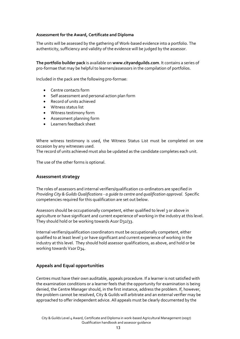#### **Assessment for the Award, Certificate and Diploma**

The units will be assessed by the gathering of Work-based evidence into a portfolio. The authenticity, sufficiency and validity of the evidence will be judged by the assessor.

**The portfolio builder pack** is available on **www.cityandguilds.com**. It contains a series of pro-formae that may be helpful to learners/assessors in the compilation of portfolios.

Included in the pack are the following pro-formae:

- Centre contacts form
- Self assessment and personal action plan form
- Record of units achieved
- Witness status list
- Witness testimony form
- Assessment planning form
- Learners feedback sheet

Where witness testimony is used, the Witness Status List must be completed on one occasion by any witnesses used.

The record of units achieved must also be updated as the candidate completes each unit.

The use of the other forms is optional.

#### **Assessment strategy**

The roles of assessors and internal verifiers/qualification co-ordinators are specified in *Providing City & Guilds Qualifications - a guide to centre and qualification approval*. Specific competencies required for this qualification are set out below.

Assessors should be occupationally competent, either qualified to level 3 or above in agriculture or have significant and current experience of working in the industry at this level. They should hold or be working towards A1or D32/33.

Internal verifiers/qualification coordinators must be occupationally competent, either qualified to at least level 3 or have significant and current experience of working in the industry at this level. They should hold assessor qualifications, as above, and hold or be working towards V1or D34.

#### **Appeals and Equal opportunities**

Centres must have their own auditable, appeals procedure. If a learner is not satisfied with the examination conditions or a learner feels that the opportunity for examination is being denied, the Centre Manager should, in the first instance, address the problem. If, however, the problem cannot be resolved, City & Guilds will arbitrate and an external verifier may be approached to offer independent advice. All appeals must be clearly documented by the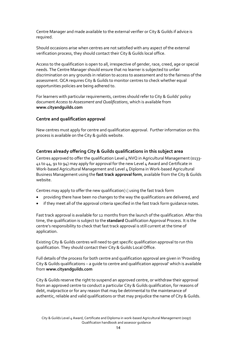Centre Manager and made available to the external verifier or City & Guilds if advice is required.

Should occasions arise when centres are not satisfied with any aspect of the external verification process, they should contact their City & Guilds local office.

Access to the qualification is open to all, irrespective of gender, race, creed, age or special needs. The Centre Manager should ensure that no learner is subjected to unfair discrimination on any grounds in relation to access to assessment and to the fairness of the assessment. QCA requires City & Guilds to monitor centres to check whether equal opportunities policies are being adhered to.

For learners with particular requirements, centres should refer to City & Guilds' policy document *Access to Assessment and Qualifications*, which is available from **www.cityandguilds.com**

#### **Centre and qualification approval**

New centres must apply for centre and qualification approval. Further information on this process is available on the City & guilds website.

#### **Centres already offering City & Guilds qualifications in this subject area**

Centres approved to offer the qualification Level 4 NVQ in Agricultural Management (0133- 41 to 44, 91 to 94) may apply for approval for the new Level 4 Award and Certificate in Work-based Agricultural Management and Level 4 Diploma in Work-based Agricultural Business Management using the **fast track approval form**, available from the City & Guilds website.

Centres may apply to offer the new qualification[s] using the fast track form

- providing there have been no changes to the way the qualifications are delivered, and
- if they meet all of the approval criteria specified in the fast track form guidance notes.

Fast track approval is available for 12 months from the launch of the qualification. After this time, the qualification is subject to the **standard** Qualification Approval Process. It is the centre's responsibility to check that fast track approval is still current at the time of application.

Existing City & Guilds centres will need to get specific qualification approval to run this qualification. They should contact their City & Guilds Local Office.

Full details of the process for both centre and qualification approval are given in 'Providing City & Guilds qualifications – a guide to centre and qualification approval' which is available from **www.cityandguilds.com**

City & Guilds reserve the right to suspend an approved centre, or withdraw their approval from an approved centre to conduct a particular City & Guilds qualification, for reasons of debt, malpractice or for any reason that may be detrimental to the maintenance of authentic, reliable and valid qualifications or that may prejudice the name of City & Guilds.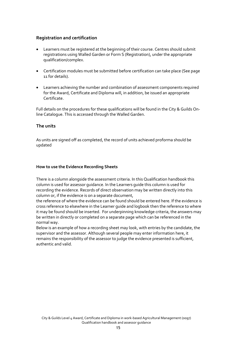#### **Registration and certification**

- Learners must be registered at the beginning of their course. Centres should submit registrations using Walled Garden or Form S (Registration), under the appropriate qualification/complex.
- Certification modules must be submitted before certification can take place (See page 11 for details).
- Learners achieving the number and combination of assessment components required for the Award, Certificate and Diploma will, in addition, be issued an appropriate Certificate.

Full details on the procedures for these qualifications will be found in the City & Guilds Online Catalogue. This is accessed through the Walled Garden.

#### **The units**

As units are signed off as completed, the record of units achieved proforma should be updated

#### **How to use the Evidence Recording Sheets**

There is a column alongside the assessment criteria. In this Qualification handbook this column is used for assessor guidance. In the Learners guide this column is used for recording the evidence. Records of direct observation may be written directly into this column or, if the evidence is on a separate document,

the reference of where the evidence can be found should be entered here. If the evidence is cross reference to elsewhere in the Learner guide and logbook then the reference to where it may be found should be inserted. For underpinning knowledge criteria, the answers may be written in directly or completed on a separate page which can be referenced in the normal way.

Below is an example of how a recording sheet may look, with entries by the candidate, the supervisor and the assessor. Although several people may enter information here, it remains the responsibility of the assessor to judge the evidence presented is sufficient, authentic and valid.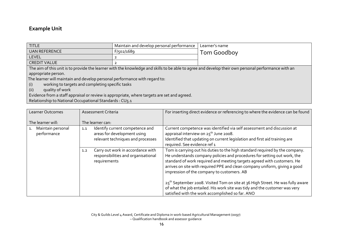### **Example Unit**

| <b>TITLE</b>                                                                                                                                        | Maintain and develop personal performance | Learner's name |  |  |
|-----------------------------------------------------------------------------------------------------------------------------------------------------|-------------------------------------------|----------------|--|--|
| <b>UAN REFERENCE</b>                                                                                                                                | F/502/1689                                | Tom Goodboy    |  |  |
| <b>LEVEL</b>                                                                                                                                        |                                           |                |  |  |
| <b>CREDIT VALUE</b>                                                                                                                                 |                                           |                |  |  |
| The aim of this unit is to provide the learner with the knowledge and skills to be able to agree and develop their own personal performance with an |                                           |                |  |  |
| appropriate person.                                                                                                                                 |                                           |                |  |  |
| The learner will maintain and develop personal performance with regard to:                                                                          |                                           |                |  |  |
| working to targets and completing specific tasks<br>(i)                                                                                             |                                           |                |  |  |

(ii) quality of work

Evidence from a staff appraisal or review is appropriate, where targets are set and agreed.

Relationship to National Occupational Standards : CU5.1

| Assessment Criteria<br><b>Learner Outcomes</b>     |                                                                                                            | For inserting direct evidence or referencing to where the evidence can be found                                                                                                                                                                                                                                                                                                                                                                                                                                                                                                                 |
|----------------------------------------------------|------------------------------------------------------------------------------------------------------------|-------------------------------------------------------------------------------------------------------------------------------------------------------------------------------------------------------------------------------------------------------------------------------------------------------------------------------------------------------------------------------------------------------------------------------------------------------------------------------------------------------------------------------------------------------------------------------------------------|
| The learner will:                                  | The learner can:                                                                                           |                                                                                                                                                                                                                                                                                                                                                                                                                                                                                                                                                                                                 |
| Maintain personal<br>$\mathbf{1}$ .<br>performance | Identify current competence and<br>1.1<br>areas for development using<br>relevant techniques and processes | Current competence was identified via self assessment and discussion at<br>appraisal interview on $25^{th}$ June 2008.<br>Identified that updating on current legislation and first aid training are<br>required. See evidence ref 1                                                                                                                                                                                                                                                                                                                                                            |
|                                                    | Carry out work in accordance with<br>1.2<br>responsibilities and organisational<br>requirements            | Tom is carrying out his duties to the high standard required by the company.<br>He understands company policies and procedures for setting out work, the<br>standard of work required and meeting targets agreed with customers. He<br>arrives on site with required PPE and clean company uniform, giving a good<br>impression of the company to customers. AB<br>25 <sup>th</sup> September 2008. Visited Tom on site at 36 High Street. He was fully aware<br>of what the job entailed. His work site was tidy and the customer was very<br>satisfied with the work accomplished so far. ANO |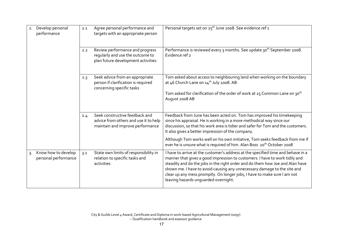| 2. | Develop personal<br>performance             | 2.1 | Agree personal performance and<br>targets with an appropriate person                                        | Personal targets set on 25 <sup>th</sup> June 2008. See evidence ref 1                                                                                                                                                                                                                                                                                                                                                                           |
|----|---------------------------------------------|-----|-------------------------------------------------------------------------------------------------------------|--------------------------------------------------------------------------------------------------------------------------------------------------------------------------------------------------------------------------------------------------------------------------------------------------------------------------------------------------------------------------------------------------------------------------------------------------|
|    |                                             | 2.2 | Review performance and progress<br>regularly and use the outcome to<br>plan future development activities   | Performance is reviewed every 3 months. See update 30 <sup>th</sup> September 2008.<br>Evidence ref 2                                                                                                                                                                                                                                                                                                                                            |
|    |                                             | 2.3 | Seek advice from an appropriate<br>person if clarification is required<br>concerning specific tasks         | Tom asked about access to neighbouring land when working on the boundary<br>at 46 Church Lane on 14th July 2008. AB                                                                                                                                                                                                                                                                                                                              |
|    |                                             |     |                                                                                                             | Tom asked for clarification of the order of work at 25 Common Lane on 30 <sup>th</sup><br>August 2008 AB                                                                                                                                                                                                                                                                                                                                         |
|    |                                             | 2.4 | Seek constructive feedback and<br>advice from others and use it to help<br>maintain and improve performance | Feedback from June has been acted on. Tom has improved his timekeeping<br>since his appraisal. He is working in a more methodical way since our<br>discussion, so that his work area is tidier and safer for Tom and the customers.<br>It also gives a better impression of the company.                                                                                                                                                         |
|    |                                             |     |                                                                                                             | Although Tom works well on his own initiative, Tom seeks feedback from me if<br>ever he is unsure what is required of him. Alan Boss 20 <sup>th</sup> October 2008                                                                                                                                                                                                                                                                               |
| 3. | Know how to develop<br>personal performance | 3.1 | State own limits of responsibility in<br>relation to specific tasks and<br>activities                       | I have to arrive at the customer's address at the specified time and behave in a<br>manner that gives a good impression to customers. I have to work tidily and<br>steadily and do the jobs in the right order and do them how Joe and Alan have<br>shown me. I have to avoid causing any unnecessary damage to the site and<br>clear up any mess promptly. On longer jobs, I have to make sure I am not<br>leaving hazards unguarded overnight. |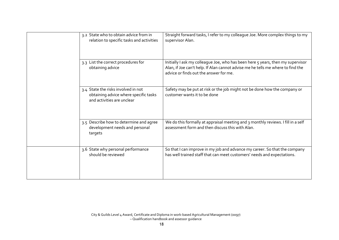|  | 3.2 State who to obtain advice from in<br>relation to specific tasks and activities                        | Straight forward tasks, I refer to my colleague Joe. More complex things to my<br>supervisor Alan.                                                                                                           |
|--|------------------------------------------------------------------------------------------------------------|--------------------------------------------------------------------------------------------------------------------------------------------------------------------------------------------------------------|
|  | 3.3 List the correct procedures for<br>obtaining advice                                                    | Initially I ask my colleague Joe, who has been here 5 years, then my supervisor<br>Alan, if Joe can't help. If Alan cannot advise me he tells me where to find the<br>advice or finds out the answer for me. |
|  | 3.4 State the risks involved in not<br>obtaining advice where specific tasks<br>and activities are unclear | Safety may be put at risk or the job might not be done how the company or<br>customer wants it to be done                                                                                                    |
|  | 3.5 Describe how to determine and agree<br>development needs and personal<br>targets                       | We do this formally at appraisal meeting and 3 monthly reviews. I fill in a self<br>assessment form and then discuss this with Alan.                                                                         |
|  | 3.6 State why personal performance<br>should be reviewed                                                   | So that I can improve in my job and advance my career. So that the company<br>has well trained staff that can meet customers' needs and expectations.                                                        |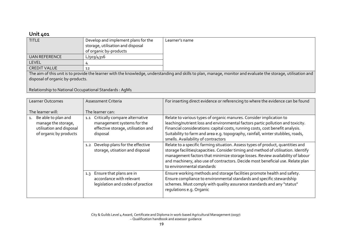| <b>TITLE</b>                                                                                           | Develop and implement plans for the<br>storage, utilisation and disposal<br>of organic by-products                    | Learner's name                                                                                                                                                                                                                                                                                                                                                           |
|--------------------------------------------------------------------------------------------------------|-----------------------------------------------------------------------------------------------------------------------|--------------------------------------------------------------------------------------------------------------------------------------------------------------------------------------------------------------------------------------------------------------------------------------------------------------------------------------------------------------------------|
| <b>UAN REFERENCE</b>                                                                                   | L/503/4316                                                                                                            |                                                                                                                                                                                                                                                                                                                                                                          |
| <b>LEVEL</b>                                                                                           | 4                                                                                                                     |                                                                                                                                                                                                                                                                                                                                                                          |
| <b>CREDIT VALUE</b>                                                                                    | 12                                                                                                                    |                                                                                                                                                                                                                                                                                                                                                                          |
|                                                                                                        |                                                                                                                       | The aim of this unit is to provide the learner with the knowledge, understanding and skills to plan, manage, monitor and evaluate the storage, utilisation and                                                                                                                                                                                                           |
| disposal of organic by-products.                                                                       |                                                                                                                       |                                                                                                                                                                                                                                                                                                                                                                          |
| Relationship to National Occupational Standards : AgM1                                                 |                                                                                                                       |                                                                                                                                                                                                                                                                                                                                                                          |
|                                                                                                        |                                                                                                                       |                                                                                                                                                                                                                                                                                                                                                                          |
| <b>Learner Outcomes</b>                                                                                | <b>Assessment Criteria</b>                                                                                            | For inserting direct evidence or referencing to where the evidence can be found                                                                                                                                                                                                                                                                                          |
| The learner will:                                                                                      | The learner can:                                                                                                      |                                                                                                                                                                                                                                                                                                                                                                          |
| Be able to plan and<br>1.<br>manage the storage,<br>utilisation and disposal<br>of organic by products | Critically compare alternative<br>1.1<br>management systems for the<br>effective storage, utilisation and<br>disposal | Relate to various types of organic manures. Consider implication to<br>leaching/nutrient loss and environmental factors partic pollution and toxicity.<br>Financial considerations: capital costs, running costs, cost benefit analysis.<br>Suitability to farm and area e.g. topography, rainfall, winter stubbles, roads,<br>smells. Availability of contractors       |
|                                                                                                        | Develop plans for the effective<br>1.2<br>storage, utisation and disposal                                             | Relate to a specific farming situation. Assess types of product, quantities and<br>storage facilities/capacities. Consider timing and method of utilisation. Identify<br>management factors that minimize storage losses. Review availability of labour<br>and machinery, also use of contractors. Decide most beneficial use. Relate plan<br>to environmental standards |
|                                                                                                        | Ensure that plans are in<br>1.3<br>accordance with relevant<br>legislation and codes of practice                      | Ensure working methods and storage facilities promote health and safety.<br>Ensure compliance to environmental standards and specific stewardship<br>schemes. Must comply with quality assurance standards and any "status"<br>regulations e.g. Organic                                                                                                                  |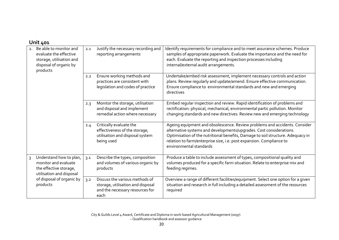|    | Unit 401                                                                                                                                       |     |                                                                                                                |                                                                                                                                                                                                                                                                                                                                         |
|----|------------------------------------------------------------------------------------------------------------------------------------------------|-----|----------------------------------------------------------------------------------------------------------------|-----------------------------------------------------------------------------------------------------------------------------------------------------------------------------------------------------------------------------------------------------------------------------------------------------------------------------------------|
| 2. | Be able to monitor and<br>evaluate the effective<br>storage, utilisation and<br>disposal of organic by<br>products                             | 2.1 | Justify the necessary recording and<br>reporting arrangements                                                  | Identify requirements for compliance and to meet assurance schemes. Produce<br>samples of appropriate paperwork. Evaluate the importance and the need for<br>each. Evaluate the reporting and inspection processes including<br>internal/external audit arrangements.                                                                   |
|    |                                                                                                                                                | 2.2 | Ensure working methods and<br>practices are consistent with<br>legislation and codes of practice               | Undertake/embed risk assessment, implement necessary controls and action<br>plans. Review regularly and update/amend. Ensure effective communication.<br>Ensure compliance to environmental standards and new and emerging<br>directives                                                                                                |
|    |                                                                                                                                                | 2.3 | Monitor the storage, utilisation<br>and disposal and implement<br>remedial action where necessary              | Embed regular inspection and review. Rapid identification of problems and<br>rectification: physical, mechanical, environmental partic pollution. Monitor<br>changing standards and new directives. Review new and emerging technology                                                                                                  |
|    |                                                                                                                                                | 2.4 | Critically evaluate the<br>effectiveness of the storage,<br>utilisation and disposal system<br>being used      | Ageing equipment and obsolescence. Review problems and accidents. Consider<br>alternative systems and developments/upgrades. Cost considerations.<br>Optimisation of the nutritional benefits, Damage to soil structure. Adequacy in<br>relation to farm/enterprise size, i.e. post expansion. Compliance to<br>environmental standards |
| 3  | Understand how to plan,<br>monitor and evaluate<br>the effective storage,<br>utilisation and disposal<br>of disposal of organic by<br>products | 3.1 | Describe the types, composition<br>and volumes of various organic by<br>products                               | Produce a table to include assessment of types, compositional quality and<br>volumes produced for a specific farm situation. Relate to enterprise mix and<br>feeding regimes.                                                                                                                                                           |
|    |                                                                                                                                                | 3.2 | Discuss the various methods of<br>storage, utilisation and disposal<br>and the necessary resources for<br>each | Overview a range of different facilities/equipment. Select one option for a given<br>situation and research in full including a detailed assessment of the resources<br>required                                                                                                                                                        |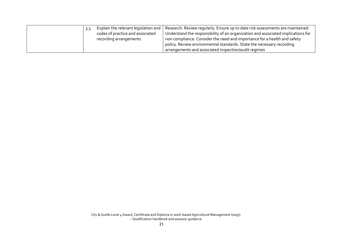| Explain the relevant legislation and<br>3.3<br>codes of practice and associated<br>recording arrangements | Research. Review regularly. Ensure up to date risk assessments are maintained.<br>Understand the responsibility of an organization and associated implications for<br>non compliance. Consider the need and importance for a health and safety<br>policy. Review environmental standards. State the necessary recording<br>arrangements and associated inspection/audit regimes |
|-----------------------------------------------------------------------------------------------------------|---------------------------------------------------------------------------------------------------------------------------------------------------------------------------------------------------------------------------------------------------------------------------------------------------------------------------------------------------------------------------------|
|-----------------------------------------------------------------------------------------------------------|---------------------------------------------------------------------------------------------------------------------------------------------------------------------------------------------------------------------------------------------------------------------------------------------------------------------------------------------------------------------------------|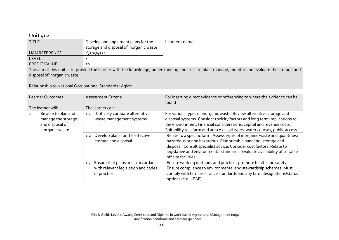| <b>TITLE</b>                                                                                                                                      | Develop and implement plans for the     | Learner's name |  |  |
|---------------------------------------------------------------------------------------------------------------------------------------------------|-----------------------------------------|----------------|--|--|
|                                                                                                                                                   | storage and disposal of inorganic waste |                |  |  |
| <b>UAN REFERENCE</b>                                                                                                                              | K/503/4324                              |                |  |  |
| <b>LEVEL</b>                                                                                                                                      |                                         |                |  |  |
| <b>CREDIT VALUE</b>                                                                                                                               | 10                                      |                |  |  |
| The aim of this unit is to provide the learner with the knowledge, understanding and skills to plan, manage, monitor and evaluate the storage and |                                         |                |  |  |
| disposal of inorganic waste.                                                                                                                      |                                         |                |  |  |
|                                                                                                                                                   |                                         |                |  |  |

#### Relationship to National Occupational Standards : AgM2

| <b>Learner Outcomes</b>                                      | Assessment Criteria                                                                              | For inserting direct evidence or referencing to where the evidence can be<br>found                                                                                                                                                                                                                                           |
|--------------------------------------------------------------|--------------------------------------------------------------------------------------------------|------------------------------------------------------------------------------------------------------------------------------------------------------------------------------------------------------------------------------------------------------------------------------------------------------------------------------|
| The learner will:                                            | The learner can:                                                                                 |                                                                                                                                                                                                                                                                                                                              |
| Be able to plan and<br>manage the storage<br>and disposal of | Critically compare alternative<br>1.1<br>waste management systems                                | For various types of inorganic waste. Review alternative storage and<br>disposal systems. Consider toxicity factors and long term implications to<br>the environment. Financial considerations: capital and revenue costs.                                                                                                   |
| inorganic waste                                              |                                                                                                  | Suitability to a farm and area e.g. soil types, water courses, public access.                                                                                                                                                                                                                                                |
|                                                              | Develop plans for the effective<br>1.2<br>storage and disposal                                   | Relate to a specific farm. Assess types of inorganic waste and quantities:<br>hazardous or non hazardous. Plan suitable handling, storage and<br>disposal. Consult specialist advice. Consider cost factors . Relate to<br>legislative and environmental standards. Evaluate availability of suitable<br>off site facilities |
|                                                              | Ensure that plans are in accordance<br>1.3<br>with relevant legislation and codes<br>of practice | Ensure working methods and practices promote health and safety.<br>Ensure compliance to environmental and stewardship schemes. Must<br>comply with farm assurance standards and any farm designations/status<br>options (e.g. LEAF)                                                                                          |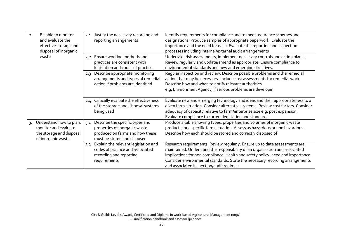| 2. | Be able to monitor       |     | 2.1 Justify the necessary recording and   | Identify requirements for compliance and to meet assurance schemes and            |
|----|--------------------------|-----|-------------------------------------------|-----------------------------------------------------------------------------------|
|    | and evaluate the         |     | reporting arrangements                    | designations. Produce samples of appropriate paperwork. Evaluate the              |
|    | effective storage and    |     |                                           | importance and the need for each. Evaluate the reporting and inspection           |
|    | disposal of inorganic    |     |                                           | processes including internal/external audit arrangements                          |
|    | waste                    |     | 2.2 Ensure working methods and            | Undertake risk assessments, implement necessary controls and action plans.        |
|    |                          |     | practices are consistent with             | Review regularly and update/amend as appropriate. Ensure compliance to            |
|    |                          |     | legislation and codes of practice         | environmental standards and new and emerging directives.                          |
|    |                          | 2.3 | Describe appropriate monitoring           | Regular inspection and review. Describe possible problems and the remedial        |
|    |                          |     | arrangements and types of remedial        | action that may be necessary. Include cost assessments for remedial work.         |
|    |                          |     | action if problems are identified         | Describe how and when to notify relevant authorities                              |
|    |                          |     |                                           | e.g. Environment Agency, if serious problems are developin                        |
|    |                          |     |                                           |                                                                                   |
|    |                          |     | 2.4 Critically evaluate the effectiveness | Evaluate new and emerging technology and ideas and their appropriateness to a     |
|    |                          |     | of the storage and disposal systems       | given farm situation. Consider alternative systems. Review cost factors. Consider |
|    |                          |     | being used                                | adequacy of capacity relative to farm/enterprise size e.g. post expansion.        |
|    |                          |     |                                           | Evaluate compliance to current legislation and standards                          |
| 3. | Understand how to plan,  | 3.1 | Describe the specific types and           | Produce a table showing types, properties and volumes of inorganic waste          |
|    | monitor and evaluate     |     | properties of inorganic waste             | products for a specific farm situation. Assess as hazardous or non hazardous.     |
|    | the storage and disposal |     | produced on farms and how these           | Describe how each should be stored and correctly disposed of                      |
|    | of inorganic waste       |     | must be stored and disposed               |                                                                                   |
|    |                          |     | 3.2 Explain the relevant legislation and  | Research requirements. Review regularly. Ensure up to date assessments are        |
|    |                          |     | codes of practice and associated          | maintained. Understand the responsibility of an organisation and associated       |
|    |                          |     | recording and reporting                   | implications for non compliance. Health and safety policy: need and importance.   |
|    |                          |     | requirements                              | Consider environmental standards. State the necessary recording arrangements      |
|    |                          |     |                                           | and associated inspection/audit regimes                                           |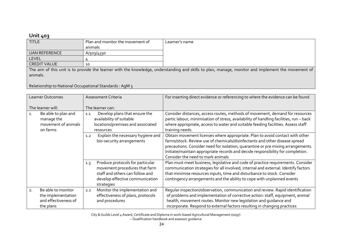| <b>TITLE</b>                                                                                                                                       | Plan and monitor the movement of | Learner's name |
|----------------------------------------------------------------------------------------------------------------------------------------------------|----------------------------------|----------------|
|                                                                                                                                                    | animals                          |                |
| UAN REFERENCE                                                                                                                                      | A/503/4330                       |                |
| <b>LEVEL</b>                                                                                                                                       |                                  |                |
| <b>CREDIT VALUE</b>                                                                                                                                | 10                               |                |
| The aim of this unit is to provide the learner with the knowledge, understanding and skills to plan, manage, monitor and implement the movement of |                                  |                |
| animals.                                                                                                                                           |                                  |                |

#### Relationship to National Occupational Standards : AgM 3

| <b>Learner Outcomes</b> |                                                                               | Assessment Criteria                                                                                                                                          | For inserting direct evidence or referencing to where the evidence can be found                                                                                                                                                                                                                                                                                         |
|-------------------------|-------------------------------------------------------------------------------|--------------------------------------------------------------------------------------------------------------------------------------------------------------|-------------------------------------------------------------------------------------------------------------------------------------------------------------------------------------------------------------------------------------------------------------------------------------------------------------------------------------------------------------------------|
| The learner will:       |                                                                               | The learner can:                                                                                                                                             |                                                                                                                                                                                                                                                                                                                                                                         |
| $\mathbf{1}$ .          | Be able to plan and<br>manage the<br>movement of animals<br>on farms          | Develop plans that ensure the<br>1.1<br>availability of suitable<br>locations/premises and associated<br>resources                                           | Consider distances, access routes, methods of movement, demand for resources<br>partic labour, minimisation of stress, availability of handling facilities, run - back<br>where appropriate, access to water and suitable feeding facilities. Assess staff<br>training needs.                                                                                           |
|                         |                                                                               | Explain the necessary hygiene and<br>1.2<br>bio-security arrangements                                                                                        | Obtain movement licenses where appropriate. Plan to avoid contact with other<br>farms/stock. Review use of chemicals/disinfectants and other disease spread<br>precautions. Consider need for isolation, quarantine or pre mixing arrangements.<br>Initiate/maintain appropriate records and decide responsibility for completion.<br>Consider the need to mark animals |
|                         |                                                                               | Produce protocols for particular<br>1.3<br>movement procedures that farm<br>staff and others can follow and<br>develop effective communication<br>strategies | Plan must meet business, legislative and code of practice requirements. Consider<br>communication strategies for all involved, internal and external. Identify factors<br>that minimise resources inputs, time and disturbance to stock. Consider<br>contingency arrangements and the ability to cope with unplanned events                                             |
| 2.                      | Be able to monitor<br>the implementation<br>and effectiveness of<br>the plans | Monitor the implementation and<br>2.1<br>effectiveness of plans, protocols<br>and procedures                                                                 | Regular inspection/observation, communication and review. Rapid identification<br>of problems and implementation of corrective action: staff, equipment, animal<br>health, movement routes. Monitor new legislation and guidance and<br>incorporate. Respond to external factors resulting in changing practices                                                        |

City & Guilds Level 4 Award, Certificate and Diploma in work-based Agricultural Management (0097) – Qualification handbook and assessor guidance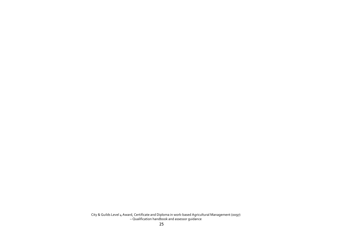City & Guilds Level 4 Award, Certificate and Diploma in work-based Agricultural Management (0097) – Qualification handbook and assessor guidance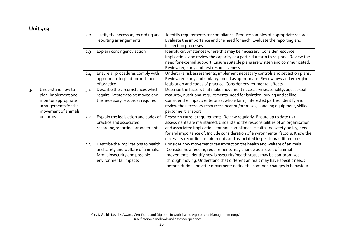|    |                      | 2.2 | Justify the necessary recording and  | Identify requirements for compliance. Produce samples of appropriate records.    |
|----|----------------------|-----|--------------------------------------|----------------------------------------------------------------------------------|
|    |                      |     | reporting arrangements               | Evaluate the importance and the need for each. Evaluate the reporting and        |
|    |                      |     |                                      | inspection processes                                                             |
|    |                      | 2.3 | Explain contingency action           | Identify circumstances where this may be necessary. Consider resource            |
|    |                      |     |                                      | implications and review the capacity of a particular farm to respond. Review the |
|    |                      |     |                                      | need for external support. Ensure suitable plans are written and communicated.   |
|    |                      |     |                                      | Review regularly and test responsiveness                                         |
|    |                      | 2.4 | Ensure all procedures comply with    | Undertake risk assessments, implement necessary controls and set action plans.   |
|    |                      |     | appropriate legislation and codes    | Review regularly and update/amend as appropriate. Review new and emerging        |
|    |                      |     | of practice                          | legislation and codes of practice. Consider environmental effects.               |
| 3. | Understand how to    | 3.1 | Describe the circumstances which     | Describe the factors that make movement necessary: seasonality, age, sexual      |
|    | plan, implement and  |     | require livestock to be moved and    | maturity, nutritional requirements, need for isolation, buying and selling.      |
|    | monitor appropriate  |     | the necessary resources required     | Consider the impact: enterprise, whole farm, interested parties. Identify and    |
|    | arrangements for the |     |                                      | review the necessary resources: location/premises, handling equipment, skilled   |
|    | movement of animals  |     |                                      | personnel transport                                                              |
|    | on farms             | 3.2 | Explain the legislation and codes of | Research current requirements. Review regularly. Ensure up to date risk          |
|    |                      |     | practice and associated              | assessments are maintained. Understand the responsibilities of an organisation   |
|    |                      |     | recording/reporting arrangements     | and associated implications for non compliance. Health and safety policy; need   |
|    |                      |     |                                      | for and importance of. Include consideration of environmental factors. Know the  |
|    |                      |     |                                      | necessary recording requirements and associated inspection/audit regimes.        |
|    |                      | 3.3 | Describe the implications to health  | Consider how movements can impact on the health and welfare of animals.          |
|    |                      |     | and safety and welfare of animals,   | Consider how feeding requirements may change as a result of animal               |
|    |                      |     | farm biosecurity and possible        | movements. Identify how biosecurity/health status may be compromised             |
|    |                      |     | environmental impacts                | through moving. Understand that different animals may have specific needs        |
|    |                      |     |                                      | before, during and after movement: define the common changes in behaviour        |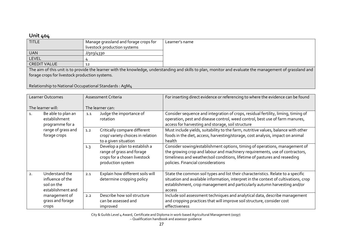| <b>TITLE</b>                                   | Manage grassland and forage crops for                                                                                                                     | Learner's name |  |  |  |
|------------------------------------------------|-----------------------------------------------------------------------------------------------------------------------------------------------------------|----------------|--|--|--|
|                                                | livestock production systems                                                                                                                              |                |  |  |  |
| <b>UAN</b>                                     | J/503/4330                                                                                                                                                |                |  |  |  |
| <b>LEVEL</b>                                   |                                                                                                                                                           |                |  |  |  |
| <b>CREDIT VALUE</b>                            |                                                                                                                                                           |                |  |  |  |
|                                                | The aim of this unit is to provide the learner with the knowledge, understanding and skills to plan, monitor and evaluate the management of grassland and |                |  |  |  |
| forage crops for livestock production systems. |                                                                                                                                                           |                |  |  |  |
|                                                |                                                                                                                                                           |                |  |  |  |

#### Relationship to National Occupational Standards : AgM4

| <b>Learner Outcomes</b> |                                                                                              |                  | Assessment Criteria                                                                                             | For inserting direct evidence or referencing to where the evidence can be found                                                                                                                                                                                               |
|-------------------------|----------------------------------------------------------------------------------------------|------------------|-----------------------------------------------------------------------------------------------------------------|-------------------------------------------------------------------------------------------------------------------------------------------------------------------------------------------------------------------------------------------------------------------------------|
|                         | The learner will:                                                                            | The learner can: |                                                                                                                 |                                                                                                                                                                                                                                                                               |
|                         | Be able to plan an<br>establishment<br>programme for a<br>range of grass and<br>forage crops | 1.1              | Judge the importance of<br>rotation                                                                             | Consider sequence and integration of crops, residual fertility, liming, timing of<br>operation, pest and disease control, weed control, best use of farm manures,<br>access for harvesting and storage, soil structure                                                        |
|                         |                                                                                              | 1.2              | Critically compare different<br>crop/variety choices in relation<br>to a given situation                        | Must include yields, suitability to the farm, nutritive values, balance with other<br>foods in the diet, access, harvesting/storage, cost analysis, impact on animal<br>health                                                                                                |
|                         |                                                                                              | 1.3              | Develop a plan to establish a<br>range of grass and forage<br>crops for a chosen livestock<br>production system | Consider sowing/establishment options, timing of operations, management of<br>the growing crop and labour and machinery requirements, use of contractors,<br>timeliness and weather/soil conditions, lifetime of pastures and reseeding<br>policies. Financial considerations |
| 2.                      | Understand the<br>influence of the<br>soil on the<br>establishment and                       | 2.1              | Explain how different soils will<br>determine cropping policy                                                   | State the common soil types and list their characteristics. Relate to a specific<br>situation and available information, interpret in the context of cultivations, crop<br>establishment, crop management and particularly autumn harvesting and/or<br>access                 |
|                         | management of<br>grass and forage<br>crops                                                   | 2.2              | Describe how soil structure<br>can be assessed and<br>improved                                                  | Include soil assessment techniques and analytical data, describe management<br>and cropping practices that will improve soil structure, consider cost<br>effectiveness                                                                                                        |

City & Guilds Level 4 Award, Certificate and Diploma in work-based Agricultural Management (0097)

– Qualification handbook and assessor guidance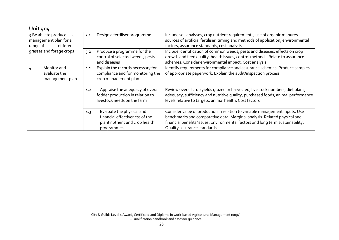| Unit 404                                                                     |     |                                                                                                             |                                                                                                                                                                                                                                                                          |
|------------------------------------------------------------------------------|-----|-------------------------------------------------------------------------------------------------------------|--------------------------------------------------------------------------------------------------------------------------------------------------------------------------------------------------------------------------------------------------------------------------|
| 3. Be able to produce<br>a<br>management plan for a<br>different<br>range of | 3.1 | Design a fertiliser programme                                                                               | Include soil analyses, crop nutrient requirements, use of organic manures,<br>sources of artificial fertiliser, timing and methods of application, environmental<br>factors, assurance standards, cost analysis                                                          |
| grasses and forage crops                                                     | 3.2 | Produce a programme for the<br>control of selected weeds, pests<br>and diseases                             | Include identification of common weeds, pests and diseases, effects on crop<br>growth and feed quality, health issues, control methods. Relate to assurance<br>schemes. Consider environmental impact. Cost analysis                                                     |
| Monitor and<br>4.<br>evaluate the<br>management plan                         | 4.1 | Explain the records necessary for<br>compliance and for monitoring the<br>crop management plan              | Identify requirements for compliance and assurance schemes. Produce samples<br>of appropriate paperwork. Explain the audit/inspection process                                                                                                                            |
|                                                                              | 4.2 | Appraise the adequacy of overall<br>fodder production in relation to<br>livestock needs on the farm         | Review overall crop yields grazed or harvested, livestock numbers, diet plans,<br>adequacy, sufficiency and nutritive quality, purchased foods, animal performance<br>levels relative to targets, animal health. Cost factors                                            |
|                                                                              | 4.3 | Evaluate the physical and<br>financial effectiveness of the<br>plant nutrient and crop health<br>programmes | Consider value of production in relation to variable management inputs. Use<br>benchmarks and comparative data. Marginal analysis. Related physical and<br>financial benefits/issues. Environmental factors and long term sustainability.<br>Quality assurance standards |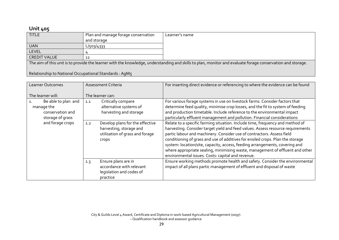| --                  |                                                                                                                |                |  |  |  |  |
|---------------------|----------------------------------------------------------------------------------------------------------------|----------------|--|--|--|--|
| <b>TITLE</b>        | Plan and manage forage conservation                                                                            | Learner's name |  |  |  |  |
|                     | and storage                                                                                                    |                |  |  |  |  |
| <b>UAN</b>          | -/503/4333                                                                                                     |                |  |  |  |  |
| <b>LEVEL</b>        |                                                                                                                |                |  |  |  |  |
| <b>CREDIT VALUE</b> | 12                                                                                                             |                |  |  |  |  |
|                     | 로마 - Catholica - Chathair - Catholic - Hotel - Hotel - Hotel - Hotel - Hotel - Hotel - Control - Hotel - Hotel |                |  |  |  |  |

The aim of this unit is to provide the learner with the knowledge, understanding and skills to plan, monitor and evaluate forage conservation and storage.

Relationship to National Occupational Standards : AgM5

| <b>Learner Outcomes</b>                                                                       | <b>Assessment Criteria</b>                                                                                              | For inserting direct evidence or referencing to where the evidence can be found                                                                                                                                                                                                                                                                                                                                                                                  |
|-----------------------------------------------------------------------------------------------|-------------------------------------------------------------------------------------------------------------------------|------------------------------------------------------------------------------------------------------------------------------------------------------------------------------------------------------------------------------------------------------------------------------------------------------------------------------------------------------------------------------------------------------------------------------------------------------------------|
| The learner will:                                                                             | The learner can:                                                                                                        |                                                                                                                                                                                                                                                                                                                                                                                                                                                                  |
| Be able to plan and<br>manage the<br>conservation and<br>storage of grass<br>and forage crops | Critically compare<br>1.1<br>alternative systems of<br>harvesting and storage<br>Develop plans for the effective<br>1.2 | For various forage systems in use on livestock farms. Consider factors that<br>determine feed quality, minimise crop losses, and the fit to system of feeding<br>and production timetable. Include reference to the environmental impact<br>particularly effluent management and pollution. Financial considerations<br>Relate to a specific farming situation. Include time, frequency and method of                                                            |
|                                                                                               | harvesting, storage and<br>utilisation of grass and forage<br>crops                                                     | harvesting. Consider target yield and feed values. Assess resource requirements<br>partic labour and machinery. Consider use of contractors. Assess field<br>conditioning of grass and use of additives for ensiled crops. Plan the storage<br>system: location/site, capacity, access, feeding arrangements, covering and<br>where appropriate sealing, minimising waste, management of effluent and other<br>environmental issues. Costs: capital and revenue. |
|                                                                                               | Ensure plans are in<br>1.3<br>accordance with relevant<br>legislation and codes of<br>practice                          | Ensure working methods promote health and safety. Consider the environmental<br>impact of all plans partic management of effluent and disposal of waste                                                                                                                                                                                                                                                                                                          |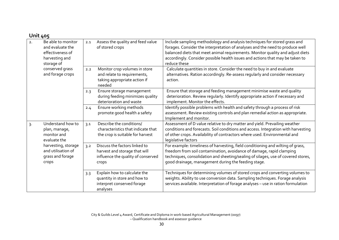| Jnit 405 |  |
|----------|--|
|----------|--|

| 2. | Be able to monitor<br>and evaluate the<br>effectiveness of<br>harvesting and<br>storage of<br>conserved grass<br>and forage crops | 2.1 | Assess the quality and feed value<br>of stored crops                                                          | Include sampling methodology and analysis techniques for stored grass and<br>forages. Consider the interpretation of analyses and the need to produce well<br>balanced diets that meet animal requirements. Monitor quality and adjust diets<br>accordingly. Consider possible health issues and actions that may be taken to<br>reduce these |
|----|-----------------------------------------------------------------------------------------------------------------------------------|-----|---------------------------------------------------------------------------------------------------------------|-----------------------------------------------------------------------------------------------------------------------------------------------------------------------------------------------------------------------------------------------------------------------------------------------------------------------------------------------|
|    |                                                                                                                                   | 2.2 | Monitor crop volumes in store<br>and relate to requirements,<br>taking appropriate action if<br>needed        | Calculate quantities in store. Consider the need to buy in and evaluate<br>alternatives. Ration accordingly. Re-assess regularly and consider necessary<br>action.                                                                                                                                                                            |
|    |                                                                                                                                   | 2.3 | Ensure storage management<br>during feeding minimizes quality<br>deterioration and waste                      | Ensure that storage and feeding management minimise waste and quality<br>deterioration. Review regularly. Identify appropriate action if necessary and<br>implement. Monitor the effects.                                                                                                                                                     |
|    |                                                                                                                                   | 2.4 | Ensure working methods<br>promote good health a safety                                                        | Identify possible problems with health and safety through a process of risk<br>assessment. Review existing controls and plan remedial action as appropriate.<br>Implement and monitor.                                                                                                                                                        |
| 3. | Understand how to<br>plan, manage,<br>monitor and<br>evaluate the                                                                 | 3.1 | Describe the conditions/<br>characteristics that indicate that<br>the crop is suitable for harvest            | Assessment of D value relative to dry matter and yield. Prevailing weather<br>conditions and forecasts. Soil conditions and access. Integration with harvesting<br>of other crops. Availability of contractors where used. Environmental and<br>legislative factors                                                                           |
|    | harvesting, storage<br>and utilisation of<br>grass and forage<br>crops                                                            | 3.2 | Discuss the factors linked to<br>harvest and storage that will<br>influence the quality of conserved<br>crops | For example: timeliness of harvesting, field conditioning and wilting of grass,<br>freedom from soil contamination, avoidance of damage, rapid clamping<br>techniques, consolidation and sheeting/sealing of silages, use of covered stores,<br>good drainage, management during the feeding stage.                                           |
|    |                                                                                                                                   | 3.3 | Explain how to calculate the<br>quantity in store and how to<br>interpret conserved forage<br>analyses        | Techniques for determining volumes of stored crops and converting volumes to<br>weights. Ability to use conversion data. Sampling techniques. Forage analysis<br>services available. Interpretation of forage analyses - use in ration formulation                                                                                            |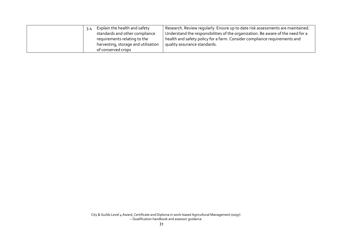| 3.4 | Explain the health and safety<br>standards and other compliance<br>requirements relating to the<br>harvesting, storage and utilisation | Research. Review regularly. Ensure up to date risk assessments are maintained.<br>$\mathsf I$ Understand the responsibilities of the organization. Be aware of the need for a<br>health and safety policy for a farm. Consider compliance requirements and<br>quality assurance standards. |
|-----|----------------------------------------------------------------------------------------------------------------------------------------|--------------------------------------------------------------------------------------------------------------------------------------------------------------------------------------------------------------------------------------------------------------------------------------------|
|     | of conserved crops                                                                                                                     |                                                                                                                                                                                                                                                                                            |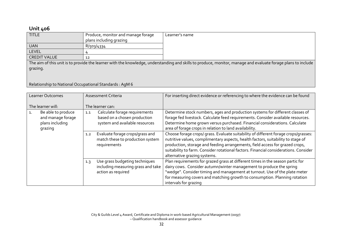| TITLE               | Produce, monitor and manage forage | Learner's name |
|---------------------|------------------------------------|----------------|
|                     | plans including grazing            |                |
| <b>UAN</b>          | R/503/4334                         |                |
| <b>LEVEL</b>        |                                    |                |
| <b>CREDIT VALUE</b> | 12                                 |                |

The aim of this unit is to provide the learner with the knowledge, understanding and skills to produce, monitor, manage and evaluate forage plans to include grazing.

#### Relationship to National Occupational Standards : AgM 6

| <b>Learner Outcomes</b>                                                               | <b>Assessment Criteria</b>                                                                             | For inserting direct evidence or referencing to where the evidence can be found                                                                                                                                                                                                                                                                                                 |
|---------------------------------------------------------------------------------------|--------------------------------------------------------------------------------------------------------|---------------------------------------------------------------------------------------------------------------------------------------------------------------------------------------------------------------------------------------------------------------------------------------------------------------------------------------------------------------------------------|
| The learner will:                                                                     | The learner can:                                                                                       |                                                                                                                                                                                                                                                                                                                                                                                 |
| Be able to produce<br>$\mathbf{1}$<br>and manage forage<br>plans including<br>grazing | Calculate forage requirements<br>1.1<br>based on a chosen production<br>system and available resources | Determine stock numbers, ages and production systems for different classes of<br>forage fed livestock. Calculate feed requirements. Consider available resources.<br>Determine home grown versus purchased. Financial considerations. Calculate<br>area of forage crops in relation to land availability.                                                                       |
|                                                                                       | Evaluate forage crops/grass and<br>1.2<br>match these to production system<br>requirements             | Choose forage crops/ grass. Evaluate suitability of different forage crops/grasses:<br>nutritive values, complimentary aspects, health factors, suitability to stage of<br>production, storage and feeding arrangements, field access for grazed crops,<br>suitability to farm. Consider rotational factors. Financial considerations. Consider<br>alternative grazing systems. |
|                                                                                       | Use grass budgeting techniques<br>1.3<br>including measuring grass and take<br>action as required      | Plan requirements for grazed grass at different times in the season partic for<br>dairy cows. Consider autumn/winter management to produce the spring<br>"wedge". Consider timing and management at turnout. Use of the plate meter<br>for measuring covers and matching growth to consumption. Planning rotation<br>intervals for grazing                                      |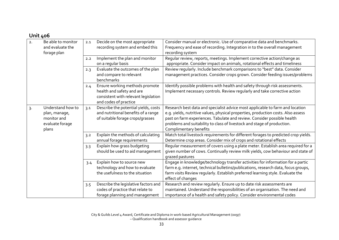| $\overline{2}$ . | Be able to monitor<br>and evaluate the<br>forage plan                         | 2.1 | Decide on the most appropriate<br>recording system and embed this                                                            | Consider manual or electronic. Use of comparative data and benchmarks.<br>Frequency and ease of recording. Integration in to the overall management<br>recording system                                                                                                                                                                            |
|------------------|-------------------------------------------------------------------------------|-----|------------------------------------------------------------------------------------------------------------------------------|----------------------------------------------------------------------------------------------------------------------------------------------------------------------------------------------------------------------------------------------------------------------------------------------------------------------------------------------------|
|                  |                                                                               | 2.2 | Implement the plan and monitor<br>on a regular basis                                                                         | Regular review, reports, meetings. Implement corrective action/change as<br>appropriate. Consider impact on animals, rotational effects and timeliness                                                                                                                                                                                             |
|                  |                                                                               | 2.3 | Evaluate the outcomes of the plan<br>and compare to relevant<br>benchmarks                                                   | Review regularly. Include benchmark comparisons to "best" data. Consider<br>management practices. Consider crops grown. Consider feeding issues/problems                                                                                                                                                                                           |
|                  |                                                                               | 2.4 | Ensure working methods promote<br>health and safety and are<br>consistent with relevant legislation<br>and codes of practice | Identify possible problems with health and safety through risk assessments.<br>Implement necessary controls. Review regularly and take corrective action                                                                                                                                                                                           |
| 3.               | Understand how to<br>plan, manage,<br>monitor and<br>evaluate forage<br>plans | 3.1 | Describe the potential yields, costs<br>and nutritional benefits of a range<br>of suitable forage crops/grasses              | Research best data and specialist advice most applicable to farm and location<br>e.g. yields, nutritive values, physical properties, production costs. Also assess<br>past on farm experiences. Tabulate and review. Consider possible health<br>problems and suitability to class of livestock and stage of production.<br>Complimentary benefits |
|                  |                                                                               | 3.2 | Explain the methods of calculating<br>annual forage requirements                                                             | Match total livestock requirements for different forages to predicted crop yields.<br>Determine crop areas. Consider mix of crops and rotational effects                                                                                                                                                                                           |
|                  |                                                                               | 3.3 | Explain how grass budgeting<br>should be used to aid management                                                              | Reqular measurement of covers using a plate meter. Establish area required for a<br>given number of cows. Continually review milk yields, cow behaviour and state of<br>grazed pastures                                                                                                                                                            |
|                  |                                                                               | 3.4 | Explain how to source new<br>technology and how to evaluate<br>the usefulness to the situation                               | Engage in knowledge/technology transfer activities for information for a partic<br>farm e.g. internet, technical bulletins/publications, research data, focus groups,<br>farm visits Review regularly. Establish preferred learning style. Evaluate the<br>effect of changes                                                                       |
|                  |                                                                               | 3.5 | Describe the legislative factors and<br>codes of practice that relate to<br>forage planning and management                   | Research and review regularly. Ensure up to date risk assessments are<br>maintained. Understand the responsibilities of an organisation. The need and<br>importance of a health and safety policy. Consider environmental codes                                                                                                                    |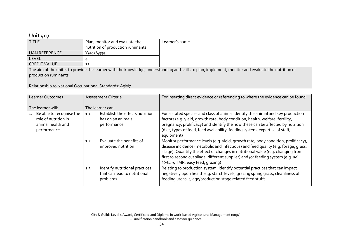| <b>TITLE</b>                                                                                                                                         | Plan, monitor and evaluate the    | Learner's name |  |  |
|------------------------------------------------------------------------------------------------------------------------------------------------------|-----------------------------------|----------------|--|--|
|                                                                                                                                                      | nutrition of production ruminants |                |  |  |
| <b>UAN REFERENCE</b>                                                                                                                                 | Y/503/4335                        |                |  |  |
| LEVEL                                                                                                                                                |                                   |                |  |  |
| <b>CREDIT VALUE</b>                                                                                                                                  | 12                                |                |  |  |
| The aim of the unit is to provide the learner with the knowledge, understanding and skills to plan, implement, monitor and evaluate the nutrition of |                                   |                |  |  |
| production ruminants.                                                                                                                                |                                   |                |  |  |
|                                                                                                                                                      |                                   |                |  |  |

#### Relationship to National Occupational Standards: AgM7

| <b>Learner Outcomes</b>                                                                    | Assessment Criteria                                                               | For inserting direct evidence or referencing to where the evidence can be found                                                                                                                                                                                                                                                                                                      |
|--------------------------------------------------------------------------------------------|-----------------------------------------------------------------------------------|--------------------------------------------------------------------------------------------------------------------------------------------------------------------------------------------------------------------------------------------------------------------------------------------------------------------------------------------------------------------------------------|
| The learner will:                                                                          | The learner can:                                                                  |                                                                                                                                                                                                                                                                                                                                                                                      |
| Be able to recognise the<br>1.<br>role of nutrition in<br>animal health and<br>performance | Establish the effects nutrition<br>1.1<br>has on an animals<br>performance        | For a stated species and class of animal identify the animal and key production<br>factors (e.g. yield, growth rate, body condition, health, welfare, fertility,<br>pregnancy, prolificacy) and identify the how these can be affected by nutrition<br>(diet, types of feed, feed availability, feeding system, expertise of staff,<br>equipment)                                    |
|                                                                                            | Evaluate the benefits of<br>1.2<br>improved nutrition                             | Monitor performance levels (e.g. yield, growth rate, body condition, prolificacy),<br>disease incidence (metabolic and infectious) and feed quality (e.g. forage, grass,<br>silage). Quantify the effect of changes in nutritional value (e.g. changing from<br>first to second cut silage, different supplier) and /or feeding system (e.g. ad<br>libitum, TMR, easy feed, grazing) |
|                                                                                            | Identify nutritional practices<br>1.3<br>that can lead to nutritional<br>problems | Relating to production system, identify potential practices that can impact<br>negatively upon health e.g. starch levels, grazing spring grass, cleanliness of<br>feeding utensils, age/production stage related feed stuffs                                                                                                                                                         |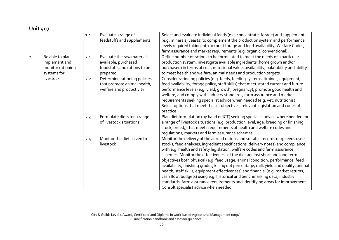|    |                                                                                    | 1.4 | Evaluate a range of<br>feedstuffs and supplements                                              | Select and evaluate individual feeds (e.g. concentrate, forage) and supplements<br>(e.g. minerals, yeasts) to complement the production system and performance<br>levels required taking into account forage and feed availability, Welfare Codes,<br>farm assurance and market requirements (e.g. organic, conventional).                                                                                                                                                                                                                                                                                                                                                                                                                                                                               |
|----|------------------------------------------------------------------------------------|-----|------------------------------------------------------------------------------------------------|----------------------------------------------------------------------------------------------------------------------------------------------------------------------------------------------------------------------------------------------------------------------------------------------------------------------------------------------------------------------------------------------------------------------------------------------------------------------------------------------------------------------------------------------------------------------------------------------------------------------------------------------------------------------------------------------------------------------------------------------------------------------------------------------------------|
| 2. | Be able to plan,<br>implement and<br>monitor rationing<br>systems for<br>livestock | 2.1 | Evaluate the raw materials<br>available, purchased<br>foodstuffs and rations to be<br>prepared | Define number of rations to be formulated to meet the needs of a particular<br>production system. Investigate available ingredients (home grown and/or<br>purchased) in terms of cost, nutritional value, availability, palatability and ability<br>to meet health and welfare, animal needs and production targets.                                                                                                                                                                                                                                                                                                                                                                                                                                                                                     |
|    |                                                                                    | 2.2 | Determine rationing policies<br>that promote animal health,<br>welfare and productivity        | Consider rationing policies (e.g. feeds, feeding systems, timings, equipment,<br>feed availability, forage policy, staff skills) that meet stated current and future<br>performance levels (e.g. yield, growth, pregnancy), promote good health and<br>welfare, and comply with industry standards, farm assurance and market<br>requirements seeking specialist advice when needed (e.g. vet, nutritionist).<br>Select options that meet the set objectives, relevant legislation and codes of<br>practice.                                                                                                                                                                                                                                                                                             |
|    |                                                                                    | 2.3 | Formulate diets for a range<br>of livestock situations                                         | Plan diet formulation (by hand or ICT) seeking specialist advice where needed for<br>a range of livestock situations (e.g. production level, age, breeding or finishing<br>stock, breed,) that meets requirements of health and welfare codes and<br>regulations, markets and farm assurance schemes.                                                                                                                                                                                                                                                                                                                                                                                                                                                                                                    |
|    |                                                                                    | 2.4 | Monitor the diets given to<br>livestock                                                        | Monitor the delivery of the agreed rations and suitable records (e.g. feeds used<br>stocks, feed analyses, ingredient specifications, delivery notes) and compliance<br>with e.g. health and safety legislation, welfare codes and farm assurance<br>schemes. Monitor the effectiveness of the diet against short and long term<br>objectives both physical (e.g. feed usage, animal condition, performance, feed<br>availability, finishing grades, killing out percentage, milk yield and quality, animal<br>health, staff skills, equipment effectiveness) and financial (e.g. market returns,<br>cash flow, budgets) using e.g. historical and benchmarking data, industry<br>standards, farm assurance requirements and identifying areas for improvement.<br>Consult specialist advice when needed |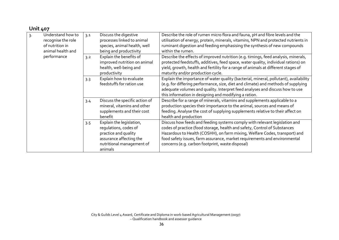| 3. | Understand how to  | 3.1 | Discuss the digestive          | Describe the role of rumen micro flora and fauna, pH and fibre levels and the         |
|----|--------------------|-----|--------------------------------|---------------------------------------------------------------------------------------|
|    | recognise the role |     | processes linked to animal     | utilisation of energy, protein, minerals, vitamins, NPN and protected nutrients in    |
|    | of nutrition in    |     | species, animal health, well   | ruminant digestion and feeding emphasising the synthesis of new compounds             |
|    | animal health and  |     | being and productivity         | within the rumen.                                                                     |
|    | performance        | 3.2 | Explain the benefits of        | Describe the effects of improved nutrition (e.g. timings, feed analysis, minerals,    |
|    |                    |     | improved nutrition on animal   | protected feedstuffs, additives, feed space, water quality, individual rations) on    |
|    |                    |     | health, well-being and         | yield, growth, health and fertility for a range of animals at different stages of     |
|    |                    |     | productivity                   | maturity and/or production cycle.                                                     |
|    |                    | 3.3 | Explain how to evaluate        | Explain the importance of water quality (bacterial, mineral, pollutant), availability |
|    |                    |     | feedstuffs for ration use      | (e.g. for differing performance, size, diet and climate) and methods of supplying     |
|    |                    |     |                                | adequate volumes and quality. Interpret feed analyses and discuss how to use          |
|    |                    |     |                                | this information in designing and modifying a ration.                                 |
|    |                    | 3.4 | Discuss the specific action of | Describe for a range of minerals, vitamins and supplements applicable to a            |
|    |                    |     | mineral, vitamins and other    | production species their importance to the animal, sources and means of               |
|    |                    |     | supplements and their cost     | feeding. Analyse the cost of supplying supplements relative to their affect on        |
|    |                    |     | benefit                        | health and production                                                                 |
|    |                    | 3.5 | Explain the legislation,       | Discuss how feeds and feeding systems comply with relevant legislation and            |
|    |                    |     | regulations, codes of          | codes of practice (food storage, health and safety, Control of Substances             |
|    |                    |     | practice and quality           | Hazardous to Health (COSHH), on farm mixing, Welfare Codes, transport) and            |
|    |                    |     | assurance affecting the        | food safety issues, farm assurance, market requirements and environmental             |
|    |                    |     | nutritional management of      | concerns (e.g. carbon footprint, waste disposal)                                      |
|    |                    |     | animals                        |                                                                                       |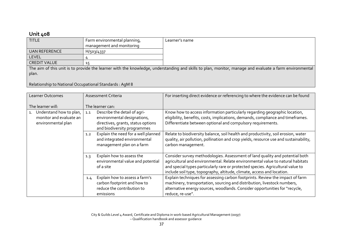| <b>TITLE</b>        | Farm environmental planning, | Learner's name                                                                                                                                         |
|---------------------|------------------------------|--------------------------------------------------------------------------------------------------------------------------------------------------------|
|                     | management and monitoring    |                                                                                                                                                        |
| UAN REFERENCE       | H/503/4337                   |                                                                                                                                                        |
| <b>LEVEL</b>        |                              |                                                                                                                                                        |
| <b>CREDIT VALUE</b> |                              |                                                                                                                                                        |
|                     |                              | The aim of this unit is to provide the learner with the knowledge, understanding and skills to plan, monitor, manage and evaluate a farm environmental |
| plan.               |                              |                                                                                                                                                        |
|                     |                              |                                                                                                                                                        |

#### Relationship to National Occupational Standards : AgM 8

| <b>Learner Outcomes</b>                                                        | Assessment Criteria                                                                                                                     | For inserting direct evidence or referencing to where the evidence can be found                                                                                                                                                                                                                                             |
|--------------------------------------------------------------------------------|-----------------------------------------------------------------------------------------------------------------------------------------|-----------------------------------------------------------------------------------------------------------------------------------------------------------------------------------------------------------------------------------------------------------------------------------------------------------------------------|
| The learner will:                                                              | The learner can:                                                                                                                        |                                                                                                                                                                                                                                                                                                                             |
| Understand how to plan,<br>1.<br>monitor and evaluate an<br>environmental plan | Describe the detail of agri-<br>1.1<br>environmental designations,<br>directives, grants, status options<br>and biodiversity programmes | Know how to access information particularly regarding geographic location,<br>eligibility, benefits, costs, implications, demands, compliance and timeframes.<br>Differentiate between optional and compulsory requirements.                                                                                                |
|                                                                                | Explain the need for a well planned<br>1.2<br>and integrated environmental<br>management plan on a farm                                 | Relate to biodiversity balance, soil health and productivity, soil erosion, water<br>quality, air pollution, pollination and crop yields, resource use and sustainability,<br>carbon management.                                                                                                                            |
|                                                                                | Explain how to assess the<br>1.3<br>environmental value and potential<br>of a site                                                      | Consider survey methodologies. Assessment of land quality and potential both<br>agricultural and environmental. Relate environmental value to natural habitats<br>and special types particularly rare or protected species. Agricultural value to<br>include soil type, topography, altitude, climate, access and location. |
|                                                                                | Explain how to assess a farm's<br>1.4<br>carbon footprint and how to<br>reduce the contribution to<br>emissions                         | Explain techniques for assessing carbon footprints. Review the impact of farm<br>machinery, transportation, sourcing and distribution, livestock numbers,<br>alternative energy sources, woodlands. Consider opportunities for "recycle,<br>reduce, re-use".                                                                |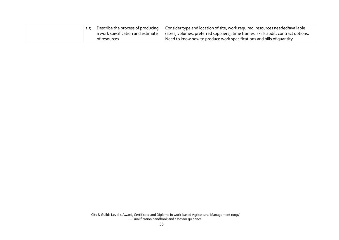|  |                                   | $\frac{1}{2}$ Describe the process of producing   Consider type and location of site, work required, resources needed/available |
|--|-----------------------------------|---------------------------------------------------------------------------------------------------------------------------------|
|  | a work specification and estimate | (sizes, volumes, preferred suppliers), time frames, skills audit, contract options.                                             |
|  | of resources                      | Need to know how to produce work specifications and bills of quantity                                                           |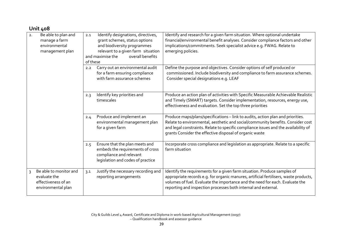|    | <b>Unit 408</b>                                                                     |                 |                                                                                                                                                                                  |                                                                                                                                                                                                                                                                                                                      |
|----|-------------------------------------------------------------------------------------|-----------------|----------------------------------------------------------------------------------------------------------------------------------------------------------------------------------|----------------------------------------------------------------------------------------------------------------------------------------------------------------------------------------------------------------------------------------------------------------------------------------------------------------------|
| 2. | Be able to plan and<br>manage a farm<br>environmental<br>management plan            | 2.1<br>of these | Identify designations, directives,<br>grant schemes, status options<br>and biodiversity programmes<br>relevant to a given farm situation<br>overall benefits<br>and maximise the | Identify and research for a given farm situation. Where optional undertake<br>financial/environmental benefit analyses. Consider compliance factors and other<br>implications/commitments. Seek specialist advice e.g. FWAG. Relate to<br>emerging policies.                                                         |
|    |                                                                                     | 2.2             | Carry out an environmental audit<br>for a farm ensuring compliance<br>with farm assurance schemes                                                                                | Define the purpose and objectives. Consider options of self produced or<br>commissioned. Include biodiversity and compliance to farm assurance schemes.<br>Consider special designations e.g. LEAF                                                                                                                   |
|    |                                                                                     | 2.3             | Identify key priorities and<br>timescales                                                                                                                                        | Produce an action plan of activities with Specific Measurable Achievable Realistic<br>and Timely (SMART) targets. Consider implementation, resources, energy use,<br>effectiveness and evaluation. Set the top three priorities                                                                                      |
|    |                                                                                     | 2.4             | Produce and implement an<br>environmental management plan<br>for a given farm                                                                                                    | Produce maps/plans/specifications - link to audits, action plan and priorities.<br>Relate to environmental, aesthetic and social/community benefits. Consider cost<br>and legal constraints. Relate to specific compliance issues and the availability of<br>grants Consider the effective disposal of organic waste |
|    |                                                                                     | 2.5             | Ensure that the plan meets and<br>embeds the requirements of cross<br>compliance and relevant<br>legislation and codes of practice                                               | Incorporate cross compliance and legislation as appropriate. Relate to a specific<br>farm situation                                                                                                                                                                                                                  |
| 3  | Be able to monitor and<br>evaluate the<br>effectiveness of an<br>environmental plan | 3.1             | Justify the necessary recording and<br>reporting arrangements                                                                                                                    | Identify the requirements for a given farm situation. Produce samples of<br>appropriate records e.g. for organic manures, artificial fertilisers, waste products,<br>volumes of fuel. Evaluate the importance and the need for each. Evaluate the<br>reporting and inspection processes both internal and external.  |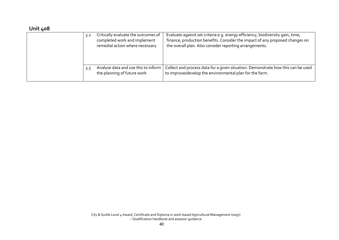| 3.2 | Critically evaluate the outcomes of<br>completed work and implement<br>remedial action where necessary | Evaluate against set criteria e.g. energy efficiency, biodiversity gain, time,<br>finance, production benefits. Consider the impact of any proposed changes on<br>the overall plan. Also consider reporting arrangements. |
|-----|--------------------------------------------------------------------------------------------------------|---------------------------------------------------------------------------------------------------------------------------------------------------------------------------------------------------------------------------|
| 3.3 | Analyse data and use this to inform<br>the planning of future work                                     | Collect and process data for a given situation. Demonstrate how this can be used<br>to improve/develop the environmental plan for the farm.                                                                               |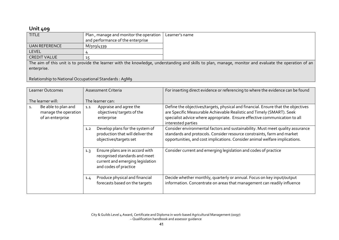| --                  |                                        |                  |
|---------------------|----------------------------------------|------------------|
| <b>TITLE</b>        | Plan, manage and monitor the operation | I Learner's name |
|                     | and performance of the enterprise      |                  |
| UAN REFERENCE       | M/503/4339                             |                  |
| <b>LEVEL</b>        |                                        |                  |
| <b>CREDIT VALUE</b> |                                        |                  |

The aim of this unit is to provide the learner with the knowledge, understanding and skills to plan, manage, monitor and evaluate the operation of an enterprise.

Relationship to National Occupational Standards : AgM9

| Learner Outcomes<br><b>Assessment Criteria</b>                        |                                                                                                                                      | For inserting direct evidence or referencing to where the evidence can be found                                                                                                                                                                                |
|-----------------------------------------------------------------------|--------------------------------------------------------------------------------------------------------------------------------------|----------------------------------------------------------------------------------------------------------------------------------------------------------------------------------------------------------------------------------------------------------------|
| The learner will:                                                     | The learner can:                                                                                                                     |                                                                                                                                                                                                                                                                |
| Be able to plan and<br>1.<br>manage the operation<br>of an enterprise | Appraise and agree the<br>1.1<br>objectives/targets of the<br>enterprise                                                             | Define the objectives/targets, physical and financial. Ensure that the objectives<br>are Specific Measurable Achievable Realistic and Timely (SMART). Seek<br>specialist advice where appropriate. Ensure effective communication to all<br>interested parties |
|                                                                       | Develop plans for the system of<br>1.2<br>production that will deliver the<br>objectives/targets set                                 | Consider environmental factors and sustainability. Must meet quality assurance<br>standards and protocols. Consider resource constraints, farm and market<br>opportunities, and cost implications. Consider animal welfare implications.                       |
|                                                                       | Ensure plans are in accord with<br>1.3<br>recognised standards and meet<br>current and emerging legislation<br>and codes of practice | Consider current and emerging legislation and codes of practice                                                                                                                                                                                                |
|                                                                       | Produce physical and financial<br>1.4<br>forecasts based on the targets                                                              | Decide whether monthly, quarterly or annual. Focus on key input/output<br>information. Concentrate on areas that management can readily influence                                                                                                              |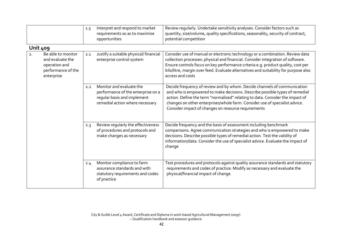|          |                                                                                             | 1.5 | Interpret and respond to market<br>requirements so as to maximise<br>opportunities                                               | Review regularly. Undertake sensitivity analyses. Consider factors such as<br>quantity, size/volume, quality specifications, seasonality, security of contract,<br>potential competition                                                                                                                                                                                       |
|----------|---------------------------------------------------------------------------------------------|-----|----------------------------------------------------------------------------------------------------------------------------------|--------------------------------------------------------------------------------------------------------------------------------------------------------------------------------------------------------------------------------------------------------------------------------------------------------------------------------------------------------------------------------|
| Unit 409 |                                                                                             |     |                                                                                                                                  |                                                                                                                                                                                                                                                                                                                                                                                |
| 2.       | Be able to monitor<br>and evaluate the<br>operation and<br>performance of the<br>enterprise | 2.1 | Justify a suitable physical/ financial<br>enterprise control system                                                              | Consider use of manual or electronic technology or a combination. Review data<br>collection processes: physical and financial. Consider integration of software.<br>Ensure controls focus on key performance criteria e.g. product quality, cost per<br>kilo/litre, margin over feed. Evaluate alternatives and suitability for purpose also<br>access and costs               |
|          |                                                                                             | 2.2 | Monitor and evaluate the<br>performance of the enterprise on a<br>reqular basis and implement<br>remedial action where necessary | Decide frequency of review and by whom. Decide channels of communication<br>and who is empowered to make decisions. Describe possible types of remedial<br>action. Define the term "normalised" relating to data. Consider the impact of<br>changes on other enterprises/whole farm. Consider use of specialist advice.<br>Consider impact of changes on resource requirements |
|          |                                                                                             | 2.3 | Review regularly the effectiveness<br>of procedures and protocols and<br>make changes as necessary                               | Decide frequency and the basis of assessment including benchmark<br>comparisons. Agree communication strategies and who is empowered to make<br>decisions. Describe possible types of remedial action. Test the validity of<br>information/data. Consider the use of specialist advice. Evaluate the impact of<br>change                                                       |
|          |                                                                                             | 2.4 | Monitor compliance to farm<br>assurance standards and with<br>statutory requirements and codes<br>of practice                    | Test procedures and protocols against quality assurance standards and statutory<br>requirements and codes of practice. Modify as necessary and evaluate the<br>physical/financial impact of change                                                                                                                                                                             |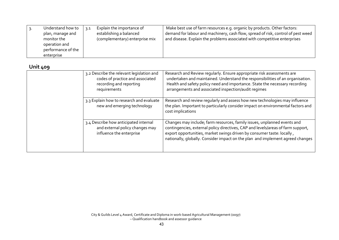| Understand how to<br>plan, manage and<br>monitor the | 3.1 | Explain the importance of<br>establishing a balanced<br>(complementary) enterprise mix | Make best use of farm resources e.g. organic by products. Other factors:<br>demand for labour and machinery, cash flow, spread of risk, control of pest weed<br>and disease. Explain the problems associated with competitive enterprises |
|------------------------------------------------------|-----|----------------------------------------------------------------------------------------|-------------------------------------------------------------------------------------------------------------------------------------------------------------------------------------------------------------------------------------------|
| operation and<br>performance of the                  |     |                                                                                        |                                                                                                                                                                                                                                           |
| enterprise                                           |     |                                                                                        |                                                                                                                                                                                                                                           |

|  | 3.2 Describe the relevant legislation and<br>codes of practice and associated<br>recording and reporting<br>requirements | Research and Review regularly. Ensure appropriate risk assessments are<br>undertaken and maintained. Understand the responsibilities of an organisation.<br>Health and safety policy need and importance. State the necessary recording<br>arrangements and associated inspection/audit regimes                          |
|--|--------------------------------------------------------------------------------------------------------------------------|--------------------------------------------------------------------------------------------------------------------------------------------------------------------------------------------------------------------------------------------------------------------------------------------------------------------------|
|  | 3.3 Explain how to research and evaluate<br>new and emerging technology                                                  | Research and review regularly and assess how new technologies may influence<br>the plan. Important to particularly consider impact on environmental factors and<br>cost implications                                                                                                                                     |
|  | 3.4 Describe how anticipated internal<br>and external policy changes may<br>influence the enterprise                     | Changes may include; farm resources, family issues, unplanned events and<br>contingencies, external policy directives, CAP and levels/areas of farm support,<br>export opportunities, market swings driven by consumer taste: locally,<br>nationally, globally. Consider impact on the plan and implement agreed changes |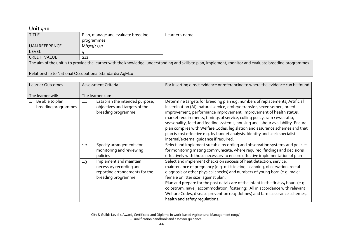| <b>TITLE</b>                                                                                                                                                                                                                   | Plan, manage and evaluate breeding | Learner's name |  |
|--------------------------------------------------------------------------------------------------------------------------------------------------------------------------------------------------------------------------------|------------------------------------|----------------|--|
|                                                                                                                                                                                                                                | programmes                         |                |  |
| UAN REFERENCE                                                                                                                                                                                                                  | M/503/4342                         |                |  |
| <b>LEVEL</b>                                                                                                                                                                                                                   |                                    |                |  |
| <b>CREDIT VALUE</b>                                                                                                                                                                                                            | 212                                |                |  |
| The star of the cost to to a contributed become the barrowledge complementally a subject than the contribution of the security of the security of the security of the security of the security of the security of the security |                                    |                |  |

The aim of the unit is to provide the learner with the knowledge, understanding and skills to plan, implement, monitor and evaluate breeding programmes.

Relationship to National Occupational Standards: AgM10

| <b>Learner Outcomes</b>                      | <b>Assessment Criteria</b>                                                                                       | For inserting direct evidence or referencing to where the evidence can be found                                                                                                                                                                                                                                                                                                                                                                                                                                                                                                                          |
|----------------------------------------------|------------------------------------------------------------------------------------------------------------------|----------------------------------------------------------------------------------------------------------------------------------------------------------------------------------------------------------------------------------------------------------------------------------------------------------------------------------------------------------------------------------------------------------------------------------------------------------------------------------------------------------------------------------------------------------------------------------------------------------|
| The learner will:                            | The learner can:                                                                                                 |                                                                                                                                                                                                                                                                                                                                                                                                                                                                                                                                                                                                          |
| Be able to plan<br>1.<br>breeding programmes | Establish the intended purpose,<br>1.1<br>objectives and targets of the<br>breeding programme                    | Determine targets for breeding plan e.g. numbers of replacements, Artificial<br>Insemination (AI), natural service, embryo transfer, sexed semen, breed<br>improvement, performance improvement, improvement of health status,<br>market requirements, timings of service, culling policy, ram : ewe ratio,<br>seasonality, feed and feeding systems, housing and labour availability. Ensure<br>plan complies with Welfare Codes, legislation and assurance schemes and that<br>plan is cost effective e.g. by budget analysis. Identify and seek specialist<br>internal/external quidance if required. |
|                                              | Specify arrangements for<br>1.2<br>monitoring and reviewing<br>policies                                          | Select and implement suitable recording and observation systems and policies<br>for monitoring mating communicate, where required, findings and decisions<br>effectively with those necessary to ensure effective implementation of plan                                                                                                                                                                                                                                                                                                                                                                 |
|                                              | Implement and maintain<br>1.3<br>necessary recording and<br>reporting arrangements for the<br>breeding programme | Select and implement checks on success of heat detection, service,<br>maintenance of pregnancy (e.g. milk testing, scanning, observation, rectal<br>diagnosis or other physical checks) and numbers of young born (e.g. male:<br>female or litter size) against plan.<br>Plan and prepare for the post natal care of the infant in the first 24 hours (e.g.<br>colostrum, navel, accommodation, fostering). All in accordance with relevant<br>Welfare Codes, disease prevention (e.g. Johnes) and farm assurance schemes,<br>health and safety requlations.                                             |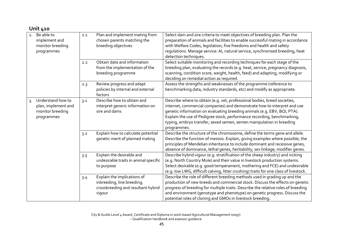|                 | <b>Unit 410</b>                                                            |     |                                                                                                           |                                                                                                                                                                                                                                                                                                                                                                                                     |
|-----------------|----------------------------------------------------------------------------|-----|-----------------------------------------------------------------------------------------------------------|-----------------------------------------------------------------------------------------------------------------------------------------------------------------------------------------------------------------------------------------------------------------------------------------------------------------------------------------------------------------------------------------------------|
| 2.              | Be able to<br>implement and<br>monitor breeding<br>programmes              | 2.1 | Plan and implement mating from<br>chosen parents matching the<br>breeding objectives                      | Select dam and sire criteria to meet objectives of breeding plan. Plan the<br>preparation of animals and facilities to enable successful mating in accordance<br>with Welfare Codes, legislation, five freedoms and health and safety<br>regulations. Manage service: AI, natural service, synchronised breeding, heat<br>detection techniques.                                                     |
|                 |                                                                            | 2.2 | Obtain data and information<br>from the implementation of the<br>breeding programme                       | Select suitable monitoring and recording techniques for each stage of the<br>breeding plan, evaluating the records (e.g. heat, service, pregnancy diagnosis,<br>scanning, condition score, weight, health, feed) and adapting, modifying or<br>deciding on remedial action as required.                                                                                                             |
|                 |                                                                            | 2.3 | Review progress and adapt<br>policies by internal and external<br>factors                                 | Assess the strengths and weaknesses of the programme (reference to<br>benchmarking data, industry standards, etc) and modify as appropriate.                                                                                                                                                                                                                                                        |
| $\mathcal{R}$ . | Understand how to<br>plan, implement and<br>monitor breeding<br>programmes | 3.1 | Describe how to obtain and<br>interpret generic information on<br>sire and dams                           | Describe where to obtain (e.g. vet, professional bodies, breed societies,<br>internet, commercial companies) and demonstrate how to interpret and use<br>genetic information on evaluating breeding animals (e.g. EBV, BQI, PTA).<br>Explain the use of Pedigree stock, performance recording, benchmarking,<br>typing, embryo transfer, sexed semen, semen manipulation in breeding<br>programmes. |
|                 |                                                                            | 3.2 | Explain how to calculate potential<br>genetic merit of planned mating                                     | Describe the structure of the chromosome, define the terms gene and allele.<br>Describe the function of meiosis. Explain, giving examples where possible, the<br>principles of Mendelian inheritance to include dominant and recessive genes,<br>absence of dominance, lethal genes, heritability, sex linkage, modifier genes.                                                                     |
|                 |                                                                            | 3.3 | Explain the desirable and<br>undesirable traits in animal specific<br>to purpose                          | Describe hybrid vigour (e.g. stratification of the sheep industry) and nicking<br>(e.g. North Country Mule) and their value in livestock production systems.<br>Select desirable (e.g. good temperament, mothering and FCE) and undesirable<br>(e.g. low LWG, difficult calving, litter crushing) traits for one class of livestock.                                                                |
|                 |                                                                            | 3.4 | Explain the implications of<br>inbreeding, line breeding,<br>crossbreeding and resultant hybrid<br>vigour | Describe the role of different breeding methods used in grading up and the<br>production of new breeds and commercial stock. Discuss the effects on genetic<br>progress of breeding for multiple traits. Describe the relative roles of breeding<br>and environment (genotype and phenotype) on genetic progress. Discuss the<br>potential roles of cloning and GMOs in livestock breeding.         |

City & Guilds Level 4 Award, Certificate and Diploma in work-based Agricultural Management (0097) – Qualification handbook and assessor guidance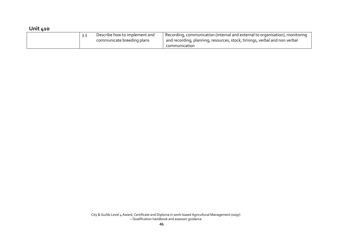|  | Describe how to implement and | Recording, communication (internal and external to organisation), monitoring |
|--|-------------------------------|------------------------------------------------------------------------------|
|  | communicate breeding plans    | and recording, planning, resources, stock, timings, verbal and non verbal    |
|  |                               | communication                                                                |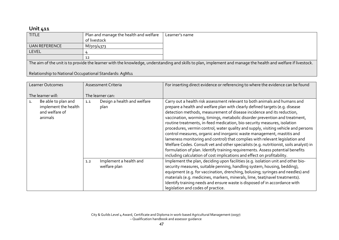| <b>TITLE</b>                                                                                                                                                  | Plan and manage the health and welfare | Learner's name |  |
|---------------------------------------------------------------------------------------------------------------------------------------------------------------|----------------------------------------|----------------|--|
|                                                                                                                                                               | of livestock                           |                |  |
| UAN REFERENCE<br>M/503/4373                                                                                                                                   |                                        |                |  |
| <b>LEVEL</b>                                                                                                                                                  |                                        |                |  |
|                                                                                                                                                               |                                        |                |  |
| The aim of the unit is to provide the learner with the knowledge, understanding and skills to plan, implement and manage the health and welfare if livestock. |                                        |                |  |

Relationship to National Occupational Standards: AgM11

| <b>Learner Outcomes</b>                                                  | Assessment Criteria                           | For inserting direct evidence or referencing to where the evidence can be found                                                                                                                                                                                                                                                                                                                                                                                                                                                                                                                                                                                                                                                                                                                                                                                                                        |
|--------------------------------------------------------------------------|-----------------------------------------------|--------------------------------------------------------------------------------------------------------------------------------------------------------------------------------------------------------------------------------------------------------------------------------------------------------------------------------------------------------------------------------------------------------------------------------------------------------------------------------------------------------------------------------------------------------------------------------------------------------------------------------------------------------------------------------------------------------------------------------------------------------------------------------------------------------------------------------------------------------------------------------------------------------|
| The learner will:                                                        | The learner can:                              |                                                                                                                                                                                                                                                                                                                                                                                                                                                                                                                                                                                                                                                                                                                                                                                                                                                                                                        |
| Be able to plan and<br>implement the health<br>and welfare of<br>animals | Design a health and welfare<br>1.1<br>plan    | Carry out a health risk assessment relevant to both animals and humans and<br>prepare a health and welfare plan with clearly defined targets (e.g. disease<br>detection methods, measurement of disease incidence and its reduction,<br>vaccination, worming, timings, metabolic disorder prevention and treatment,<br>routine treatments, in-feed medication, bio-security measures, isolation<br>procedures, vermin control, water quality and supply, visiting vehicle and persons<br>control measures, organic and inorganic waste management, mastitis and<br>lameness monitoring and control) that complies with relevant legislation and<br>Welfare Codes. Consult vet and other specialists (e.g. nutritionist, soils analyst) in<br>formulation of plan. Identify training requirements. Assess potential benefits<br>including calculation of cost implications and effect on profitability. |
|                                                                          | Implement a health and<br>1.2<br>welfare plan | Implement the plan, deciding upon facilities (e.g. isolation unit and other bio-<br>security measures, suitable penning, handling system, housing, bedding),<br>equipment (e.g. for vaccination, drenching, bolusing; syringes and needles) and<br>materials (e.g. medicines, markers, minerals, lime, teat/navel treatments).<br>Identify training needs and ensure waste is disposed of in accordance with<br>legislation and codes of practice.                                                                                                                                                                                                                                                                                                                                                                                                                                                     |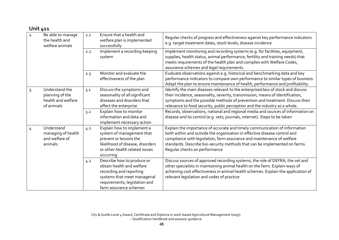| 2. | Be able to manage<br>the health and<br>welfare animals                | 2.1 | Ensure that a health and<br>welfare plan is implemented<br>successfully                                                                                                       | Regular checks of progress and effectiveness against key performance indicators<br>e.g. target treatment dates, stock levels, disease incidence                                                                                                                                                                                                  |
|----|-----------------------------------------------------------------------|-----|-------------------------------------------------------------------------------------------------------------------------------------------------------------------------------|--------------------------------------------------------------------------------------------------------------------------------------------------------------------------------------------------------------------------------------------------------------------------------------------------------------------------------------------------|
|    |                                                                       | 2.2 | Implement a recording keeping<br>system                                                                                                                                       | Implement monitoring and recording systems (e.g. for facilities, equipment,<br>supplies, health status, animal performance, fertility and training needs) that<br>meets requirements of the health plan and complies with Welfare Codes,<br>assurance schemes and legal requirements.                                                            |
|    |                                                                       | 2.3 | Monitor and evaluate the<br>effectiveness of the plan                                                                                                                         | Evaluate observations against e.g. historical and benchmarking data and key<br>performance indicators to compare own performance to similar types of business.<br>Adapt the plan to ensure maintenance of health, performance and profitability.                                                                                                 |
| 3. | Understand the<br>planning of the<br>health and welfare<br>of animals | 3.1 | Discuss the symptoms and<br>seasonality of all significant<br>diseases and disorders that<br>affect the enterprise                                                            | Identify the main diseases relevant to the enterprise/class of stock and discuss<br>their incidence, seasonality, severity, transmission, means of identification,<br>symptoms and the possible methods of prevention and treatment. Discuss their<br>relevance to food security, public perception and the industry as a whole.                 |
|    |                                                                       | 3.2 | Explain how to monitor<br>information and data and<br>implement necessary action                                                                                              | Records, observations, national and regional media and sources of information on<br>disease and its control (e.g. vets, journals, internet). Steps to be taken                                                                                                                                                                                   |
| 4. | Understand<br>managing of health<br>and welfare of<br>animals         | 4.1 | Explain how to implement a<br>system of management that<br>prevent or lessons the<br>likelihood of disease, disorders<br>or other health related issues<br>occurring          | Explain the importance of accurate and timely communication of information<br>both within and outside the organisation in effective disease control and<br>compliance with legislation, farm assurance and maintenance of welfare<br>standards. Describe bio-security methods that can be implemented on farms.<br>Regular checks on performance |
|    |                                                                       | 4.2 | Describe how to produce or<br>obtain health and welfare<br>recording and reporting<br>systems that meet managerial<br>requirements, legislation and<br>farm assurance schemes | Discuss sources of approved recording systems, the role of DEFRA, the vet and<br>other specialists in maintaining animal health on the farm. Explain ways of<br>achieving cost effectiveness in animal health schemes. Explain the application of<br>relevant legislation and codes of practice                                                  |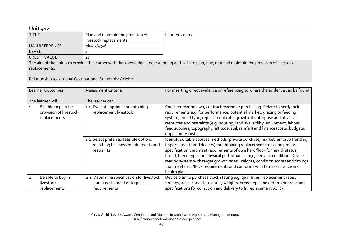| <b>TITLE</b>        | Plan and maintain the provision of | Learner's name |
|---------------------|------------------------------------|----------------|
|                     | livestock replacements             |                |
| UAN REFERENCE       | M/503/4356                         |                |
| <b>LEVEL</b>        |                                    |                |
| <b>CREDIT VALUE</b> | 12                                 |                |

The aim of the unit is to provide the learner with the knowledge, understanding and skills to plan, buy, rear and maintain the provision of livestock replacements.

Relationship to National Occupational Standards: AgM12

| <b>Learner Outcomes</b>                                                         | Assessment Criteria                                                                       | For inserting direct evidence or referencing to where the evidence can be found                                                                                                                                                                                                                                                                                                                                                                                                                   |
|---------------------------------------------------------------------------------|-------------------------------------------------------------------------------------------|---------------------------------------------------------------------------------------------------------------------------------------------------------------------------------------------------------------------------------------------------------------------------------------------------------------------------------------------------------------------------------------------------------------------------------------------------------------------------------------------------|
| The learner will:                                                               | The learner can:                                                                          |                                                                                                                                                                                                                                                                                                                                                                                                                                                                                                   |
| Be able to plan the<br>$\mathbf{1}$ .<br>provision of livestock<br>replacements | 1.1 Evaluate options for obtaining<br>replacement livestock                               | Consider rearing own, contract rearing or purchasing. Relate to herd/flock<br>requirements e.g. for performance, potential market, grazing or feeding<br>system, breed type, replacement rate, growth of enterprise and physical<br>resources and restraints (e.g. housing, land availability, equipment, labour,<br>feed supplies, topography, altitude, soil, rainfall) and finance (costs, budgets,<br>opportunity costs)                                                                      |
|                                                                                 | 1.2 Select preferred feasible options<br>matching business requirements and<br>restraints | Identify suitable sources/methods (private purchase, market, embryo transfer,<br>import, agents and dealers) for obtaining replacement stock and prepare<br>specification that meet requirements of own herd/flock for health status,<br>breed, breed type and physical performance, age, size and condition. Devise<br>rearing system with target growth rates, weights, condition scores and timings<br>that meet herd/flock requirements and conforms with farm assurance and<br>health plans. |
| Be able to buy in<br>2.                                                         | 2.1 Determine specification for livestock                                                 | Devise plan to purchase stock stating e.g. quantities, replacement rates,                                                                                                                                                                                                                                                                                                                                                                                                                         |
| livestock                                                                       | purchase to meet enterprise                                                               | timings, ages, condition scores, weights, breed type and determine transport                                                                                                                                                                                                                                                                                                                                                                                                                      |
| replacements                                                                    | requirements                                                                              | specifications for collection and delivery to fit replacement policy.                                                                                                                                                                                                                                                                                                                                                                                                                             |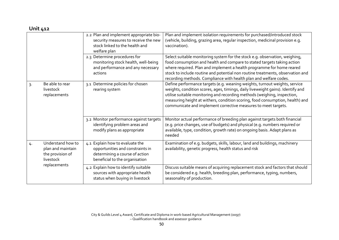|    |                                                                         | 2.2 Plan and implement appropriate bio-<br>security measures to receive the new<br>stock linked to the health and<br>welfare plan       | Plan and implement isolation requirements for purchased/introduced stock<br>(vehicle, building, grazing area, regular inspection, medicinal provision e.g.<br>vaccination).                                                                                                                                                                                                                  |
|----|-------------------------------------------------------------------------|-----------------------------------------------------------------------------------------------------------------------------------------|----------------------------------------------------------------------------------------------------------------------------------------------------------------------------------------------------------------------------------------------------------------------------------------------------------------------------------------------------------------------------------------------|
|    |                                                                         | 2.3 Determine procedures for<br>monitoring stock health, well-being<br>and performance and any necessary<br>actions                     | Select suitable monitoring system for the stock e.g. observation, weighing,<br>food consumption and health and compare to stated targets taking action<br>where required. Plan and implement a health programme for home reared<br>stock to include routine and potential non routine treatments, observation and<br>recording methods. Compliance with health plan and welfare codes.       |
| 3. | Be able to rear<br>livestock<br>replacements                            | 3.1 Determine policies for chosen<br>rearing system                                                                                     | Define performance targets (e.g. weaning weights, turnout weights, service<br>weights, condition scores, ages, timings, daily liveweight gains). Identify and<br>utilise suitable monitoring and recording methods (weighing, inspection,<br>measuring height at withers, condition scoring, food consumption, health) and<br>communicate and implement corrective measures to meet targets. |
|    |                                                                         | 3.2 Monitor performance against targets<br>identifying problem areas and<br>modify plans as appropriate                                 | Monitor actual performance of breeding plan against targets both financial<br>(e.g. price changes, use of budgets) and physical (e.g. numbers required or<br>available, type, condition, growth rate) on ongoing basis. Adapt plans as<br>needed                                                                                                                                             |
| 4. | Understand how to<br>plan and maintain<br>the provision of<br>livestock | 4.1 Explain how to evaluate the<br>opportunities and constraints in<br>determining a course of action<br>beneficial to the organisation | Examination of e.g. budgets, skills, labour, land and buildings, machinery<br>availability, genetic progress, health status and risk                                                                                                                                                                                                                                                         |
|    | replacements                                                            | 4.2 Explain how to identify suitable<br>sources with appropriate health<br>status when buying in livestock                              | Discuss suitable means of acquiring replacement stock and factors that should<br>be considered e.g. health, breeding plan, performance, typing, numbers,<br>seasonality of production.                                                                                                                                                                                                       |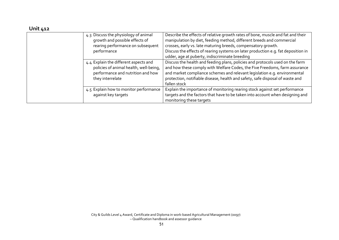|  | Unit 412 |  |
|--|----------|--|
|  |          |  |
|  |          |  |

| 4.3 Discuss the physiology of animal<br>growth and possible effects of<br>rearing performance on subsequent<br>performance               | Describe the effects of relative growth rates of bone, muscle and fat and their<br>manipulation by diet, feeding method, different breeds and commercial<br>crosses, early vs. late maturing breeds, compensatory growth.<br>Discuss the effects of rearing systems on later production e.g. fat deposition in<br>udder, age at puberty, indiscriminate breeding |
|------------------------------------------------------------------------------------------------------------------------------------------|------------------------------------------------------------------------------------------------------------------------------------------------------------------------------------------------------------------------------------------------------------------------------------------------------------------------------------------------------------------|
| 4.4 Explain the different aspects and<br>policies of animal health, well-being,<br>performance and nutrition and how<br>they interrelate | Discuss the health and feeding plans, policies and protocols used on the farm<br>and how these comply with Welfare Codes, the Five Freedoms, farm assurance<br>and market compliance schemes and relevant legislation e.g. environmental<br>protection, notifiable disease, health and safety, safe disposal of waste and<br>fallen stock                        |
| 4.5 Explain how to monitor performance<br>against key targets                                                                            | Explain the importance of monitoring rearing stock against set performance<br>targets and the factors that have to be taken into account when designing and<br>monitoring these targets                                                                                                                                                                          |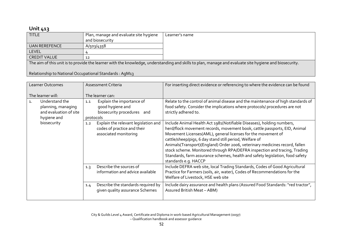| --                                                                                                                                                     |  |                |  |  |
|--------------------------------------------------------------------------------------------------------------------------------------------------------|--|----------------|--|--|
| <b>TITLE</b><br>Plan, manage and evaluate site hygiene                                                                                                 |  | Learner's name |  |  |
| and biosecurity                                                                                                                                        |  |                |  |  |
| UAN REREFENCE<br>A/503/4358                                                                                                                            |  |                |  |  |
| <b>LEVEL</b>                                                                                                                                           |  |                |  |  |
| <b>CREDIT VALUE</b>                                                                                                                                    |  |                |  |  |
| The aim of this unit is to provide the learner with the knowledge, understanding and skills to plan, manage and evaluate site hygiene and biosecurity. |  |                |  |  |

Relationship to National Occupational Standards : AgM13

| <b>Learner Outcomes</b>                                                             | <b>Assessment Criteria</b>                                                                          | For inserting direct evidence or referencing to where the evidence can be found                                                                                                                                                                                                                                                                                                                                                                                                                                                                     |
|-------------------------------------------------------------------------------------|-----------------------------------------------------------------------------------------------------|-----------------------------------------------------------------------------------------------------------------------------------------------------------------------------------------------------------------------------------------------------------------------------------------------------------------------------------------------------------------------------------------------------------------------------------------------------------------------------------------------------------------------------------------------------|
| The learner will:                                                                   | The learner can:                                                                                    |                                                                                                                                                                                                                                                                                                                                                                                                                                                                                                                                                     |
| Understand the<br>1.<br>planning, managing<br>and evaluation of site<br>hygiene and | Explain the importance of<br>1.1<br>good hygiene and<br>biosecurity procedures and<br>protocols     | Relate to the control of animal disease and the maintenance of high standards of<br>food safety. Consider the implications where protocols/ procedures are not<br>strictly adhered to.                                                                                                                                                                                                                                                                                                                                                              |
| biosecurity                                                                         | Explain the relevant legislation and<br>1.2<br>codes of practice and their<br>associated monitoring | Include Animal Health Act 1981 (Notifiable Diseases), holding numbers,<br>herd/flock movement records, movement book, cattle passports, EID, Animal<br>Movement Licenses(AML), general licenses for the movement of<br>cattle/sheep/pigs, 6 day stand still period, Welfare of<br>Animals(Transport)(England) Order 2006, veterinary medicines record, fallen<br>stock scheme. Monitored through RPA/DEFRA inspection and tracing, Trading<br>Standards, farm assurance schemes, health and safety legislation, food safety<br>standards e.g. HACCP |
|                                                                                     | Describe the sources of<br>1.3<br>information and advice available                                  | Include DEFRA web site, local Trading Standards, Codes of Good Agricultural<br>Practice for Farmers (soils, air, water), Codes of Recommendations for the<br>Welfare of Livestock, HSE web site                                                                                                                                                                                                                                                                                                                                                     |
|                                                                                     | Describe the standards required by<br>1.4<br>given quality assurance Schemes                        | Include dairy assurance and health plans (Assured Food Standards: "red tractor",<br>Assured British Meat - ABM)                                                                                                                                                                                                                                                                                                                                                                                                                                     |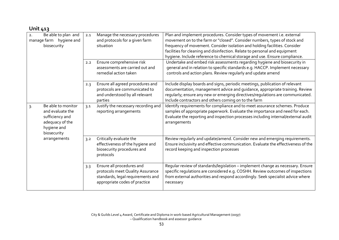|                | Unit 413                                                                                                   |     |                                                                                                                                     |                                                                                                                                                                                                                                                                                                                                                                                                |
|----------------|------------------------------------------------------------------------------------------------------------|-----|-------------------------------------------------------------------------------------------------------------------------------------|------------------------------------------------------------------------------------------------------------------------------------------------------------------------------------------------------------------------------------------------------------------------------------------------------------------------------------------------------------------------------------------------|
| 2.             | Be able to plan and<br>manage farm hygiene and<br>biosecurity                                              | 2.1 | Manage the necessary procedures<br>and protocols for a given farm<br>situation                                                      | Plan and implement procedures. Consider types of movement i.e. external<br>movement on to the farm or "closed". Consider numbers, types of stock and<br>frequency of movement. Consider isolation and holding facilities. Consider<br>facilities for cleaning and disinfection. Relate to personal and equipment<br>hygiene. Include reference to chemical storage and use. Ensure compliance. |
|                |                                                                                                            | 2.2 | Ensure comprehensive risk<br>assessments are carried out and<br>remedial action taken                                               | Undertake and embed risk assessments regarding hygiene and biosecurity in<br>general and in relation to specific standards e.g. HACCP. Implement necessary<br>controls and action plans. Review regularly and update amend                                                                                                                                                                     |
|                |                                                                                                            | 2.3 | Ensure all agreed procedures and<br>protocols are communicated to<br>and understood by all relevant<br>parties                      | Include display boards and signs, periodic meetings, publication of relevant<br>documentation, management advice and guidance, appropriate training. Review<br>regularly; ensure any new or emerging directives/regulations are communicated.<br>Include contractors and others coming on to the farm                                                                                          |
| $\overline{3}$ | Be able to monitor<br>and evaluate the<br>sufficiency and<br>adequacy of the<br>hygiene and<br>biosecurity | 3.1 | Justify the necessary recording and<br>reporting arrangements                                                                       | Identify requirements for compliance and to meet assurance schemes. Produce<br>samples of appropriate paperwork. Evaluate the importance and need for each.<br>Evaluate the reporting and inspection processes including internal/external audit<br>arrangements                                                                                                                               |
|                | arrangements                                                                                               | 3.2 | Critically evaluate the<br>effectiveness of the hygiene and<br>biosecurity procedures and<br>protocols                              | Review regularly and update/amend. Consider new and emerging requirements.<br>Ensure inclusivity and effective communication. Evaluate the effectiveness of the<br>record keeping and inspection processes                                                                                                                                                                                     |
|                |                                                                                                            | 3.3 | Ensure all procedures and<br>protocols meet Quality Assurance<br>standards, legal requirements and<br>appropriate codes of practice | Regular review of standards/legislation - implement change as necessary. Ensure<br>specific regulations are considered e.g. COSHH. Review outcomes of inspections<br>from external authorities and respond accordingly. Seek specialist advice where<br>necessary                                                                                                                              |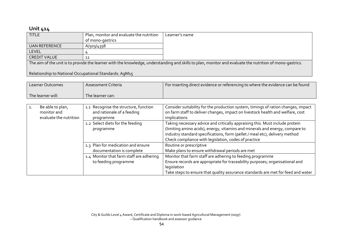| <b>TITLE</b>                                                                                                                                             | Plan, monitor and evaluate the nutrition | Learner's name |  |  |
|----------------------------------------------------------------------------------------------------------------------------------------------------------|------------------------------------------|----------------|--|--|
|                                                                                                                                                          | of mono-gastrics                         |                |  |  |
| UAN REFERENCE<br>A/503/4358                                                                                                                              |                                          |                |  |  |
| LEVEL                                                                                                                                                    |                                          |                |  |  |
| <b>CREDIT VALUE</b><br>12                                                                                                                                |                                          |                |  |  |
| The aim of the unit is to provide the learner with the knowledge, understanding and skills to plan, monitor and evaluate the nutrition of mono-gastrics. |                                          |                |  |  |

Relationship to National Occupational Standards: AgM15

| Learner Outcomes  | Assessment Criteria | <sup>1</sup> For inserting direct evidence or referencing to where the evidence can be found |
|-------------------|---------------------|----------------------------------------------------------------------------------------------|
| The learner will: | The learner can:    |                                                                                              |

| Be able to plan,<br>monitor and | 1.1 Recognise the structure, function<br>and rationale of a feeding | Consider suitability for the production system, timings of ration changes, impact<br>on farm staff to deliver changes, impact on livestock health and welfare, cost |
|---------------------------------|---------------------------------------------------------------------|---------------------------------------------------------------------------------------------------------------------------------------------------------------------|
| evaluate the nutrition          | programme                                                           | implications                                                                                                                                                        |
|                                 | 1.2 Select diets for the feeding                                    | Taking necessary advice and critically appraising this. Must include protein                                                                                        |
|                                 | programme                                                           | (limiting amino acids), energy, vitamins and minerals and energy, compare to                                                                                        |
|                                 |                                                                     | industry standard specifications, form (pellet / meal etc), delivery method                                                                                         |
|                                 |                                                                     | Check compliance with legislation, codes of practice                                                                                                                |
|                                 | 1.3 Plan for medication and ensure                                  | Routine or prescriptive                                                                                                                                             |
|                                 | documentation is complete                                           | Make plans to ensure withdrawal periods are met                                                                                                                     |
|                                 | 1.4 Monitor that farm staff are adhering                            | Monitor that farm staff are adhering to feeding programme                                                                                                           |
|                                 | to feeding programme                                                | Ensure records are appropriate for traceability purposes; organisational and                                                                                        |
|                                 |                                                                     | legislation                                                                                                                                                         |
|                                 |                                                                     | Take steps to ensure that quality assurance standards are met for feed and water                                                                                    |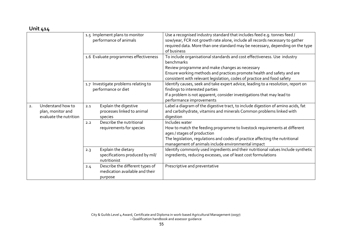| <b>Unit 414</b> |  |
|-----------------|--|
|-----------------|--|

|    |                                                                  |     | 1.5 Implement plans to monitor<br>performance of animals                     | Use a recognised industry standard that includes feed e.g. tonnes feed /<br>sow/year, FCR not growth rate alone, include all records necessary to gather<br>required data. More than one standard may be necessary, depending on the type<br>of business                                      |
|----|------------------------------------------------------------------|-----|------------------------------------------------------------------------------|-----------------------------------------------------------------------------------------------------------------------------------------------------------------------------------------------------------------------------------------------------------------------------------------------|
|    |                                                                  |     | 1.6 Evaluate programmes effectiveness                                        | To include organisational standards and cost effectiveness. Use industry<br>benchmarks<br>Review programme and make changes as necessary<br>Ensure working methods and practices promote health and safety and are<br>consistent with relevant legislation, codes of practice and food safety |
|    |                                                                  |     | 1.7 Investigate problems relating to<br>performance or diet                  | Identify causes, seek and take expert advice, leading to a resolution, report on<br>findings to interested parties<br>If a problem is not apparent, consider investigations that may lead to<br>performance improvements                                                                      |
| 2. | Understand how to<br>plan, monitor and<br>evaluate the nutrition | 2.1 | Explain the digestive<br>processes linked to animal<br>species               | Label a diagram of the digestive tract, to include digestion of amino acids, fat<br>and carbohydrate, vitamins and minerals Common problems linked with<br>digestion                                                                                                                          |
|    |                                                                  | 2.2 | Describe the nutritional<br>requirements for species                         | Includes water<br>How to match the feeding programme to livestock requirements at different<br>ages / stages of production<br>The legislation, regulations and codes of practice affecting the nutritional<br>management of animals include environmental impact                              |
|    |                                                                  | 2.3 | Explain the dietary<br>specifications produced by mil/<br>nutritionist       | Identify commonly used ingredients and their nutritional values Include synthetic<br>ingredients, reducing excesses, use of least cost formulations                                                                                                                                           |
|    |                                                                  | 2.4 | Describe the different types of<br>medication available and their<br>purpose | Prescriptive and preventative                                                                                                                                                                                                                                                                 |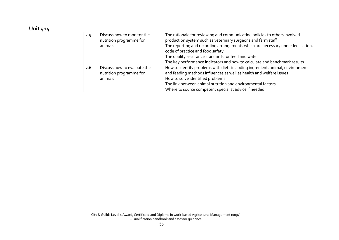| 2.5 | Discuss how to monitor the<br>nutrition programme for<br>animals  | The rationale for reviewing and communicating policies to others involved<br>production system such as veterinary surgeons and farm staff<br>The reporting and recording arrangements which are necessary under legislation,<br>code of practice and food safety<br>The quality assurance standards for feed and water<br>The key performance indicators and how to calculate and benchmark results |
|-----|-------------------------------------------------------------------|-----------------------------------------------------------------------------------------------------------------------------------------------------------------------------------------------------------------------------------------------------------------------------------------------------------------------------------------------------------------------------------------------------|
| 2.6 | Discuss how to evaluate the<br>nutrition programme for<br>animals | How to identify problems with diets including ingredient, animal, environment<br>and feeding methods influences as well as health and welfare issues<br>How to solve identified problems<br>The link between animal nutrition and environmental factors<br>Where to source competent specialist advice if needed                                                                                    |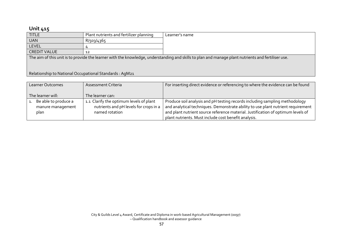| <b>TITLE</b>                                                                                                                                       | Plant nutrients and fertilizer planning | Learner's name |  |  |  |
|----------------------------------------------------------------------------------------------------------------------------------------------------|-----------------------------------------|----------------|--|--|--|
| <b>UAN</b>                                                                                                                                         | R/503/4365                              |                |  |  |  |
| <b>LEVEL</b>                                                                                                                                       |                                         |                |  |  |  |
| CREDIT VALUE                                                                                                                                       |                                         |                |  |  |  |
| The aim of this unit is to provide the learner with the knowledge, understanding and skills to plan and manage plant nutrients and fertiliser use. |                                         |                |  |  |  |

Relationship to National Occupational Standards : AgM21

| <b>Learner Outcomes</b>               |                                           | Assessment Criteria                                                               | For inserting direct evidence or referencing to where the evidence can be found                                                                                 |
|---------------------------------------|-------------------------------------------|-----------------------------------------------------------------------------------|-----------------------------------------------------------------------------------------------------------------------------------------------------------------|
| The learner will:<br>The learner can: |                                           |                                                                                   |                                                                                                                                                                 |
|                                       | Be able to produce a<br>manure management | 1.1 Clarify the optimum levels of plant<br>nutrients and pH levels for crops in a | Produce soil analysis and pH testing records including sampling methodology<br>and analytical techniques. Demonstrate ability to use plant nutrient requirement |
|                                       | plan                                      | named rotation                                                                    | and plant nutrient source reference material. Justification of optimum levels of<br>plant nutrients. Must include cost benefit analysis.                        |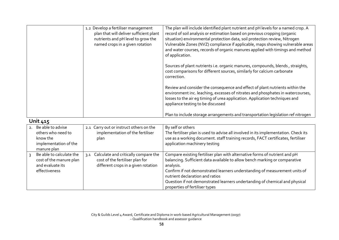| 1.2 Develop a fertiliser management<br>plan that will deliver sufficient plant<br>nutrients and pH level to grow the<br>named crops in a given rotation | The plan will include identified plant nutrient and pH levels for a named crop. A<br>record of soil analysis or estimation based on previous cropping (organic<br>situation) environmental protection data, soil protection review, Nitrogen<br>Vulnerable Zones (NVZ) compliance if applicable, maps showing vulnerable areas<br>and water courses, records of organic manures applied with timings and method<br>of application. |
|---------------------------------------------------------------------------------------------------------------------------------------------------------|------------------------------------------------------------------------------------------------------------------------------------------------------------------------------------------------------------------------------------------------------------------------------------------------------------------------------------------------------------------------------------------------------------------------------------|
|                                                                                                                                                         | Sources of plant nutrients i.e. organic manures, compounds, blends, straights,<br>cost comparisons for different sources, similarly for calcium carbonate<br>correction.                                                                                                                                                                                                                                                           |
|                                                                                                                                                         | Review and consider the consequence and effect of plant nutrients within the<br>environment inc. leaching, excesses of nitrates and phosphates in watercourses,<br>losses to the air eq timing of urea application. Application techniques and<br>appliance testing to be discussed                                                                                                                                                |
|                                                                                                                                                         | Plan to include storage arrangements and transportation legislation ref nitrogen                                                                                                                                                                                                                                                                                                                                                   |

|   | _____                                                                                          |                                                                                                                    |                                                                                                                                                                                                                                                                                                                                                                                                         |
|---|------------------------------------------------------------------------------------------------|--------------------------------------------------------------------------------------------------------------------|---------------------------------------------------------------------------------------------------------------------------------------------------------------------------------------------------------------------------------------------------------------------------------------------------------------------------------------------------------------------------------------------------------|
|   | 2. Be able to advise<br>others who need to<br>know the<br>implementation of the<br>manure plan | 2.1 Carry out or instruct others on the<br>implementation of the fertiliser<br>plan                                | By self or others<br>The fertiliser plan is used to advise all involved in its implementation. Check its<br>use as a working document. staff training records, FACT certificates, fertiliser<br>application machinery testing                                                                                                                                                                           |
| २ | Be able to calculate the<br>cost of the manure plan<br>and evaluate its<br>effectiveness       | 3.1 Calculate and critically compare the<br>cost of the fertiliser plan for<br>different crops in a given rotation | Compare existing fertiliser plan with alternative forms of nutrient and pH<br>balancing. Sufficient data available to allow bench marking or comparative<br>analysis.<br>Confirm if not demonstrated learners understanding of measurement units of<br>nutrient declaration and ratios<br>Question if not demonstrated learners undertanding of chemical and physical<br>properties of fertiliser types |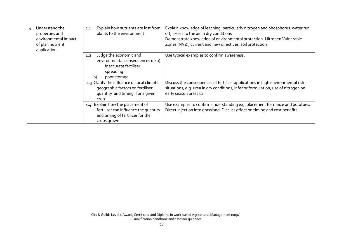|  | 4. Understand the<br>properties and<br>environmental impact<br>of plan nutrient<br>application | 4.1 | Explain how nutrients are lost from<br>plants to the environment                                                             | Explain knowledge of leaching, particularly nitrogen and phosphorus. water run<br>off, losses to the air in dry conditions<br>Demonstrate knowledge of environmental protection. Nitrogen Vulnerable<br>Zones (NVZ), current and new directives, soil protection |
|--|------------------------------------------------------------------------------------------------|-----|------------------------------------------------------------------------------------------------------------------------------|------------------------------------------------------------------------------------------------------------------------------------------------------------------------------------------------------------------------------------------------------------------|
|  |                                                                                                | 4.2 | Judge the economic and<br>environmental consequences of: a)<br>Inaccurate fertiliser<br>spreading<br>b)<br>poor storage      | Use typical examples to confirm awareness.                                                                                                                                                                                                                       |
|  |                                                                                                |     | 4.3 Clarify the influence of local climate<br>geographic factors on fertiliser<br>quantity and timing for a given<br>crop    | Discuss the consequences of fertiliser applications in high environmental risk<br>situations, e.g. urea in dry conditions, inferior formulation, use of nitrogen on<br>early season brassica                                                                     |
|  |                                                                                                |     | 4.4 Explain how the placement of<br>fertiliser can influence the quantity<br>and timing of fertilizer for the<br>crops grown | Use examples to confirm understanding e.g. placement for maize and potatoes.<br>Direct injection into grassland. Discuss effect on timing and cost benefits                                                                                                      |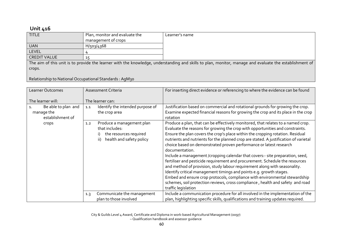| TITLE               | Plan, monitor and evaluate the<br>management of crops | Learner's name |
|---------------------|-------------------------------------------------------|----------------|
| <b>UAN</b>          | H/503/4368                                            |                |
| LEVEL               |                                                       |                |
| <b>CREDIT VALUE</b> |                                                       |                |

The aim of this unit is to provide the learner with the knowledge, understanding and skills to plan, monitor, manage and evaluate the establishment of crops.

Relationship to National Occupational Standards : AgM30

| <b>Learner Outcomes</b>                               | Assessment Criteria                                                                                             | For inserting direct evidence or referencing to where the evidence can be found                                                                                                                                                                                                                                                                                                                                                                                                                                                                                                                                                                                                                                                                                                                                                                                                                                                                 |
|-------------------------------------------------------|-----------------------------------------------------------------------------------------------------------------|-------------------------------------------------------------------------------------------------------------------------------------------------------------------------------------------------------------------------------------------------------------------------------------------------------------------------------------------------------------------------------------------------------------------------------------------------------------------------------------------------------------------------------------------------------------------------------------------------------------------------------------------------------------------------------------------------------------------------------------------------------------------------------------------------------------------------------------------------------------------------------------------------------------------------------------------------|
| The learner will:                                     | The learner can:                                                                                                |                                                                                                                                                                                                                                                                                                                                                                                                                                                                                                                                                                                                                                                                                                                                                                                                                                                                                                                                                 |
| Be able to plan and<br>manage the<br>establishment of | Identify the intended purpose of<br>1.1<br>the crop area                                                        | Justification based on commercial and rotational grounds for growing the crop.<br>Examine expected financial reasons for growing the crop and its place in the crop<br>rotation                                                                                                                                                                                                                                                                                                                                                                                                                                                                                                                                                                                                                                                                                                                                                                 |
| crops                                                 | Produce a management plan<br>1.2<br>that includes:<br>the resources required<br>health and safety policy<br>ii) | Produce a plan, that can be effectively monitored, that relates to a named crop.<br>Evaluate the reasons for growing the crop with opportunities and constraints.<br>Ensure the plan covers the crop's place within the cropping rotation. Residual<br>nutrients and nutrients for the planned crop are stated. A justification of varietal<br>choice based on demonstrated proven performance or latest research<br>documentation.<br>Include a management /cropping calendar that covers:- site preparation, seed,<br>fertiliser and pesticide requirement and procurement. Schedule the resources<br>and method of provision, study labour requirement along with seasonality.<br>Identify critical management timings and points e.g. growth stages.<br>Embed and ensure crop protocols, compliance with environmental stewardship<br>schemes, soil protection reviews, cross compliance, health and safety and road<br>traffic legislation |
|                                                       | Communicate the management<br>1.3<br>plan to those involved                                                     | Include a communication procedure for all involved in the implementation of the<br>plan, highlighting specific skills, qualifications and training updates required.                                                                                                                                                                                                                                                                                                                                                                                                                                                                                                                                                                                                                                                                                                                                                                            |

City & Guilds Level 4 Award, Certificate and Diploma in work-based Agricultural Management (0097) – Qualification handbook and assessor guidance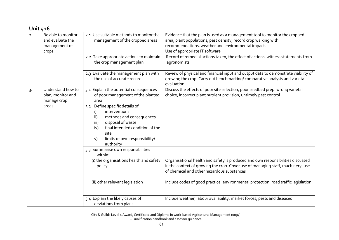| Be able to monitor<br>2.<br>and evaluate the<br>management of<br>crops | 2.1 Use suitable methods to monitor the<br>management of the cropped areas<br>2.2 Take appropriate actions to maintain<br>the crop management plan<br>2.3 Evaluate the management plan with<br>the use of accurate records                                                                                         | Evidence that the plan is used as a management tool to monitor the cropped<br>area, plant populations, pest density, record crop walking with<br>recommendations, weather and environmental impact.<br>Use of appropriate IT software<br>Record of remedial actions taken, the effect of actions, witness statements from<br>agronomists<br>Review of physical and financial input and output data to demonstrate viability of<br>growing the crop. Carry out benchmarking/comparative analysis and varietal |
|------------------------------------------------------------------------|--------------------------------------------------------------------------------------------------------------------------------------------------------------------------------------------------------------------------------------------------------------------------------------------------------------------|--------------------------------------------------------------------------------------------------------------------------------------------------------------------------------------------------------------------------------------------------------------------------------------------------------------------------------------------------------------------------------------------------------------------------------------------------------------------------------------------------------------|
| Understand how to<br>3.<br>plan, monitor and<br>manage crop<br>areas   | 3.1 Explain the potential consequences<br>of poor management of the planted<br>area<br>3.2 Define specific details of<br>interventions<br>i)<br>methods and consequences<br>ii)<br>disposal of waste<br>iii)<br>final intended condition of the<br>iv)<br>site<br>limits of own responsibility/<br>V)<br>authority | evaluation<br>Discuss the effects of poor site selection, poor seedbed prep. wrong varietal<br>choice, incorrect plant nutrient provision, untimely pest control                                                                                                                                                                                                                                                                                                                                             |
|                                                                        | 3.3 Summarise own responsibilities<br>within:<br>(i) the organisations health and safety<br>policy<br>(ii) other relevant legislation<br>3.4 Explain the likely causes of<br>deviations from plans                                                                                                                 | Organisational health and safety is produced and own responsibilities discussed<br>in the context of growing the crop. Cover use of managing staff, machinery, use<br>of chemical and other hazardous substances<br>Include codes of good practice, environmental protection, road traffic legislation<br>Include weather, labour availability, market forces, pests and diseases                                                                                                                            |

City & Guilds Level 4 Award, Certificate and Diploma in work-based Agricultural Management (0097) – Qualification handbook and assessor guidance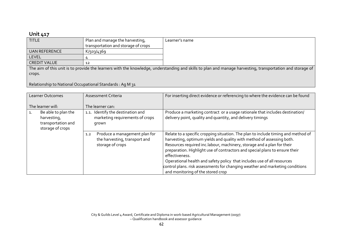| <b>TITLE</b>                                                                                                                                              | Plan and manage the harvesting,     | Learner's name |  |  |
|-----------------------------------------------------------------------------------------------------------------------------------------------------------|-------------------------------------|----------------|--|--|
|                                                                                                                                                           | transportation and storage of crops |                |  |  |
| UAN REFERENCE                                                                                                                                             | K/503/4369                          |                |  |  |
| <b>LEVEL</b>                                                                                                                                              |                                     |                |  |  |
| <b>CREDIT VALUE</b>                                                                                                                                       | 12                                  |                |  |  |
| The aim of this unit is to provide the learners with the knowledge, understanding and skills to plan and manage harvesting, transportation and storage of |                                     |                |  |  |
| crops.                                                                                                                                                    |                                     |                |  |  |
|                                                                                                                                                           |                                     |                |  |  |

Relationship to National Occupational Standards : Ag M 31

| <b>Learner Outcomes</b>                                                      | Assessment Criteria |                                                                                    | For inserting direct evidence or referencing to where the evidence can be found                                                                                                                                                                                                                                                                                                                                                                                                                                                        |
|------------------------------------------------------------------------------|---------------------|------------------------------------------------------------------------------------|----------------------------------------------------------------------------------------------------------------------------------------------------------------------------------------------------------------------------------------------------------------------------------------------------------------------------------------------------------------------------------------------------------------------------------------------------------------------------------------------------------------------------------------|
| The learner will:                                                            | The learner can:    |                                                                                    |                                                                                                                                                                                                                                                                                                                                                                                                                                                                                                                                        |
| Be able to plan the<br>harvesting,<br>transportation and<br>storage of crops | grown               | 1.1. Identify the destination and<br>marketing requirements of crops               | Produce a marketing contract or a usage rationale that includes destination/<br>delivery point, quality and quantity, and delivery timings                                                                                                                                                                                                                                                                                                                                                                                             |
|                                                                              | 1.2                 | Produce a management plan for<br>the harvesting, transport and<br>storage of crops | Relate to a specific cropping situation. The plan to include timing and method of<br>harvesting, optimum yields and quality with method of assessing both.<br>Resources required inc.labour, machinery, storage and a plan for their<br>preparation. Highlight use of contractors and special plans to ensure their<br>effectiveness.<br>Operational health and safety policy that includes use of all resources<br>control plans. risk assessments for changing weather and marketing conditions<br>and monitoring of the stored crop |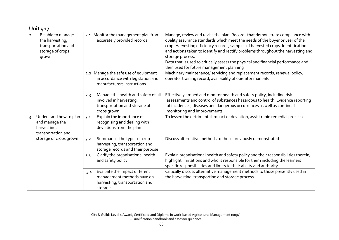|    | <b>Unit 417</b>                                                                         |                                                                                                                       |                                                                                                                                                                                                                                                                                                                                                                                                                                                                                          |  |  |
|----|-----------------------------------------------------------------------------------------|-----------------------------------------------------------------------------------------------------------------------|------------------------------------------------------------------------------------------------------------------------------------------------------------------------------------------------------------------------------------------------------------------------------------------------------------------------------------------------------------------------------------------------------------------------------------------------------------------------------------------|--|--|
| 2. | Be able to manage<br>the harvesting,<br>transportation and<br>storage of crops<br>grown | 2.1 Monitor the management plan from<br>accurately provided records                                                   | Manage, review and revise the plan. Records that demonstrate compliance with<br>quality assurance standards which meet the needs of the buyer or user of the<br>crop. Harvesting efficiency records, samples of harvested crops. Identification<br>and actions taken to identify and rectify problems throughout the harvesting and<br>storage process.<br>Data that is used to critically assess the physical and financial performance and<br>then used for future management planning |  |  |
|    |                                                                                         | 2.2 Manage the safe use of equipment<br>in accordance with legislation and<br>manufacturers instructions              | Machinery maintenance/ servicing and replacement records, renewal policy,<br>operator training record, availability of operator manuals                                                                                                                                                                                                                                                                                                                                                  |  |  |
|    |                                                                                         | Manage the health and safety of all<br>2.3<br>involved in harvesting,<br>transportation and storage of<br>crops grown | Effectively embed and monitor health and safety policy, including risk<br>assessments and control of substances hazardous to health. Evidence reporting<br>of incidences, diseases and dangerous occurrences as well as continual<br>monitoring and improvements                                                                                                                                                                                                                         |  |  |
| 3. | Understand how to plan<br>and manage the<br>harvesting,<br>transportation and           | Explain the importance of<br>3.1<br>recognising and dealing with<br>deviations from the plan                          | To lessen the detrimental impact of deviation, assist rapid remedial processes                                                                                                                                                                                                                                                                                                                                                                                                           |  |  |
|    | storage or crops grown                                                                  | Summarise the types of crop<br>3.2<br>harvesting, transportation and<br>storage records and their purpose             | Discuss alternative methods to those previously demonstrated                                                                                                                                                                                                                                                                                                                                                                                                                             |  |  |
|    |                                                                                         | Clarify the organisational health<br>3.3<br>and safety policy                                                         | Explain organisational health and safety policy and their responsibilities therein,<br>highlight limitations and who is responsible for them including the learners<br>specific responsibilities and limits to their ability and authority                                                                                                                                                                                                                                               |  |  |
|    |                                                                                         | Evaluate the impact different<br>3.4<br>management methods have on<br>harvesting, transportation and<br>storage       | Critically discuss alternative management methods to those presently used in<br>the harvesting, transporting and storage process                                                                                                                                                                                                                                                                                                                                                         |  |  |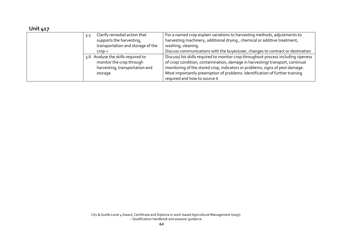| Clarify remedial action that<br>3.5 | For a named crop explain variations to harvesting methods, adjustments to          |
|-------------------------------------|------------------------------------------------------------------------------------|
| supports the harvesting,            | harvesting machinery, additional drying, chemical or additive treatment,           |
| transportation and storage of the   | washing, cleaning.                                                                 |
| $C \cap D =$                        | Discuss communications with the buyer/user, changes to contract or destination     |
| 3.6 Analyse the skills required to  | Discuss/list skills required to monitor crop throughout process including ripeness |
| monitor the crop through            | of crop/ condition, contamination, damage in harvesting/ transport, continual      |
| harvesting, transportation and      | monitoring of the stored crop, indicators or problems, signs of pest damage.       |
| storage                             | Most importantly preemption of problems. Identification of further training        |
|                                     | required and how to source it                                                      |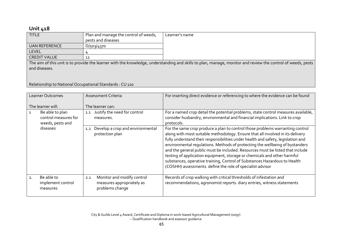| <b>TITLE</b><br>Plan and manage the control of weeds, |                    | Learner's name |
|-------------------------------------------------------|--------------------|----------------|
|                                                       | pests and diseases |                |
| UAN REFERENCE                                         | D/503/4370         |                |
| <b>LEVEL</b>                                          |                    |                |
| CREDIT VALUE                                          | 12                 |                |

The aim of this unit is to provide the learner with the knowledge, understanding and skills to plan, manage, monitor and review the control of weeds, pests and diseases.

#### Relationship to National Occupational Standards : CU 110

| <b>Learner Outcomes</b><br>The learner will: |                                                                         | <b>Assessment Criteria</b><br>The learner can:                                    | For inserting direct evidence or referencing to where the evidence can be found                                                                                                                                                                                                                                                                                                                                                                                                                                                                                                                                                              |
|----------------------------------------------|-------------------------------------------------------------------------|-----------------------------------------------------------------------------------|----------------------------------------------------------------------------------------------------------------------------------------------------------------------------------------------------------------------------------------------------------------------------------------------------------------------------------------------------------------------------------------------------------------------------------------------------------------------------------------------------------------------------------------------------------------------------------------------------------------------------------------------|
|                                              | Be able to plan<br>control measures for<br>weeds, pests and<br>diseases | Justify the need for control<br>1.1<br>measures.                                  | For a named crop detail the potential problems, state control measures available,<br>consider husbandry, environmental and financial implications. Link to crop<br>protocols.                                                                                                                                                                                                                                                                                                                                                                                                                                                                |
|                                              |                                                                         | Develop a crop and environmental<br>1.2<br>protection plan                        | For the same crop produce a plan to control those problems warranting control<br>along with most suitable methodology. Ensure that all involved in its delivery<br>fully understand their responsibilities under health and safety, legislation and<br>environmental regulations. Methods of protecting the wellbeing of bystanders<br>and the general public must be included. Resources must be listed that include<br>testing of application equipment, storage or chemicals and other harmful<br>substances, operative training, Control of Substances Hazardous to Health<br>(COSHH) assessments. define the role of specialist advisor |
| 2.                                           | Be able to<br>implement control<br>measures                             | Monitor and modify control<br>2.1<br>measures appropriately as<br>problems change | Records of crop walking with critical thresholds of infestation and<br>recommendations, agronomist reports. diary entries, witness statements                                                                                                                                                                                                                                                                                                                                                                                                                                                                                                |

City & Guilds Level 4 Award, Certificate and Diploma in work-based Agricultural Management (0097) – Qualification handbook and assessor guidance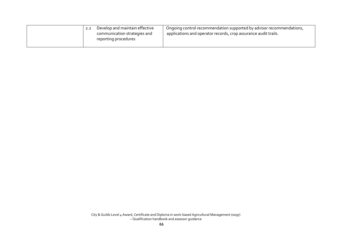| Develop and maintain effective<br>$\overline{2.2}$<br>communication strategies and<br>reporting procedures | Ongoing control recommendation supported by advisor recommendations,<br>applications and operator records, crop assurance audit trails. |
|------------------------------------------------------------------------------------------------------------|-----------------------------------------------------------------------------------------------------------------------------------------|
|------------------------------------------------------------------------------------------------------------|-----------------------------------------------------------------------------------------------------------------------------------------|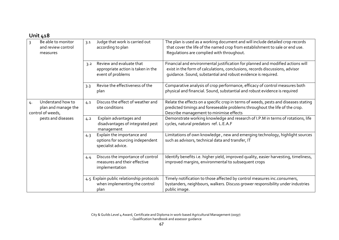| Be able to monitor<br>$\overline{3}$<br>and review control<br>measures | Judge that work is carried out<br>3.1<br>according to plan                                  | The plan is used as a working document and will include detailed crop records<br>that cover the life of the named crop from establishment to sale or end use.<br>Regulations are complied with throughout.                       |
|------------------------------------------------------------------------|---------------------------------------------------------------------------------------------|----------------------------------------------------------------------------------------------------------------------------------------------------------------------------------------------------------------------------------|
|                                                                        | Review and evaluate that<br>3.2<br>appropriate action is taken in the<br>event of problems  | Financial and environmental justification for planned and modified actions will<br>exist in the form of calculations, conclusions, records discussions, advisor<br>guidance. Sound, substantial and robust evidence is required. |
|                                                                        | Revise the effectiveness of the<br>3.3<br>plan                                              | Comparative analysis of crop performance, efficacy of control measures both<br>physical and financial. Sound, substantial and robust evidence is required                                                                        |
| Understand how to<br>4.<br>plan and manage the<br>control of weeds,    | Discuss the effect of weather and<br>4.1<br>site conditions                                 | Relate the effects on a specific crop in terms of weeds, pests and diseases stating<br>predicted timings and foreseeable problems throughout the life of the crop.<br>Describe management to minimise effects                    |
| pests and diseases                                                     | Explain advantages and<br>4.2<br>disadvantages of integrated pest<br>management             | Demonstrate working knowledge and research of I.P.M in terms of rotations, life<br>cycles, natural predators ref. L.E.A.F                                                                                                        |
|                                                                        | Explain the importance and<br>4.3<br>options for sourcing independent<br>specialist advice. | Limitations of own knowledge, new and emerging technology, highlight sources<br>such as advisors, technical data and transfer, IT                                                                                                |
|                                                                        | Discuss the importance of control<br>4.4<br>measures and their effective<br>implementation  | Identify benefits i.e. higher yield, improved quality, easier harvesting, timeliness,<br>improved margins, environmental to subsequent crops                                                                                     |
|                                                                        | 4.5 Explain public relationship protocols<br>when implementing the control<br>plan          | Timely notification to those affected by control measures inc.consumers,<br>bystanders, neighbours, walkers. Discuss grower responsibility under industries<br>public image.                                                     |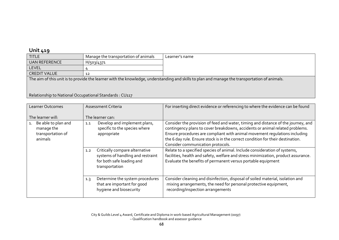| <b>TITLE</b>                                                                                                                                  | Manage the transportation of animals | Learner's name |  |  |
|-----------------------------------------------------------------------------------------------------------------------------------------------|--------------------------------------|----------------|--|--|
| <b>UAN REFERENCE</b>                                                                                                                          | H/503/4371                           |                |  |  |
| <b>LEVEL</b>                                                                                                                                  |                                      |                |  |  |
| <b>CREDIT VALUE</b>                                                                                                                           | 12                                   |                |  |  |
| The aim of this unit is to provide the learner with the knowledge, understanding and skills to plan and manage the transportation of animals. |                                      |                |  |  |
|                                                                                                                                               |                                      |                |  |  |
|                                                                                                                                               |                                      |                |  |  |
| Relationship to National Occupational Standards : CU117                                                                                       |                                      |                |  |  |

| <b>Learner Outcomes</b>                                           | Assessment Criteria                                                                                                       | For inserting direct evidence or referencing to where the evidence can be found                                                                                                                                                                                                                                                                                         |  |
|-------------------------------------------------------------------|---------------------------------------------------------------------------------------------------------------------------|-------------------------------------------------------------------------------------------------------------------------------------------------------------------------------------------------------------------------------------------------------------------------------------------------------------------------------------------------------------------------|--|
| The learner will:<br>The learner can:                             |                                                                                                                           |                                                                                                                                                                                                                                                                                                                                                                         |  |
| Be able to plan and<br>manage the<br>transportation of<br>animals | Develop and implement plans,<br>1.1<br>specific to the species where<br>appropriate                                       | Consider the provision of feed and water, timing and distance of the journey, and<br>contingency plans to cover breakdowns, accidents or animal related problems.<br>Ensure procedures are compliant with animal movement regulations including<br>the 6 day rule. Ensure stock is in the correct condition for their destination.<br>Consider communication protocols. |  |
|                                                                   | Critically compare alternative<br>1.2<br>systems of handling and restraint<br>for both safe loading and<br>transportation | Relate to a specified species of animal. Include consideration of systems,<br>facilities, health and safety, welfare and stress minimization, product assurance.<br>Evaluate the benefits of permanent versus portable equipment                                                                                                                                        |  |
|                                                                   | Determine the system procedures<br>1.3<br>that are important for good<br>hygiene and biosecurity                          | Consider cleaning and disinfection, disposal of soiled material, isolation and<br>mixing arrangements, the need for personal protective equipment,<br>recording/inspection arrangements                                                                                                                                                                                 |  |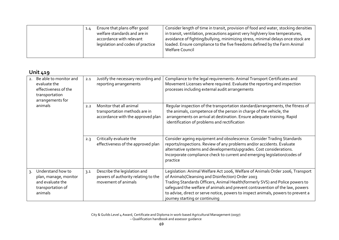| 1.4 | Ensure that plans offer good<br>welfare standards and are in<br>accordance with relevant<br>legislation and codes of practice | Consider length of time in transit, provision of food and water, stocking densities<br>in transit, ventilation, precautions against very high/very low temperatures,<br>avoidance of fighting/bullying, minimizing stress, minimal delays once stock are<br>loaded. Ensure compliance to the five freedoms defined by the Farm Animal<br>Welfare Council |
|-----|-------------------------------------------------------------------------------------------------------------------------------|----------------------------------------------------------------------------------------------------------------------------------------------------------------------------------------------------------------------------------------------------------------------------------------------------------------------------------------------------------|
|-----|-------------------------------------------------------------------------------------------------------------------------------|----------------------------------------------------------------------------------------------------------------------------------------------------------------------------------------------------------------------------------------------------------------------------------------------------------------------------------------------------------|

| 2.<br>evaluate the<br>effectiveness of the<br>transportation<br>arrangements for<br>animals | Be able to monitor and                                                                         | 2.1 | Justify the necessary recording and<br>reporting arrangements                                 | Compliance to the legal requirements: Animal Transport Certificates and<br>Movement Licenses where required. Evaluate the reporting and inspection<br>processes including external audit arrangements                                                                                                                                                                                                                       |
|---------------------------------------------------------------------------------------------|------------------------------------------------------------------------------------------------|-----|-----------------------------------------------------------------------------------------------|-----------------------------------------------------------------------------------------------------------------------------------------------------------------------------------------------------------------------------------------------------------------------------------------------------------------------------------------------------------------------------------------------------------------------------|
|                                                                                             |                                                                                                | 2.2 | Monitor that all animal<br>transportation methods are in<br>accordance with the approved plan | Regular inspection of the transportation standard/arrangements, the fitness of<br>the animals, competence of the person in charge of the vehicle, the<br>arrangements on arrival at destination. Ensure adequate training. Rapid<br>identification of problems and rectification                                                                                                                                            |
|                                                                                             |                                                                                                | 2.3 | Critically evaluate the<br>effectiveness of the approved plan                                 | Consider ageing equipment and obsolescence. Consider Trading Standards<br>reports/inspections. Review of any problems and/or accidents. Evaluate<br>alternative systems and developments/upgrades. Cost considerations.<br>Incorporate compliance check to current and emerging legislation/codes of<br>practice                                                                                                            |
| 3.                                                                                          | Understand how to<br>plan, manage, monitor<br>and evaluate the<br>transportation of<br>animals | 3.1 | Describe the legislation and<br>powers of authority relating to the<br>movement of animals    | Legislation: Animal Welfare Act 2006, Welfare of Animals Order 2006, Transport<br>of Animals(Cleansing and Disinfection) Order 2003<br>Trading Standards Officers, Animal Health(formerly SVS) and Police powers to<br>safequard the welfare of animals and prevent contravention of the law, powers<br>to advise, direct or serve notice, powers to inspect animals, powers to prevent a<br>journey starting or continuing |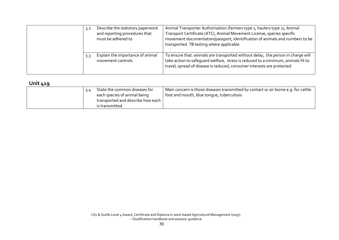| 3.2 | Describe the statutory paperwork<br>and reporting procedures that<br>must be adhered to | Animal Transporter Authorisation (farmers type 1, haulers type 2), Animal<br>Transport Certificate (ATC), Animal Movement License, species specific<br>movement documentation/passport, identification of animals and numbers to be<br>transported. TB testing where applicable |
|-----|-----------------------------------------------------------------------------------------|---------------------------------------------------------------------------------------------------------------------------------------------------------------------------------------------------------------------------------------------------------------------------------|
| 3.3 | Explain the importance of animal<br>movement controls                                   | To ensure that: animals are transported without delay, the person in charge will<br>take action to safeguard welfare, stress is reduced to a minimum, animals fit to<br>travel, spread of disease is reduced, consumer interests are protected                                  |

| State the common diseases for<br>each species of animal being<br>transported and describe how each<br>is transmitted | Main concern is those diseases transmitted by contact or air borne e.g. for cattle:<br>I foot and mouth, blue tongue, tuberculosis |
|----------------------------------------------------------------------------------------------------------------------|------------------------------------------------------------------------------------------------------------------------------------|
|----------------------------------------------------------------------------------------------------------------------|------------------------------------------------------------------------------------------------------------------------------------|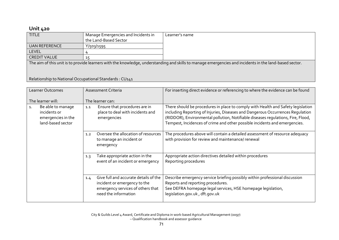| <b>TITLE</b>                                                           |                                                       |                                                                                                                                                                                            |
|------------------------------------------------------------------------|-------------------------------------------------------|--------------------------------------------------------------------------------------------------------------------------------------------------------------------------------------------|
|                                                                        | 'Manage Emergencies and Incidents in                  | Learner's name                                                                                                                                                                             |
|                                                                        | the Land-Based Sector                                 |                                                                                                                                                                                            |
| UAN REFERENCE                                                          | Y/503/1595                                            |                                                                                                                                                                                            |
| <b>LEVEL</b>                                                           |                                                       |                                                                                                                                                                                            |
| <b>CREDIT VALUE</b>                                                    |                                                       |                                                                                                                                                                                            |
| $-1$<br>$\sim$ $\sim$ $\sim$<br><b>Contract Contract Contract</b><br>. | $\cdots$ $\cdots$ $\cdots$<br>$\cdot$ $\cdot$ $\cdot$ | $\mathbf{1}$ $\mathbf{1}$ $\mathbf{1}$ $\mathbf{1}$ $\mathbf{1}$<br><b>The second contract of the second contract of the second contract of the second contract of the second contract</b> |

The aim of this unit is to provide learners with the knowledge, understanding and skills to manage emergencies and incidents in the land-based sector.

#### Relationship to National Occupational Standards : CU141

| <b>Learner Outcomes</b><br><b>Assessment Criteria</b>                              |                                                                                                                                           | For inserting direct evidence or referencing to where the evidence can be found                                                                                                                                                                                                                                                      |
|------------------------------------------------------------------------------------|-------------------------------------------------------------------------------------------------------------------------------------------|--------------------------------------------------------------------------------------------------------------------------------------------------------------------------------------------------------------------------------------------------------------------------------------------------------------------------------------|
| The learner will:                                                                  | The learner can:                                                                                                                          |                                                                                                                                                                                                                                                                                                                                      |
| Be able to manage<br>1.<br>incidents or<br>emergencies in the<br>land-based sector | Ensure that procedures are in<br>1.1<br>place to deal with incidents and<br>emergencies                                                   | There should be procedures in place to comply with Health and Safety legislation<br>including Reporting of Injuries, Diseases and Dangerous Occurrences Regulation<br>(RIDDOR), Environmental pollution, Notifiable diseases regulations, Fire, Flood,<br>Tempest, Incidences of crime and other possible incidents and emergencies. |
|                                                                                    | Oversee the allocation of resources<br>1.2<br>to manage an incident or<br>emergency                                                       | The procedures above will contain a detailed assessment of resource adequacy<br>with provision for review and maintenance/ renewal                                                                                                                                                                                                   |
|                                                                                    | Take appropriate action in the<br>1.3<br>event of an incident or emergency                                                                | Appropriate action directives detailed within procedures<br>Reporting procedures                                                                                                                                                                                                                                                     |
|                                                                                    | Give full and accurate details of the<br>1.4<br>incident or emergency to the<br>emergency services of others that<br>need the information | Describe emergency service briefing possibly within professional discussion<br>Reports and reporting procedures.<br>See DEFRA homepage legal services, HSE homepage legislation,<br>legislation.gov.uk, dft.gov.uk                                                                                                                   |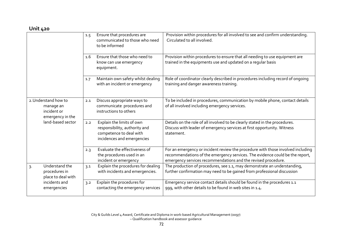|    |                                                                      | 1.5 | Ensure that procedures are<br>communicated to those who need<br>to be informed                                      | Provision within procedures for all involved to see and confirm understanding.<br>Circulated to all involved.                                                                                                                    |
|----|----------------------------------------------------------------------|-----|---------------------------------------------------------------------------------------------------------------------|----------------------------------------------------------------------------------------------------------------------------------------------------------------------------------------------------------------------------------|
|    |                                                                      | 1.6 | Ensure that those who need to<br>know can use emergency<br>equipment.                                               | Provision within procedures to ensure that all needing to use equipment are<br>trained in the equipments use and updated on a regular basis                                                                                      |
|    |                                                                      | 1.7 | Maintain own safety whilst dealing<br>with an incident or emergency                                                 | Role of coordinator clearly described in procedures including record of ongoing<br>training and danger awareness training.                                                                                                       |
|    | 2. Understand how to<br>manage an<br>incident or<br>emergency in the | 2.1 | Discuss appropriate ways to<br>communicate procedures and<br>instructions to others                                 | To be included in procedures, communication by mobile phone, contact details<br>of all involved including emergency services.                                                                                                    |
|    | land-based sector                                                    | 2.2 | Explain the limits of own<br>responsibility, authority and<br>competence to deal with<br>incidences and emergencies | Details on the role of all involved to be clearly stated in the procedures.<br>Discuss with leader of emergency services at first opportunity. Witness<br>statement.                                                             |
|    |                                                                      | 2.3 | Evaluate the effectiveness of<br>the procedures used in an<br>incident or emergency                                 | For an emergency or incident review the procedure with those involved including<br>recommendations of the emergency services. The evidence could be the report,<br>emergency services recommendations and the revised procedure. |
| 3. | Understand the<br>procedures in<br>place to deal with                | 3.1 | Explain the procedures for dealing<br>with incidents and emergencies.                                               | The production of procedures, see 1.1, may demonstrate an understanding,<br>further confirmation may need to be gained from professional discussion                                                                              |
|    | incidents and<br>emergencies                                         | 3.2 | Explain the procedures for<br>contacting the emergency services                                                     | Emergency service contact details should be found in the procedures 1.1<br>999, with other details to be found in web sites in 1.4.                                                                                              |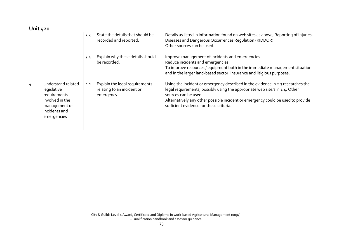|                                                                                                                       | 3.3 | State the details that should be<br>recorded and reported.                | Details as listed in information found on web sites as above, Reporting of Injuries,<br>Diseases and Dangerous Occurrences Regulation (RIDDOR).<br>Other sources can be used.                                                                                                                                        |
|-----------------------------------------------------------------------------------------------------------------------|-----|---------------------------------------------------------------------------|----------------------------------------------------------------------------------------------------------------------------------------------------------------------------------------------------------------------------------------------------------------------------------------------------------------------|
|                                                                                                                       | 3.4 | Explain why these details should<br>be recorded.                          | Improve management of incidents and emergencies.<br>Reduce incidents and emergencies.<br>To improve resources / equipment both in the immediate management situation<br>and in the larger land-based sector. Insurance and litigious purposes.                                                                       |
| Understand related<br>legislative<br>requirements<br>involved in the<br>management of<br>incidents and<br>emergencies | 4.1 | Explain the legal requirements<br>relating to an incident or<br>emergency | Using the incident or emergency described in the evidence in 2.3 researches the<br>legal requirements, possibly using the appropriate web site/s in 1.4. Other<br>sources can be used.<br>Alternatively any other possible incident or emergency could be used to provide<br>sufficient evidence for these criteria. |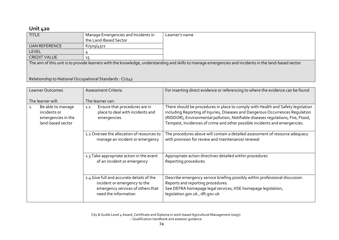| <b>TITLE</b>                                                           | ' Manage Emergencies and Incidents in | Learner's name                                                                                                                                                                             |
|------------------------------------------------------------------------|---------------------------------------|--------------------------------------------------------------------------------------------------------------------------------------------------------------------------------------------|
|                                                                        | the Land-Based Sector                 |                                                                                                                                                                                            |
| UAN REFERENCE                                                          | K/503/4372                            |                                                                                                                                                                                            |
| <b>LEVEL</b>                                                           |                                       |                                                                                                                                                                                            |
| <b>CREDIT VALUE</b>                                                    |                                       |                                                                                                                                                                                            |
| $-1$<br>$\sim$ $\sim$ $\sim$<br><b>Contract Contract Contract</b><br>. | $\cdot$ $\cdot$ $\cdot$               | $\mathbf{1}$ $\mathbf{1}$ $\mathbf{1}$ $\mathbf{1}$ $\mathbf{1}$<br><b>The second contract of the second contract of the second contract of the second contract of the second contract</b> |

The aim of this unit is to provide learners with the knowledge, understanding and skills to manage emergencies and incidents in the land-based sector.

#### Relationship to National Occupational Standards : CU141

| <b>Learner Outcomes</b>                                                            | Assessment Criteria                                                                                                                    | For inserting direct evidence or referencing to where the evidence can be found                                                                                                                                                                                                                                                      |
|------------------------------------------------------------------------------------|----------------------------------------------------------------------------------------------------------------------------------------|--------------------------------------------------------------------------------------------------------------------------------------------------------------------------------------------------------------------------------------------------------------------------------------------------------------------------------------|
| The learner will:                                                                  | The learner can:                                                                                                                       |                                                                                                                                                                                                                                                                                                                                      |
| Be able to manage<br>1.<br>incidents or<br>emergencies in the<br>land-based sector | Ensure that procedures are in<br>1.1<br>place to deal with incidents and<br>emergencies                                                | There should be procedures in place to comply with Health and Safety legislation<br>including Reporting of Injuries, Diseases and Dangerous Occurrences Regulation<br>(RIDDOR), Environmental pollution, Notifiable diseases regulations, Fire, Flood,<br>Tempest, Incidences of crime and other possible incidents and emergencies. |
|                                                                                    | 1.2 Oversee the allocation of resources to<br>manage an incident or emergency                                                          | The procedures above will contain a detailed assessment of resource adequacy<br>with provision for review and maintenance/renewal                                                                                                                                                                                                    |
|                                                                                    | 1.3 Take appropriate action in the event<br>of an incident or emergency                                                                | Appropriate action directives detailed within procedures<br>Reporting procedures                                                                                                                                                                                                                                                     |
|                                                                                    | 1.4 Give full and accurate details of the<br>incident or emergency to the<br>emergency services of others that<br>need the information | Describe emergency service briefing possibly within professional discussion<br>Reports and reporting procedures.<br>See DEFRA homepage legal services, HSE homepage legislation,<br>legislation.gov.uk, dft.gov.uk                                                                                                                   |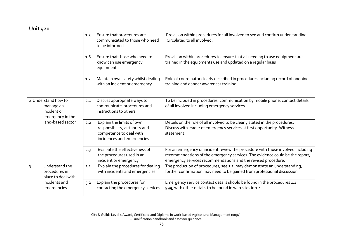|    |                                                                      | 1.5 | Ensure that procedures are<br>communicated to those who need<br>to be informed                                      | Provision within procedures for all involved to see and confirm understanding.<br>Circulated to all involved.                                                                                                                    |
|----|----------------------------------------------------------------------|-----|---------------------------------------------------------------------------------------------------------------------|----------------------------------------------------------------------------------------------------------------------------------------------------------------------------------------------------------------------------------|
|    |                                                                      | 1.6 | Ensure that those who need to<br>know can use emergency<br>equipment                                                | Provision within procedures to ensure that all needing to use equipment are<br>trained in the equipments use and updated on a regular basis                                                                                      |
|    |                                                                      | 1.7 | Maintain own safety whilst dealing<br>with an incident or emergency                                                 | Role of coordinator clearly described in procedures including record of ongoing<br>training and danger awareness training.                                                                                                       |
|    | 2. Understand how to<br>manage an<br>incident or<br>emergency in the | 2.1 | Discuss appropriate ways to<br>communicate procedures and<br>instructions to others                                 | To be included in procedures, communication by mobile phone, contact details<br>of all involved including emergency services.                                                                                                    |
|    | land-based sector                                                    | 2.2 | Explain the limits of own<br>responsibility, authority and<br>competence to deal with<br>incidences and emergencies | Details on the role of all involved to be clearly stated in the procedures.<br>Discuss with leader of emergency services at first opportunity. Witness<br>statement.                                                             |
|    |                                                                      | 2.3 | Evaluate the effectiveness of<br>the procedures used in an<br>incident or emergency                                 | For an emergency or incident review the procedure with those involved including<br>recommendations of the emergency services. The evidence could be the report,<br>emergency services recommendations and the revised procedure. |
| 3. | Understand the<br>procedures in<br>place to deal with                | 3.1 | Explain the procedures for dealing<br>with incidents and emergencies                                                | The production of procedures, see 1.1, may demonstrate an understanding,<br>further confirmation may need to be gained from professional discussion                                                                              |
|    | incidents and<br>emergencies                                         | 3.2 | Explain the procedures for<br>contacting the emergency services                                                     | Emergency service contact details should be found in the procedures 1.1<br>999, with other details to be found in web sites in 1.4.                                                                                              |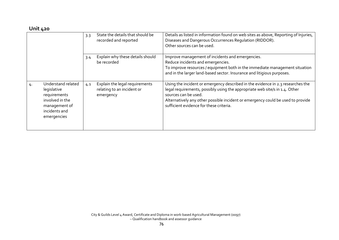|                                                                                                                       | 3.3 | State the details that should be<br>recorded and reported                 | Details as listed in information found on web sites as above, Reporting of Injuries,<br>Diseases and Dangerous Occurrences Regulation (RIDDOR).<br>Other sources can be used.                                                                                                                                        |
|-----------------------------------------------------------------------------------------------------------------------|-----|---------------------------------------------------------------------------|----------------------------------------------------------------------------------------------------------------------------------------------------------------------------------------------------------------------------------------------------------------------------------------------------------------------|
|                                                                                                                       | 3.4 | Explain why these details should<br>be recorded                           | Improve management of incidents and emergencies.<br>Reduce incidents and emergencies.<br>To improve resources / equipment both in the immediate management situation<br>and in the larger land-based sector. Insurance and litigious purposes.                                                                       |
| Understand related<br>legislative<br>requirements<br>involved in the<br>management of<br>incidents and<br>emergencies | 4.1 | Explain the legal requirements<br>relating to an incident or<br>emergency | Using the incident or emergency described in the evidence in 2.3 researches the<br>legal requirements, possibly using the appropriate web site/s in 1.4. Other<br>sources can be used.<br>Alternatively any other possible incident or emergency could be used to provide<br>sufficient evidence for these criteria. |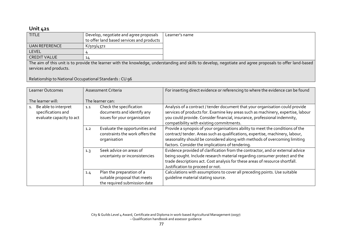| <b>TITLE</b>        | Develop, negotiate and agree proposals<br>to offer land based services and products | Learner's name |
|---------------------|-------------------------------------------------------------------------------------|----------------|
| UAN REFERENCE       | K/503/4372                                                                          |                |
| LEVEL               |                                                                                     |                |
| <b>CREDIT VALUE</b> | 14                                                                                  |                |

The aim of this unit is to provide the learner with the knowledge, understanding and skills to develop, negotiate and agree proposals to offer land-based services and products.

Relationship to National Occupational Standards : CU 96

| <b>Learner Outcomes</b>    |                  | <b>Assessment Criteria</b>      | For inserting direct evidence or referencing to where the evidence can be found  |
|----------------------------|------------------|---------------------------------|----------------------------------------------------------------------------------|
| The learner will:          | The learner can: |                                 |                                                                                  |
| Be able to interpret<br>1. | 1.1              | Check the specification         | Analysis of a contract / tender document that your organisation could provide    |
| specifications and         |                  | documents and identify any      | services of products for. Examine key areas such as machinery, expertise, labour |
| evaluate capacity to act   |                  | issues for your organisation    | you could provide. Consider financial, insurance, professional indemnity,        |
|                            |                  |                                 | compatibility with existing commitments.                                         |
|                            | 1.2              | Evaluate the opportunities and  | Provide a synopsis of your organisations ability to meet the conditions of the   |
|                            |                  | constraints the work offers the | contract/tender. Areas such as qualifications, expertise, machinery, labour,     |
|                            |                  | organisation                    | seasonality should be considered along with methods of overcoming limiting       |
|                            |                  |                                 | factors. Consider the implications of tendering.                                 |
|                            | 1.3              | Seek advice on areas of         | Evidence provided of clarification from the contractor, and or external advice   |
|                            |                  | uncertainty or inconsistencies  | being sought. Include research material regarding consumer protect and the       |
|                            |                  |                                 | trade descriptions act. Cost analysis for these areas of resource shortfall.     |
|                            |                  |                                 | Justification to proceed or not.                                                 |
|                            | 1.4              | Plan the preparation of a       | Calculations with assumptions to cover all preceding points. Use suitable        |
|                            |                  | suitable proposal that meets    | quideline material stating source.                                               |
|                            |                  | the required submission date    |                                                                                  |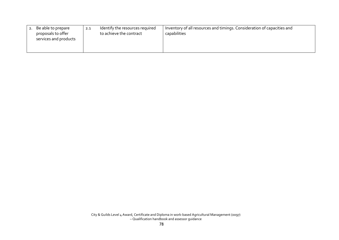| Be able to prepare<br>Identify the resources required<br>2.1<br>proposals to offer<br>to achieve the contract<br>services and products | Inventory of all resources and timings. Consideration of capacities and<br>capabilities |
|----------------------------------------------------------------------------------------------------------------------------------------|-----------------------------------------------------------------------------------------|
|----------------------------------------------------------------------------------------------------------------------------------------|-----------------------------------------------------------------------------------------|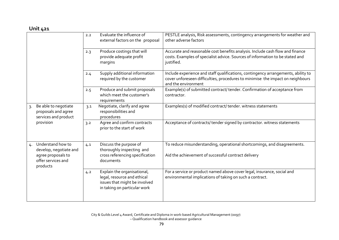|    |                                                                     | 2.2 | Evaluate the influence of<br>external factors on the proposal                                                               | PESTLE analysis, Risk assessments, contingency arrangements for weather and<br>other adverse factors                                                                                       |
|----|---------------------------------------------------------------------|-----|-----------------------------------------------------------------------------------------------------------------------------|--------------------------------------------------------------------------------------------------------------------------------------------------------------------------------------------|
|    |                                                                     | 2.3 | Produce costings that will<br>provide adequate profit<br>margins                                                            | Accurate and reasonable cost benefits analysis. Include cash flow and finance<br>costs. Examples of specialist advice. Sources of information to be stated and<br>justified.               |
|    |                                                                     | 2.4 | Supply additional information<br>required by the customer                                                                   | Include experience and staff qualifications, contingency arrangements, ability to<br>cover unforeseen difficulties, procedures to minimise the impact on neighbours<br>and the environment |
|    |                                                                     | 2.5 | Produce and submit proposals<br>which meet the customer's<br>requirements                                                   | Example(s) of submitted contract/ tender. Confirmation of acceptance from<br>contractor.                                                                                                   |
| 3. | Be able to negotiate<br>proposals and agree<br>services and product | 3.1 | Negotiate, clarify and agree<br>responsibilities and<br>procedures                                                          | Examples(s) of modified contract/tender. witness statements                                                                                                                                |
|    | provision                                                           | 3.2 | Agree and confirm contracts<br>prior to the start of work                                                                   | Acceptance of contracts/ tender signed by contractor. witness statements                                                                                                                   |
| 4. | Understand how to<br>develop, negotiate and                         | 4.1 | Discuss the purpose of<br>thoroughly inspecting and                                                                         | To reduce misunderstanding, operational shortcomings, and disagreements.                                                                                                                   |
|    | agree proposals to<br>offer services and<br>products                |     | cross referencing specification<br>documents                                                                                | Aid the achievement of successful contract delivery                                                                                                                                        |
|    |                                                                     | 4.2 | Explain the organisational,<br>legal, resource and ethical<br>issues that might be involved<br>in taking on particular work | For a service or product named above cover legal, insurance, social and<br>environmental implications of taking on such a contract.                                                        |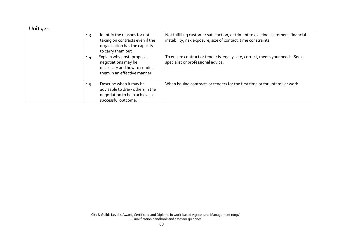| Identify the reasons for not<br>4.3<br>taking on contracts even if the<br>organisation has the capacity<br>to carry them out | Not fulfilling customer satisfaction, detriment to existing customers, financial<br>instability, risk exposure, size of contact, time constraints. |
|------------------------------------------------------------------------------------------------------------------------------|----------------------------------------------------------------------------------------------------------------------------------------------------|
| Explain why post-proposal<br>4.4<br>negotiations may be<br>necessary and how to conduct<br>them in an effective manner       | To ensure contract or tender is legally safe, correct, meets your needs. Seek<br>specialist or professional advice.                                |
| Describe when it may be<br>4.5<br>advisable to draw others in the<br>negotiation to help achieve a<br>successful outcome.    | When issuing contracts or tenders for the first time or for unfamiliar work                                                                        |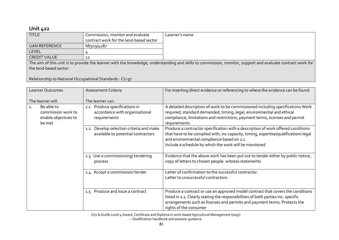| <b>TITLE</b>  | Commission, monitor and evaluate<br>contract work for the land-based sector | Learner's name |
|---------------|-----------------------------------------------------------------------------|----------------|
| UAN REFERENCE | M/503/4287                                                                  |                |
| <b>LEVEL</b>  |                                                                             |                |
| CREDIT VALUE  | 12                                                                          |                |

The aim of this unit is to provide the learner with the knowledge, understanding and skills to commission, monitor, support and evaluate contract work for the land-based sector.

Relationship to National Occupational Standards : CU 97

| <b>Learner Outcomes</b>                                                  | <b>Assessment Criteria</b>                                                       | For inserting direct evidence or referencing to where the evidence can be found                                                                                                                                                                                                |
|--------------------------------------------------------------------------|----------------------------------------------------------------------------------|--------------------------------------------------------------------------------------------------------------------------------------------------------------------------------------------------------------------------------------------------------------------------------|
| The learner will:                                                        | The learner can:                                                                 |                                                                                                                                                                                                                                                                                |
| Be able to<br>1.<br>commission work to<br>enable objectives to<br>be met | 1.1 Produce specifications in<br>accordance with organisational<br>requirements  | A detailed description of work to be commissioned including specifications Work<br>required, standard demanded, timing, legal, environmental and ethical<br>compliance, limitations and restrictions, payment terms, licenses and permit<br>requirements.                      |
|                                                                          | Develop selection criteria and make<br>1.2<br>available to potential contractors | Produce a contractor specification with a description of work offered conditions<br>that have to be complied with, inc capacity, timing, expertise/qualifications legal<br>and environmental compliance based on 1.1<br>Include a schedule by which the work will be monitored |
|                                                                          | 1.3 Use a commissioning/tendering<br>process                                     | Evidence that the above work has been put out to tender either by public notice,<br>copy of letters to chosen people. witness statements                                                                                                                                       |
|                                                                          | 1.4 Accept a commission/tender                                                   | Letter of confirmation to the successful contractor.<br>Letter to unsuccessful contractors.                                                                                                                                                                                    |
|                                                                          | 1.5 Produce and issue a contract                                                 | Produce a contract or use an approved model contract that covers the conditions<br>listed in 1.1. Clearly stating the responsibilities of both parties inc. specific<br>arrangements such as licenses and permits and payment terms. Protects the<br>rights of the consumer    |

City & Guilds Level 4 Award, Certificate and Diploma in work-based Agricultural Management (0097) – Qualification handbook and assessor guidance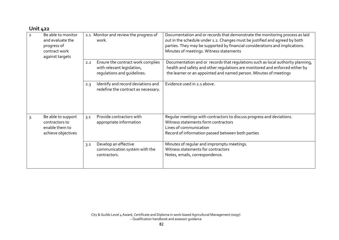| <b>Unit 422</b> |                                                                                           |                                                                                                       |                                                                                                                                                                                                                                                                                        |
|-----------------|-------------------------------------------------------------------------------------------|-------------------------------------------------------------------------------------------------------|----------------------------------------------------------------------------------------------------------------------------------------------------------------------------------------------------------------------------------------------------------------------------------------|
| $\overline{2}$  | Be able to monitor<br>and evaluate the<br>progress of<br>contract work<br>against targets | 2.1 Monitor and review the progress of<br>work.                                                       | Documentation and or records that demonstrate the monitoring process as laid<br>out in the schedule under 1.2. Changes must be justified and agreed by both<br>parties. They may be supported by financial considerations and implications.<br>Minutes of meetings. Witness statements |
|                 |                                                                                           | Ensure the contract work complies<br>2.2<br>with relevant legislation,<br>regulations and guidelines. | Documentation and or records that regulations such as local authority planning,<br>health and safety and other regulations are monitored and enforced either by<br>the learner or an appointed and named person. Minutes of meetings                                                   |
|                 |                                                                                           | Identify and record deviations and<br>2.3<br>redefine the contract as necessary.                      | Evidence used in 2.1 above.                                                                                                                                                                                                                                                            |
| 3.              | Be able to support<br>contractors to<br>enable them to<br>achieve objectives              | Provide contractors with<br>3.1<br>appropriate information                                            | Regular meetings with contractors to discuss progress and deviations.<br>Witness statements form contractors<br>Lines of communication<br>Record of information passed between both parties                                                                                            |
|                 |                                                                                           | Develop an effective<br>3.2<br>communication system with the<br>contractors.                          | Minutes of regular and impromptu meetings.<br>Witness statements for contractors<br>Notes, emails, correspondence.                                                                                                                                                                     |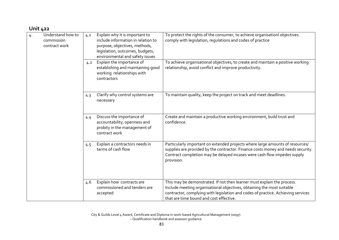| <b>Unit 422</b> |                                                  |     |                                                                                                                                                                             |                                                                                                                                                                                                                                                                                  |
|-----------------|--------------------------------------------------|-----|-----------------------------------------------------------------------------------------------------------------------------------------------------------------------------|----------------------------------------------------------------------------------------------------------------------------------------------------------------------------------------------------------------------------------------------------------------------------------|
| 4.              | Understand how to<br>commission<br>contract work | 4.1 | Explain why it is important to<br>include information in relation to<br>purpose, objectives, methods,<br>legislation, outcomes, budgets,<br>environmental and safety issues | To protect the rights of the consumer, to achieve organisationl objectives.<br>comply with legislation, regulations and codes of practice                                                                                                                                        |
|                 |                                                  | 4.2 | Explain the importance of<br>establishing and maintaining good<br>working relationships with<br>contractors                                                                 | To achieve organisational objectives, to create and maintain a positive working<br>relationship, avoid conflict and improve productivity.                                                                                                                                        |
|                 |                                                  | 4.3 | Clarify why control systems are<br>necessary                                                                                                                                | To maintain quality, keep the project on track and meet deadlines.                                                                                                                                                                                                               |
|                 |                                                  | 4.4 | Discuss the importance of<br>accountability, openness and<br>probity in the management of<br>contract work                                                                  | Create and maintain a productive working environment, build trust and<br>confidence.                                                                                                                                                                                             |
|                 |                                                  | 4.5 | Explain a contractors needs in<br>terms of cash flow                                                                                                                        | Particularly important on extended projects where large amounts of resources/<br>supplies are provided by the contractor. Finance costs money and needs security.<br>Contract completion may be delayed incases were cash flow impedes supply<br>provision.                      |
|                 |                                                  | 4.6 | Explain how contracts are<br>commissioned and tenders are<br>accepted                                                                                                       | This may be demonstrated. If not then learner must explain the process.<br>Include meeting organisational objectives, obtaining the most suitable<br>contractor, complying with legislation and codes of practice. Achieving services<br>that are time bound and cost effective. |

City & Guilds Level 4 Award, Certificate and Diploma in work-based Agricultural Management (0097) – Qualification handbook and assessor guidance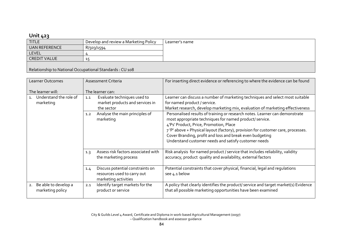| <b>TITLE</b>                                             | Develop and review a Marketing Policy | Learner's name |  |  |
|----------------------------------------------------------|---------------------------------------|----------------|--|--|
| UAN REFERENCE                                            | R/503/1594                            |                |  |  |
| <b>LEVEL</b>                                             |                                       |                |  |  |
| <b>CREDIT VALUE</b>                                      |                                       |                |  |  |
| Relationship to National Occupational Standards : CU 108 |                                       |                |  |  |

| <b>Learner Outcomes</b>                        | <b>Assessment Criteria</b>                                                                     | For inserting direct evidence or referencing to where the evidence can be found                                                                                                                                                                                                                                                                                                         |
|------------------------------------------------|------------------------------------------------------------------------------------------------|-----------------------------------------------------------------------------------------------------------------------------------------------------------------------------------------------------------------------------------------------------------------------------------------------------------------------------------------------------------------------------------------|
| The learner will:<br>The learner can:          |                                                                                                |                                                                                                                                                                                                                                                                                                                                                                                         |
| Understand the role of<br>marketing            | Evaluate techniques used to<br>1.1<br>market products and services in<br>the sector            | Learner can discuss a number of marketing techniques and select most suitable<br>for named product / service.<br>Market research, develop marketing mix, evaluation of marketing effectiveness                                                                                                                                                                                          |
|                                                | Analyse the main principles of<br>1.2<br>marketing                                             | Personalised results of training or research notes. Learner can demonstrate<br>most appropriate techniques for named product/ service.<br>4'Ps' Product, Price, Promotion, Place<br>7'P' above + Physical layout (factory), provision for customer care, processes.<br>Cover Branding, profit and loss and break even budgeting<br>Understand customer needs and satisfy customer needs |
|                                                | Assess risk factors associated with<br>1.3<br>the marketing process                            | Risk analysis for named product / service that includes reliability, validity<br>accuracy, product quality and availability, external factors                                                                                                                                                                                                                                           |
|                                                | Discuss potential constraints on<br>1.4<br>resources used to carry out<br>marketing activities | Potential constraints that cover physical, financial, legal and regulations<br>see 4.1 below                                                                                                                                                                                                                                                                                            |
| Be able to develop a<br>2.<br>marketing policy | Identify target markets for the<br>2.1<br>product or service                                   | A policy that clearly identifies the product/ service and target market(s) Evidence<br>that all possible marketing opportunities have been examined                                                                                                                                                                                                                                     |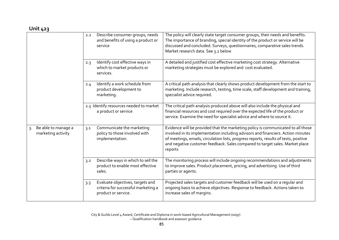| <b>Unit 423</b>                                 |     |                                                                                                |                                                                                                                                                                                                                                                                                                                                                         |
|-------------------------------------------------|-----|------------------------------------------------------------------------------------------------|---------------------------------------------------------------------------------------------------------------------------------------------------------------------------------------------------------------------------------------------------------------------------------------------------------------------------------------------------------|
|                                                 | 2.2 | Describe consumer groups, needs<br>and benefits of using a product or<br>service               | The policy will clearly state target consumer groups, their needs and benefits.<br>The importance of branding, special identity of the product or service will be<br>discussed and concluded. Surveys, questionnaires, comparative sales trends.<br>Market research data. See 3.2 below                                                                 |
|                                                 | 2.3 | Identify cost effective ways in<br>which to market products or<br>services.                    | A detailed and justified cost effective marketing cost strategy. Alternative<br>marketing strategies must be explored and cost evaluated.                                                                                                                                                                                                               |
|                                                 | 2.4 | Identify a work schedule from<br>product development to<br>marketing.                          | A critical path analysis that clearly shows product development from the start to<br>marketing. Include research, testing, time scale, staff development and training,<br>specialist advice required.                                                                                                                                                   |
|                                                 |     | 2.5 Identify resources needed to market<br>a product or service                                | The critical path analysis produced above will also include the physical and<br>financial resources and cost required over the expected life of the product or<br>service. Examine the need for specialist advice and where to source it.                                                                                                               |
| Be able to manage a<br>3.<br>marketing activity | 3.1 | Communicate the marketing<br>policy to those involved with<br>implementation.                  | Evidence will be provided that the marketing policy is communicated to all those<br>involved in its implementation including advisors and financiers. Action minutes<br>of meetings, emails, circulation lists, progress reports, results of tests, positive<br>and negative customer feedback. Sales compared to target sales. Market place<br>reports |
|                                                 | 3.2 | Describe ways in which to sell the<br>product to enable most effective<br>sales.               | The monitoring process will include ongoing recommendations and adjustments<br>to improve sales. Product placement, pricing, and advertising. Use of third<br>parties or agents.                                                                                                                                                                        |
|                                                 | 3.3 | Evaluate objectives, targets and<br>criteria for successful marketing a<br>product or service. | Projected sales targets and customer feedback will be used on a regular and<br>ongoing basis to achieve objectives. Response to feedback. Actions taken to<br>increase sales of margins.                                                                                                                                                                |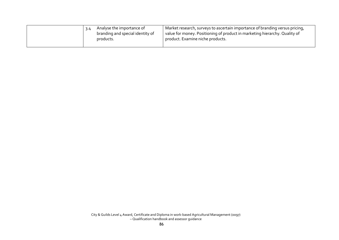|  | Analyse the importance of        | Market research, surveys to ascertain importance of branding versus pricing, |
|--|----------------------------------|------------------------------------------------------------------------------|
|  | branding and special identity of | I value for money. Positioning of product in marketing hierarchy. Quality of |
|  | products.                        | product. Examine niche products.                                             |
|  |                                  |                                                                              |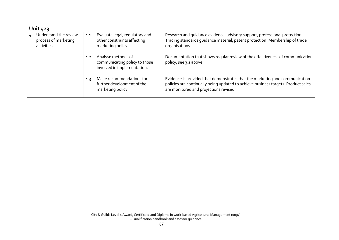| 4. | Understand the review<br>process of marketing<br>activities | 4.1 | Evaluate legal, regulatory and<br>other constraints affecting<br>marketing policy. | Research and quidance evidence, advisory support, professional protection.<br>Trading standards guidance material, patent protection. Membership of trade<br>organisations                                 |
|----|-------------------------------------------------------------|-----|------------------------------------------------------------------------------------|------------------------------------------------------------------------------------------------------------------------------------------------------------------------------------------------------------|
|    |                                                             | 4.2 | Analyse methods of<br>communicating policy to those<br>involved in implementation. | Documentation that shows regular review of the effectiveness of communication<br>policy, see 3.1 above.                                                                                                    |
|    |                                                             | 4.3 | Make recommendations for<br>further development of the<br>marketing policy         | Evidence is provided that demonstrates that the marketing and communication<br>policies are continually being updated to achieve business targets. Product sales<br>are monitored and projections revised. |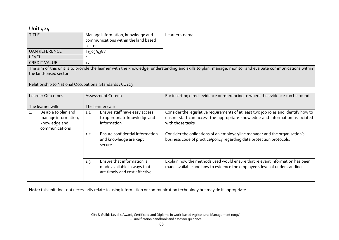| TITLE                                                                                                                                                   | Manage information, knowledge and    | Learner's name |  |  |
|---------------------------------------------------------------------------------------------------------------------------------------------------------|--------------------------------------|----------------|--|--|
|                                                                                                                                                         | communications within the land based |                |  |  |
|                                                                                                                                                         | sector                               |                |  |  |
| UAN REFERENCE                                                                                                                                           | T/503/4388                           |                |  |  |
| <b>LEVEL</b>                                                                                                                                            |                                      |                |  |  |
| <b>CREDIT VALUE</b>                                                                                                                                     |                                      |                |  |  |
| The aim of this unit is to provide the learner with the knowledge, understanding and skills to plan, manage, monitor and evaluate communications within |                                      |                |  |  |
| the land-based sector.                                                                                                                                  |                                      |                |  |  |

Relationship to National Occupational Standards : CU123

| <b>Learner Outcomes</b>                                                       | Assessment Criteria                                                                               | For inserting direct evidence or referencing to where the evidence can be found                                                                                                         |
|-------------------------------------------------------------------------------|---------------------------------------------------------------------------------------------------|-----------------------------------------------------------------------------------------------------------------------------------------------------------------------------------------|
| The learner will:                                                             | The learner can:                                                                                  |                                                                                                                                                                                         |
| Be able to plan and<br>manage information,<br>knowledge and<br>communications | Ensure staff have easy access<br>1.1<br>to appropriate knowledge and<br>information               | Consider the legislative requirements of at least two job roles and identify how to<br>ensure staff can access the appropriate knowledge and information associated<br>with those tasks |
|                                                                               | Ensure confidential information<br>1.2<br>and knowledge are kept<br>secure                        | Consider the obligations of an employer/line manager and the organisation's<br>business code of practice/policy regarding data protection protocols.                                    |
|                                                                               | Ensure that information is<br>1.3<br>made available in ways that<br>are timely and cost effective | Explain how the methods used would ensure that relevant information has been<br>made available and how to evidence the employee's level of understanding.                               |

**Note:** this unit does not necessarily relate to using information or communication technology but may do if appropriate

City & Guilds Level 4 Award, Certificate and Diploma in work-based Agricultural Management (0097) – Qualification handbook and assessor guidance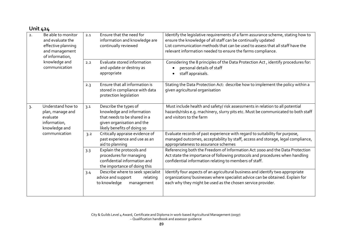| <b>Unit 424</b> |
|-----------------|
|-----------------|

| 2. | Be able to monitor<br>and evaluate the<br>effective planning<br>and management<br>of information,<br>knowledge and<br>communication | 2.1<br>2.2 | Ensure that the need for<br>information and knowledge are<br>continually reviewed<br>Evaluate stored information<br>and update or destroy as    | Identify the legislative requirements of a farm assurance scheme, stating how to<br>ensure the knowledge of all staff can be continually updated<br>List communication methods that can be used to assess that all staff have the<br>relevant information needed to ensure the farms compliance.<br>Considering the 8 principles of the Data Protection Act, identify procedures for:<br>personal details of staff |
|----|-------------------------------------------------------------------------------------------------------------------------------------|------------|-------------------------------------------------------------------------------------------------------------------------------------------------|--------------------------------------------------------------------------------------------------------------------------------------------------------------------------------------------------------------------------------------------------------------------------------------------------------------------------------------------------------------------------------------------------------------------|
|    |                                                                                                                                     | 2.3        | appropriate<br>Ensure that all information is<br>stored in compliance with data<br>protection legislation                                       | staff appraisals.<br>Stating the Data Protection Act: describe how to implement the policy within a<br>given agricultural organisation                                                                                                                                                                                                                                                                             |
| 3. | Understand how to<br>plan, manage and<br>evaluate<br>information,<br>knowledge and                                                  | 3.1        | Describe the types of<br>knowledge and information<br>that needs to be shared in a<br>given organisation and the<br>likely benefits of doing so | Must include health and safety/ risk assessments in relation to all potential<br>hazards/risks e.g. machinery, slurry pits etc. Must be communicated to both staff<br>and visitors to the farm                                                                                                                                                                                                                     |
|    | communication                                                                                                                       | 3.2        | Critically appraise evidence of<br>past experience and use as an<br>aid to planning                                                             | Evaluate records of past experience with regard to suitability for purpose,<br>managed outcomes, acceptability by staff, access and storage, legal compliance,<br>appropriateness to assurance schemes                                                                                                                                                                                                             |
|    |                                                                                                                                     | 3.3        | Explain the protocols and<br>procedures for managing<br>confidential information and<br>the importance of doing this                            | Referencing both the Freedom of Information Act 2000 and the Data Protection<br>Act state the importance of following protocols and procedures when handling<br>confidential information relating to members of staff.                                                                                                                                                                                             |
|    |                                                                                                                                     | 3.4        | Describe where to seek specialist<br>advice and support<br>relating<br>to knowledge<br>management                                               | Identify four aspects of an agricultural business and identify two appropriate<br>organizations/ businesses where specialist advice can be obtained. Explain for<br>each why they might be used as the chosen service provider.                                                                                                                                                                                    |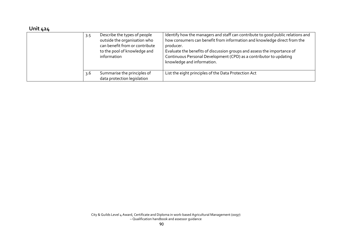| 3.5 | Describe the types of people<br>outside the organisation who<br>can benefit from or contribute<br>to the pool of knowledge and<br>information | Identify how the managers and staff can contribute to good public relations and<br>how consumers can benefit from information and knowledge direct from the<br>producer.<br>Evaluate the benefits of discussion groups and assess the importance of<br>Continuous Personal Development (CPD) as a contributor to updating<br>knowledge and information. |
|-----|-----------------------------------------------------------------------------------------------------------------------------------------------|---------------------------------------------------------------------------------------------------------------------------------------------------------------------------------------------------------------------------------------------------------------------------------------------------------------------------------------------------------|
| 3.6 | Summarise the principles of<br>data protection legislation                                                                                    | List the eight principles of the Data Protection Act                                                                                                                                                                                                                                                                                                    |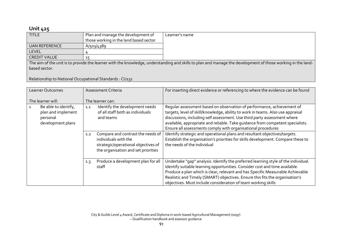| <b>TITLE</b>        | Plan and manage the development of     | Learner's name |
|---------------------|----------------------------------------|----------------|
|                     | those working in the land based sector |                |
| UAN REFERENCE       | A/503/4389                             |                |
| LEVEL               |                                        |                |
| <b>CREDIT VALUE</b> |                                        |                |

The aim of the unit is to provide the learner with the knowledge, understanding and skills to plan and manage the development of those working in the landbased sector.

Relationship to National Occupational Standards : CU131

| <b>Learner Outcomes</b>                                                                     | Assessment Criteria                                                                                                                            | For inserting direct evidence or referencing to where the evidence can be found                                                                                                                                                                                                                                                                                                                      |
|---------------------------------------------------------------------------------------------|------------------------------------------------------------------------------------------------------------------------------------------------|------------------------------------------------------------------------------------------------------------------------------------------------------------------------------------------------------------------------------------------------------------------------------------------------------------------------------------------------------------------------------------------------------|
| The learner will:                                                                           | The learner can:                                                                                                                               |                                                                                                                                                                                                                                                                                                                                                                                                      |
| Be able to identify,<br>$\mathbf{1}$<br>plan and implement<br>personal<br>development plans | Identify the development needs<br>1.1<br>of all staff both as individuals<br>and teams                                                         | Reqular assessment based on observation of performance, achievement of<br>targets, level of skill/knowledge, ability to work in teams. Also use appraisal<br>discussions, including self assessment. Use third party assessment where<br>available, appropriate and reliable. Take quidance from competent specialists.<br>Ensure all assessments comply with organisational procedures              |
|                                                                                             | Compare and contrast the needs of<br>1.2<br>individuals with the<br>strategic/operational objectives of<br>the organisation and set priorities | Identify strategic and operational plans and resultant objectives/targets.<br>Establish the organisation's priorities for skills development. Compare these to<br>the needs of the individual                                                                                                                                                                                                        |
|                                                                                             | Produce a development plan for all<br>1.3<br>staff                                                                                             | Undertake "gap" analysis. Identify the preferred learning style of the individual.<br>Identify suitable learning opportunities. Consider cost and time available.<br>Produce a plan which is clear, relevant and has Specific Measurable Achievable<br>Realistic and Timely (SMART) objectives. Ensure this fits the organisation's<br>objectives. Must include consideration of team working skills |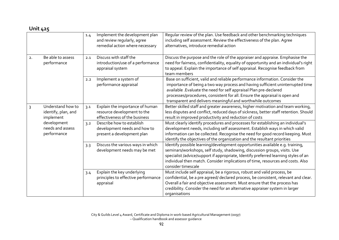|    |                                                       | 1.4 | Implement the development plan<br>and review regularly, agree<br>remedial action where necessary | Regular review of the plan. Use feedback and other benchmarking techniques<br>including self assessment. Review the effectiveness of the plan. Agree<br>alternatives, introduce remedial action                                                                                                                                                                                   |
|----|-------------------------------------------------------|-----|--------------------------------------------------------------------------------------------------|-----------------------------------------------------------------------------------------------------------------------------------------------------------------------------------------------------------------------------------------------------------------------------------------------------------------------------------------------------------------------------------|
| 2. | Be able to assess<br>performance                      | 2.1 | Discuss with staff the<br>introduction/use of a performance<br>appraisal system                  | Discuss the purpose and the role of the appraiser and appraise. Emphasise the<br>need for fairness, confidentiality, equality of opportunity and an individual's right<br>to appeal. Explain the importance of self appraisal. Recognise feedback from<br>team members                                                                                                            |
|    |                                                       | 2.2 | Implement a system of<br>performance appraisal                                                   | Base on sufficient, valid and reliable performance information. Consider the<br>importance of being a two way process and having sufficient uninterrupted time<br>available . Evaluate the need for self appraisal Plan pre-declared<br>processes/procedures, consistent for all. Ensure the appraisal is open and<br>transparent and delivers meaningful and worthwhile outcomes |
| 3  | Understand how to<br>identify, plan, and<br>implement | 3.1 | Explain the importance of human<br>resource development to the<br>effectiveness of the business  | Better skilled staff and greater awareness, higher motivation and team working,<br>less disputes and conflict, reduced days of sickness, better staff retention. Should<br>result in improved productivity and reduction of costs                                                                                                                                                 |
|    | development<br>needs and assess<br>performance        | 3.2 | Describe how to establish<br>development needs and how to<br>present a development plan          | Must clearly identify procedures and processes for establishing an individual's<br>development needs, including self assessment. Establish ways in which valid<br>information can be collected. Recognise the need for good record keeping. Must<br>identify the objectives of the organization and the resultant priorities                                                      |
|    |                                                       | 3.3 | Discuss the various ways in which<br>development needs may be met                                | Identify possible learning/development opportunities available e.g. training,<br>seminars/workshops, self study, shadowing, discussion groups, visits. Use<br>specialist /advice/support if appropriate, Identify preferred learning styles of an<br>individual then match. Consider implications of time, resources and costs. Also<br>consider timescale                        |
|    |                                                       | 3.4 | Explain the key underlying<br>principles to effective performance<br>appraisal                   | Must include self appraisal, be a rigorous, robust and valid process, be<br>confidential, be a pre agreed/ declared process, be consistent, relevant and clear.<br>Overall a fair and objective assessment. Must ensure that the process has<br>credibility. Consider the need for an alternative appraiser system in larger<br>organisations                                     |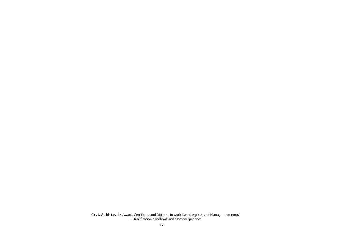City & Guilds Level 4 Award, Certificate and Diploma in work-based Agricultural Management (0097) – Qualification handbook and assessor guidance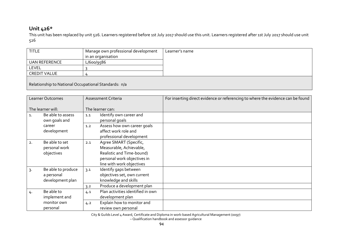## **Unit 426\***

This unit has been replaced by unit 526. Learners registered before 1st July 2017 should use this unit. Learners registered after 1st July 2017 should use unit 526

| <b>TITLE</b>                                         | Manage own professional development | Learner's name |  |  |
|------------------------------------------------------|-------------------------------------|----------------|--|--|
|                                                      | in an organisation                  |                |  |  |
| UAN REFERENCE                                        | L/600/9586                          |                |  |  |
| <b>LEVEL</b>                                         |                                     |                |  |  |
| <b>CREDIT VALUE</b>                                  |                                     |                |  |  |
|                                                      |                                     |                |  |  |
| Relationship to National Occupational Standards: n/a |                                     |                |  |  |
|                                                      |                                     |                |  |  |

| <b>Learner Outcomes</b> |                                                      |                  | <b>Assessment Criteria</b>                                                                                                                 | For inserting direct evidence or referencing to where the evidence can be found |
|-------------------------|------------------------------------------------------|------------------|--------------------------------------------------------------------------------------------------------------------------------------------|---------------------------------------------------------------------------------|
| The learner will:       |                                                      | The learner can: |                                                                                                                                            |                                                                                 |
| 1.                      | Be able to assess<br>own goals and                   | 1.1              | Identify own career and<br>personal goals                                                                                                  |                                                                                 |
|                         | career<br>development                                | 1.2              | Assess how own career goals<br>affect work role and<br>professional development                                                            |                                                                                 |
| 2.                      | Be able to set<br>personal work<br>objectives        | 2.1              | Agree SMART (Specific,<br>Measurable, Achievable,<br>Realistic and Time-bound)<br>personal work objectives in<br>line with work objectives |                                                                                 |
| 3.                      | Be able to produce<br>a personal<br>development plan | 3.1<br>3.2       | Identify gaps between<br>objectives set, own current<br>knowledge and skills<br>Produce a development plan                                 |                                                                                 |
| 4.                      | Be able to<br>implement and                          | 4.1              | Plan activities identified in own<br>development plan                                                                                      |                                                                                 |
|                         | monitor own<br>personal                              | 4.2              | Explain how to monitor and<br>review own personal                                                                                          |                                                                                 |

City & Guilds Level 4 Award, Certificate and Diploma in work-based Agricultural Management (0097)

– Qualification handbook and assessor guidance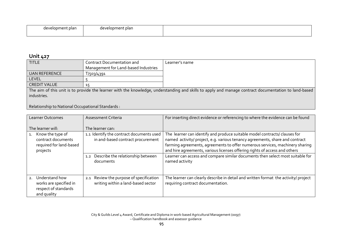| <b>TITLE</b>                                                                                                                                         | Contract Documentation and           | Learner's name |  |
|------------------------------------------------------------------------------------------------------------------------------------------------------|--------------------------------------|----------------|--|
|                                                                                                                                                      | Management for Land-based Industries |                |  |
| UAN REFERENCE                                                                                                                                        | [/503/4391                           |                |  |
| LEVEL                                                                                                                                                |                                      |                |  |
| <b>CREDIT VALUE</b>                                                                                                                                  |                                      |                |  |
| The aim of this unit is to provide the learner with the knowledge, understanding and skills to apply and manage contract documentation to land-based |                                      |                |  |

The aim of this unit is to provide the learner with the knowledge, understanding and skills to apply and manage contract documentation to land-based industries.

Relationship to National Occupational Standards :

| <b>Learner Outcomes</b>                                                             | Assessment Criteria                                                           | For inserting direct evidence or referencing to where the evidence can be found                                                                                                                                                                                                                                          |
|-------------------------------------------------------------------------------------|-------------------------------------------------------------------------------|--------------------------------------------------------------------------------------------------------------------------------------------------------------------------------------------------------------------------------------------------------------------------------------------------------------------------|
| The learner will:                                                                   | The learner can:                                                              |                                                                                                                                                                                                                                                                                                                          |
| Know the type of<br>1.<br>contract documents<br>required for land-based<br>projects | 1.1 Identify the contract documents used<br>in and-based contract procurement | The learner can identify and produce suitable model contracts/ clauses for<br>named activity/ project, e.g. various tenancy agreements, share and contract<br>farming agreements, agreements to offer numerous services, machinery sharing<br>and hire agreements, various licenses offering rights of access and others |
|                                                                                     | Describe the relationship between<br>1.2<br>documents                         | Learner can access and compare similar documents then select most suitable for<br>named activity                                                                                                                                                                                                                         |
| Understand how<br>works are specified in<br>respect of standards<br>and quality     | 2.1 Review the purpose of specification<br>writing within a land-based sector | The learner can clearly describe in detail and written format the activity/ project<br>requiring contract documentation.                                                                                                                                                                                                 |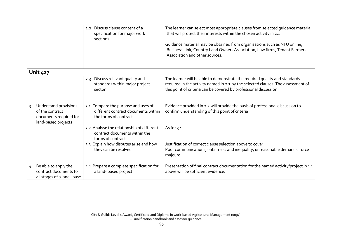|                  |                                                                                           | 2.2 Discuss clause content of a<br>specification for major work<br>sections                         | The learner can select most appropriate clauses from selected guidance material<br>that will protect their interests within the chosen activity in 2.1<br>Guidance material may be obtained from organisations such as NFU online,<br>Business Link, Country Land Owners Association, Law firms, Tenant Farmers<br>Association and other sources. |
|------------------|-------------------------------------------------------------------------------------------|-----------------------------------------------------------------------------------------------------|---------------------------------------------------------------------------------------------------------------------------------------------------------------------------------------------------------------------------------------------------------------------------------------------------------------------------------------------------|
|                  | <b>Unit 427</b>                                                                           |                                                                                                     |                                                                                                                                                                                                                                                                                                                                                   |
|                  |                                                                                           | Discuss relevant quality and<br>2.3<br>standards within major project<br>sector                     | The learner will be able to demonstrate the required quality and standards<br>required in the activity named in 2.1.by the selected clauses. The assessment of<br>this point of criteria can be covered by professional discussion                                                                                                                |
| $\overline{3}$ . | Understand provisions<br>of the contract<br>documents required for<br>land-based projects | 3.1 Compare the purpose and uses of<br>different contract documents within<br>the forms of contract | Evidence provided in 2.2 will provide the basis of professional discussion to<br>confirm understanding of this point of criteria                                                                                                                                                                                                                  |
|                  |                                                                                           | 3.2 Analyse the relationship of different<br>contract documents within the<br>forms of contract     | As for $3.1$                                                                                                                                                                                                                                                                                                                                      |
|                  |                                                                                           | 3.3 Explain how disputes arise and how<br>they can be resolved                                      | Justification of correct clause selection above to cover<br>Poor communications, unfairness and inequality, unreasonable demands, force<br>majeure.                                                                                                                                                                                               |
| 4.               | Be able to apply the<br>contract documents to<br>all stages of a land-base                | 4.1 Prepare a complete specification for<br>a land-based project                                    | Presentation of final contract documentation for the named activity/project in 1.1<br>above will be sufficient evidence.                                                                                                                                                                                                                          |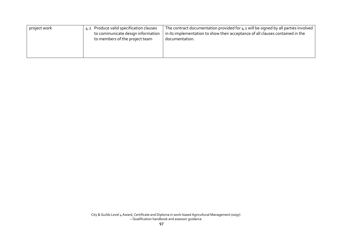| 4.2 Produce valid specification clauses<br>project work<br>to communicate design information<br>to members of the project team | The contract documentation provided for 4.1 will be signed by all parties involved<br>in its implementation to show their acceptance of all clauses contained in the<br>documentation. |
|--------------------------------------------------------------------------------------------------------------------------------|----------------------------------------------------------------------------------------------------------------------------------------------------------------------------------------|
|--------------------------------------------------------------------------------------------------------------------------------|----------------------------------------------------------------------------------------------------------------------------------------------------------------------------------------|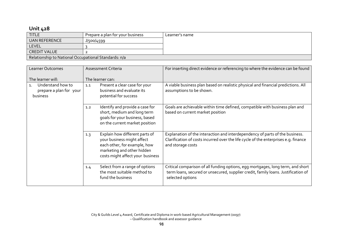| <b>TITLE</b>                                         | Prepare a plan for your business | Learner's name |  |
|------------------------------------------------------|----------------------------------|----------------|--|
| UAN REFERENCE                                        | J/500/4599                       |                |  |
| <b>LEVEL</b>                                         |                                  |                |  |
| <b>CREDIT VALUE</b>                                  |                                  |                |  |
| Relationship to National Occupational Standards: n/a |                                  |                |  |

| <b>Learner Outcomes</b>                                                    | <b>Assessment Criteria</b>                                                                                                                                            | For inserting direct evidence or referencing to where the evidence can be found                                                                                                          |
|----------------------------------------------------------------------------|-----------------------------------------------------------------------------------------------------------------------------------------------------------------------|------------------------------------------------------------------------------------------------------------------------------------------------------------------------------------------|
| The learner will:                                                          | The learner can:                                                                                                                                                      |                                                                                                                                                                                          |
| Understand how to<br>$\mathbf{1}$ .<br>prepare a plan for your<br>business | Present a clear case for your<br>1.1<br>business and evaluate its<br>potential for success                                                                            | A viable business plan based on realistic physical and financial predictions. All<br>assumptions to be shown.                                                                            |
|                                                                            | Identify and provide a case for<br>1.2<br>short, medium and long term<br>goals for your business, based<br>on the current market position                             | Goals are achievable within time defined, compatible with business plan and<br>based on current market position                                                                          |
|                                                                            | Explain how different parts of<br>1.3<br>your business might affect<br>each other, for example, how<br>marketing and other hidden<br>costs might affect your business | Explanation of the interaction and interdependency of parts of the business.<br>Clarification of costs incurred over the life cycle of the enterprises e.g. finance<br>and storage costs |
|                                                                            | Select from a range of options<br>1.4<br>the most suitable method to<br>fund the business                                                                             | Critical comparison of all funding options, egg mortgages, long term, and short<br>term loans, secured or unsecured, supplier credit, family loans. Justification of<br>selected options |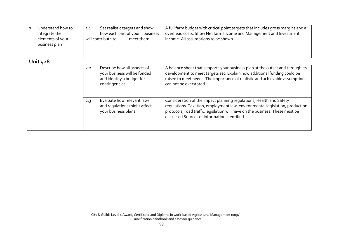| Understand how to<br>2.<br>integrate the<br>elements of your<br>business plan | Set realistic targets and show<br>2.1<br>how each part of your business<br>will contribute to<br>meet them       | A full farm budget with critical point targets that includes gross margins and all<br>overhead costs. Show Net farm Income and Management and Investment<br>Income. All assumptions to be shown.                                                                                    |  |
|-------------------------------------------------------------------------------|------------------------------------------------------------------------------------------------------------------|-------------------------------------------------------------------------------------------------------------------------------------------------------------------------------------------------------------------------------------------------------------------------------------|--|
| <b>Unit 428</b>                                                               |                                                                                                                  |                                                                                                                                                                                                                                                                                     |  |
|                                                                               | Describe how all aspects of<br>2.2<br>your business will be funded<br>and identify a budget for<br>contingencies | A balance sheet that supports your business plan at the outset and through its<br>development to meet targets set. Explain how additional funding could be<br>raised to meet needs. The importance of realistic and achievable assumptions<br>can not be overstated.                |  |
|                                                                               | Evaluate how relevant laws<br>2.3<br>and regulations might affect<br>your business plans                         | Consideration of the impact planning regulations, Health and Safety<br>requlations. Taxation, employment law, environmental legislation, production<br>protocols, road traffic legislation will have on the business. These must be<br>discussed Sources of information identified. |  |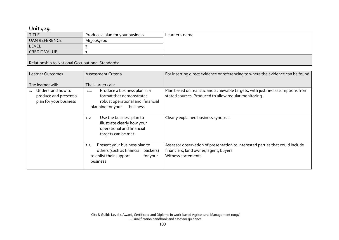| <b>TITLE</b>                                     | Produce a plan for your business | Learner's name |  |
|--------------------------------------------------|----------------------------------|----------------|--|
| UAN REFERENCE                                    | M/500/4600                       |                |  |
| <b>LEVEL</b>                                     |                                  |                |  |
| <b>CREDIT VALUE</b>                              |                                  |                |  |
|                                                  |                                  |                |  |
| Relationship to National Occupational Standards: |                                  |                |  |

| <b>Learner Outcomes</b>                                                    | Assessment Criteria                                                                                                                  | For inserting direct evidence or referencing to where the evidence can be found                                                                |
|----------------------------------------------------------------------------|--------------------------------------------------------------------------------------------------------------------------------------|------------------------------------------------------------------------------------------------------------------------------------------------|
| The learner will:                                                          | The learner can:                                                                                                                     |                                                                                                                                                |
| Understand how to<br>1.<br>produce and present a<br>plan for your business | Produce a business plan in a<br>1.1<br>format that demonstrates<br>robust operational and financial<br>planning for your<br>business | Plan based on realistic and achievable targets, with justified assumptions from<br>stated sources. Produced to allow regular monitoring.       |
|                                                                            | Use the business plan to<br>1.2<br>Illustrate clearly how your<br>operational and financial<br>targets can be met                    | Clearly explained business synopsis.                                                                                                           |
|                                                                            | Present your business plan to<br>1.3.<br>others (such as financial backers)<br>to enlist their support<br>for your<br>business       | Assessor observation of presentation to interested parties that could include<br>financiers, land owner/ agent, buyers.<br>Witness statements. |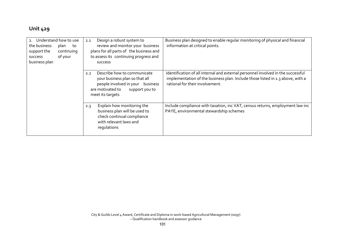| 2. Understand how to use<br>the business<br>plan<br>to<br>support the<br>continuing<br>of your<br><b>SUCCESS</b><br>business plan | Design a robust system to<br>2.1<br>review and monitor your business<br>plans for all parts of the business and<br>to assess its continuing progress and<br><b>SUCCESS</b> | Business plan designed to enable regular monitoring of physical and financial<br>information at critical points.                                                                                      |  |
|-----------------------------------------------------------------------------------------------------------------------------------|----------------------------------------------------------------------------------------------------------------------------------------------------------------------------|-------------------------------------------------------------------------------------------------------------------------------------------------------------------------------------------------------|--|
|                                                                                                                                   | Describe how to communicate<br>2.2<br>your business plan so that all<br>people involved in your business<br>are motivated to<br>support you to<br>meet its targets         | Identification of all internal and external personnel involved in the successful<br>implementation of the business plan. Include those listed in 1.3 above, with a<br>rational for their involvement. |  |
|                                                                                                                                   | Explain how monitoring the<br>2.3<br>business plan will be used to<br>check continual compliance<br>with relevant laws and<br>regulations                                  | Include compliance with taxation, inc VAT, census returns, employment law inc<br>PAYE, environmental stewardship schemes                                                                              |  |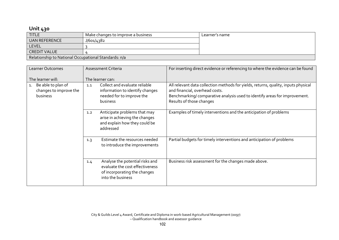| . .<br><b>TITLE</b>                                  | Make changes to improve a business | Learner's name |  |
|------------------------------------------------------|------------------------------------|----------------|--|
| UAN REFERENCE                                        | J/601/4382                         |                |  |
| <b>LEVEL</b>                                         |                                    |                |  |
| <b>CREDIT VALUE</b>                                  |                                    |                |  |
| Relationship to National Occupational Standards: n/a |                                    |                |  |

| <b>Learner Outcomes</b>                                        | <b>Assessment Criteria</b>                                                                                                     | For inserting direct evidence or referencing to where the evidence can be found                                                                                                                                               |
|----------------------------------------------------------------|--------------------------------------------------------------------------------------------------------------------------------|-------------------------------------------------------------------------------------------------------------------------------------------------------------------------------------------------------------------------------|
| The learner will:                                              | The learner can:                                                                                                               |                                                                                                                                                                                                                               |
| Be able to plan of<br>1.<br>changes to improve the<br>business | Collect and evaluate reliable<br>1.1<br>information to identify changes<br>needed for to improve the<br>business               | All relevant data collection methods for yields, returns, quality, inputs physical<br>and financial, overhead costs.<br>Benchmarking/comparative analysis used to identify areas for improvement.<br>Results of those changes |
|                                                                | Anticipate problems that may<br>1.2<br>arise in achieving the changes<br>and explain how they could be<br>addressed            | Examples of timely interventions and the anticipation of problems                                                                                                                                                             |
|                                                                | Estimate the resources needed<br>1.3<br>to introduce the improvements                                                          | Partial budgets for timely interventions and anticipation of problems                                                                                                                                                         |
|                                                                | Analyse the potential risks and<br>1.4<br>evaluate the cost effectiveness<br>of incorporating the changes<br>into the business | Business risk assessment for the changes made above.                                                                                                                                                                          |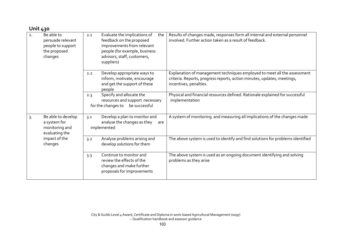|                | <b>Unit 430</b>                                                                 |                                                                                                                                                                                    |                                                                                                                                                                               |  |  |
|----------------|---------------------------------------------------------------------------------|------------------------------------------------------------------------------------------------------------------------------------------------------------------------------------|-------------------------------------------------------------------------------------------------------------------------------------------------------------------------------|--|--|
| 2.             | Be able to<br>persuade relevant<br>people to support<br>the proposed<br>changes | Evaluate the implications of<br>the<br>2.1<br>feedback on the proposed<br>improvements from relevant<br>people (for example, business<br>advisors, staff, customers,<br>suppliers) | Results of changes made, responses form all internal and external personnel<br>involved. Further action taken as a result of feedback.                                        |  |  |
|                |                                                                                 | Develop appropriate ways to<br>2.2<br>inform, motivate, encourage<br>and get the support of these<br>people                                                                        | Explanation of management techniques employed to meet all the assessment<br>criteria. Reports, progress reports, action minutes, updates, meetings,<br>incentives, penalties. |  |  |
|                |                                                                                 | Specify and allocate the<br>2.3<br>resources and support necessary<br>for the changes to be successful                                                                             | Physical and financial resources defined. Rationale explained for successful<br>implementation                                                                                |  |  |
| $\overline{3}$ | Be able to develop<br>a system for<br>monitoring and<br>evaluating the          | Develop a plan to monitor and<br>3.1<br>analyse the changes as they<br>are<br>implemented                                                                                          | A system of monitoring and measuring all implications of the changes made                                                                                                     |  |  |
|                | impact of the<br>changes                                                        | Analyse problems arising and<br>3.2<br>develop solutions for them                                                                                                                  | The above system is used to identify and find solutions for problems identified                                                                                               |  |  |
|                |                                                                                 | Continue to monitor and<br>3.3<br>review the effects of the<br>changes and make further<br>proposals for improvements                                                              | The above system is used as an ongoing document identifying and solving<br>problems as they arise                                                                             |  |  |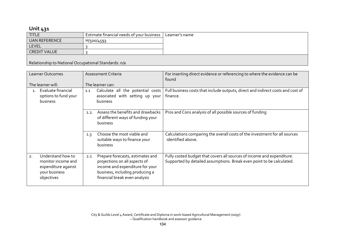| --                                                   |                                           |                |
|------------------------------------------------------|-------------------------------------------|----------------|
| <b>TITLE</b>                                         | Estimate financial needs of your business | Learner's name |
| <b>UAN REFERENCE</b>                                 | H/500/4593                                |                |
| <b>LEVEL</b>                                         |                                           |                |
| <b>CREDIT VALUE</b>                                  |                                           |                |
|                                                      |                                           |                |
| Relationship to National Occupational Standards: n/a |                                           |                |

Learner Outcomes The learner will: Assessment Criteria The learner can: For inserting direct evidence or referencing to where the evidence can be found 1. Evaluate financial options to fund your business 1.1 Calculate all the potential costs associated with setting up your business Full business costs that include outputs, direct and indirect costs and cost of finance. 1.2. Assess the benefits and drawbacks of different ways of funding your business Pros and Cons analysis of all possible sources of funding 1.3 Choose the most viable and suitable ways to finance your business Calculations comparing the overall costs of the investment for all sources identified above. 2. Understand how to monitor income and expenditure against your business objectives 2.1 Prepare forecasts, estimates and projections on all aspects of income and expenditure for your business, including producing a financial break even analysis Fully costed budget that covers all sources of income and expenditure. Supported by detailed assumptions. Break even point to be calculated.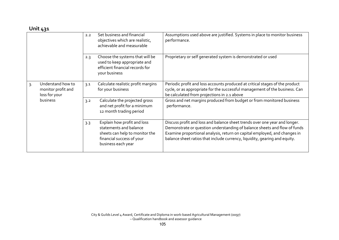|    |                                                                      | 2.2 | Set business and financial<br>objectives which are realistic,<br>achievable and measurable                                                 | Assumptions used above are justified. Systems in place to monitor business<br>performance.                                                                                                                                                                                                                         |
|----|----------------------------------------------------------------------|-----|--------------------------------------------------------------------------------------------------------------------------------------------|--------------------------------------------------------------------------------------------------------------------------------------------------------------------------------------------------------------------------------------------------------------------------------------------------------------------|
|    |                                                                      | 2.3 | Choose the systems that will be<br>used to keep appropriate and<br>efficient financial records for<br>your business                        | Proprietary or self generated system is demonstrated or used                                                                                                                                                                                                                                                       |
| 3. | Understand how to<br>monitor profit and<br>loss for your<br>business | 3.1 | Calculate realistic profit margins<br>for your business                                                                                    | Periodic profit and loss accounts produced at critical stages of the product<br>cycle, or as appropriate for the successful management of the business. Can<br>be calculated from projections in 2.1 above                                                                                                         |
|    |                                                                      | 3.2 | Calculate the projected gross<br>and net profit for a minimum<br>12 month trading period                                                   | Gross and net margins produced from budget or from monitored business<br>performance.                                                                                                                                                                                                                              |
|    |                                                                      | 3.3 | Explain how profit and loss<br>statements and balance<br>sheets can help to monitor the<br>financial success of your<br>business each year | Discuss profit and loss and balance sheet trends over one year and longer.<br>Demonstrate or question understanding of balance sheets and flow of funds<br>Examine proportional analysis, return on capital employed, and changes in<br>balance sheet ratios that include currency, liquidity, gearing and equity. |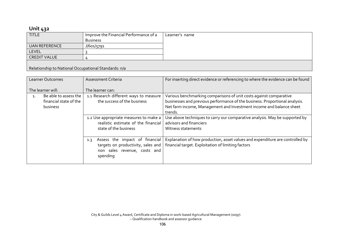| <b>TITLE</b>                                         | Improve the Financial Performance of a | Learner's name |  |  |
|------------------------------------------------------|----------------------------------------|----------------|--|--|
|                                                      | <b>Business</b>                        |                |  |  |
| UAN REFERENCE                                        | J/601/5791                             |                |  |  |
| <b>LEVEL</b>                                         |                                        |                |  |  |
| <b>CREDIT VALUE</b>                                  |                                        |                |  |  |
| Relationship to National Occupational Standards: n/a |                                        |                |  |  |
|                                                      |                                        |                |  |  |

| <b>Learner Outcomes</b>                                     |                   | <b>Assessment Criteria</b>                                                                                              | For inserting direct evidence or referencing to where the evidence can be found                                                                                                                                                     |
|-------------------------------------------------------------|-------------------|-------------------------------------------------------------------------------------------------------------------------|-------------------------------------------------------------------------------------------------------------------------------------------------------------------------------------------------------------------------------------|
|                                                             | The learner will: | The learner can:                                                                                                        |                                                                                                                                                                                                                                     |
| Be able to assess the<br>financial state of the<br>business |                   | 1.1 Research different ways to measure<br>the success of the business                                                   | Various benchmarking comparisons of unit costs against comparative<br>businesses and previous performance of the business. Proportional analysis.<br>Net farm income, Management and Investment income and balance sheet<br>trends. |
|                                                             |                   | 1.2 Use appropriate measures to make a<br>realistic estimate of the financial<br>state of the business                  | Use above techniques to carry our comparative analysis. May be supported by<br>advisors and financiers<br>Witness statements                                                                                                        |
|                                                             |                   | Assess the impact of financial<br>1.3<br>targets on productivity, sales and<br>non sales revenue, costs and<br>spending | Explanation of how production, asset values and expenditure are controlled by<br>financial target. Exploitation of limiting factors                                                                                                 |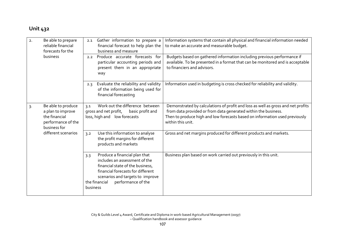| 2. | Be able to prepare<br>reliable financial<br>forecasts for the                                                         | Gather information to prepare a<br>Information systems that contain all physical and financial information needed<br>2.1<br>financial forecast to help plan the<br>to make an accurate and measurable budget.<br>business and measure                                                                                                                                         |  |
|----|-----------------------------------------------------------------------------------------------------------------------|-------------------------------------------------------------------------------------------------------------------------------------------------------------------------------------------------------------------------------------------------------------------------------------------------------------------------------------------------------------------------------|--|
|    | business                                                                                                              | Budgets based on gathered information including previous performance if<br>Produce accurate forecasts for<br>2.2<br>available. To be presented in a format that can be monitored and is acceptable<br>particular accounting periods and<br>to financiers and advisors.<br>present them in an appropriate<br>way                                                               |  |
|    |                                                                                                                       | Information used in budgeting is cross checked for reliability and validity.<br>Evaluate the reliability and validity<br>2.3<br>of the information being used for<br>financial forecasting                                                                                                                                                                                    |  |
| 3. | Be able to produce<br>a plan to improve<br>the financial<br>performance of the<br>business for<br>different scenarios | Work out the difference between<br>Demonstrated by calculations of profit and loss as well as gross and net profits<br>3.1<br>from data provided or from data generated within the business.<br>gross and net profit,<br>basic profit and<br>Then to produce high and low forecasts based on information used previously<br>loss, high and low forecasts<br>within this unit. |  |
|    |                                                                                                                       | Gross and net margins produced for different products and markets.<br>Use this information to analyse<br>3.2<br>the profit margins for different<br>products and markets                                                                                                                                                                                                      |  |
|    |                                                                                                                       | Produce a financial plan that<br>Business plan based on work carried out previously in this unit.<br>3.3<br>includes an assessment of the<br>financial state of the business,<br>financial forecasts for different<br>scenarios and targets to improve<br>the financial<br>performance of the<br>business                                                                     |  |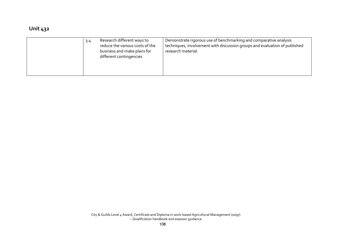| 3.4 | Research different ways to<br>reduce the various costs of the<br>business and make plans for<br>different contingencies | Demonstrate rigorous use of benchmarking and comparative analysis<br>techniques, involvement with discussion groups and evaluation of published<br>research material. |
|-----|-------------------------------------------------------------------------------------------------------------------------|-----------------------------------------------------------------------------------------------------------------------------------------------------------------------|
|-----|-------------------------------------------------------------------------------------------------------------------------|-----------------------------------------------------------------------------------------------------------------------------------------------------------------------|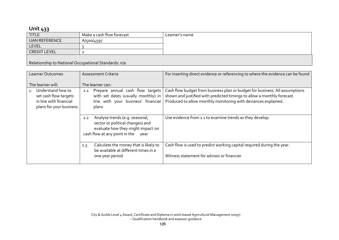| .<br><b>TITLE</b>                                    | Make a cash flow forecast | Learner's name |  |
|------------------------------------------------------|---------------------------|----------------|--|
| <b>UAN REFERENCE</b>                                 | A/500/4597                |                |  |
| <b>LEVEL</b>                                         |                           |                |  |
| <b>CREDIT LEVEL</b>                                  |                           |                |  |
|                                                      |                           |                |  |
| Relationship to National Occupational Standards: n/a |                           |                |  |

| Assessment Criteria<br><b>Learner Outcomes</b>                                                        |                                                                                                                                                         | For inserting direct evidence or referencing to where the evidence can be found                                                                                                                                          |
|-------------------------------------------------------------------------------------------------------|---------------------------------------------------------------------------------------------------------------------------------------------------------|--------------------------------------------------------------------------------------------------------------------------------------------------------------------------------------------------------------------------|
| The learner will:                                                                                     | The learner can:                                                                                                                                        |                                                                                                                                                                                                                          |
| Understand how to<br>1.<br>set cash flow targets<br>in line with financial<br>plans for your business | Prepare annual cash flow targets<br>1.1<br>with set dates (usually monthly) in<br>line with your business' financial<br>plans                           | Cash flow budget from business plan or budget for business. All assumptions<br>shown and justified with predicted timings to allow a monthly forecast.<br>Produced to allow monthly monitoring with deviances explained. |
|                                                                                                       | Analyse trends (e.g. seasonal,<br>1.2<br>sector or political changes) and<br>evaluate how they might impact on<br>cash flow at any point in the<br>year | Use evidence from 1.1 to examine trends as they develop.                                                                                                                                                                 |
|                                                                                                       | Calculate the money that is likely to<br>1.3<br>be available at different times in a<br>one year period                                                 | Cash flow is used to predict working capital required during the year.<br>Witness statement for advisor or financier                                                                                                     |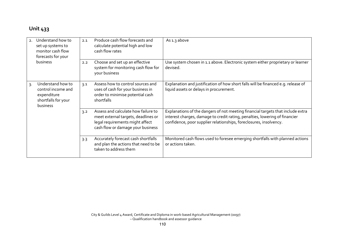| 2.<br>business | Understand how to<br>set up systems to<br>monitor cash flow<br>forecasts for your         | 2.1 | Produce cash flow forecasts and<br>calculate potential high and low<br>cash flow rates                                                             | As 1.3 above                                                                                                                                                                                                                         |
|----------------|-------------------------------------------------------------------------------------------|-----|----------------------------------------------------------------------------------------------------------------------------------------------------|--------------------------------------------------------------------------------------------------------------------------------------------------------------------------------------------------------------------------------------|
|                |                                                                                           | 2.2 | Choose and set up an effective<br>system for monitoring cash flow for<br>your business                                                             | Use system chosen in 1.1 above. Electronic system either proprietary or learner<br>devised.                                                                                                                                          |
| 3.             | Understand how to<br>control income and<br>expenditure<br>shortfalls for your<br>business | 3.1 | Assess how to control sources and<br>uses of cash for your business in<br>order to minimise potential cash<br>shortfalls                           | Explanation and justification of how short falls will be financed e.g. release of<br>liquid assets or delays in procurement.                                                                                                         |
|                |                                                                                           | 3.2 | Assess and calculate how failure to<br>meet external targets, deadlines or<br>legal requirements might affect<br>cash flow or damage your business | Explanations of the dangers of not meeting financial targets that include extra<br>interest charges, damage to credit rating, penalties, lowering of financier<br>confidence, poor supplier relationships, foreclosures, insolvency. |
|                |                                                                                           | 3.3 | Accurately forecast cash shortfalls<br>and plan the actions that need to be<br>taken to address them                                               | Monitored cash flows used to foresee emerging shortfalls with planned actions<br>or actions taken.                                                                                                                                   |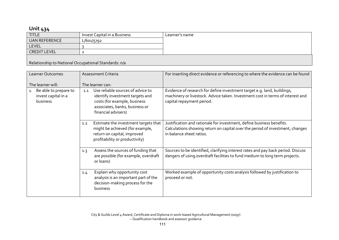| .                                                    |                              |                |  |
|------------------------------------------------------|------------------------------|----------------|--|
| <b>TITLE</b>                                         | Invest Capital in a Business | Learner's name |  |
| UAN REFERENCE                                        | L/601/5792                   |                |  |
| <b>LEVEL</b>                                         |                              |                |  |
| <b>CREDIT LEVEL</b>                                  |                              |                |  |
|                                                      |                              |                |  |
| Relationship to National Occupational Standards: n/a |                              |                |  |

| <b>Learner Outcomes</b><br>Assessment Criteria                 |                                                                                                                                                                      | For inserting direct evidence or referencing to where the evidence can be found                                                                                                        |
|----------------------------------------------------------------|----------------------------------------------------------------------------------------------------------------------------------------------------------------------|----------------------------------------------------------------------------------------------------------------------------------------------------------------------------------------|
| The learner will:<br>The learner can:                          |                                                                                                                                                                      |                                                                                                                                                                                        |
| Be able to prepare to<br>1.<br>invest capital in a<br>business | Use reliable sources of advice to<br>1.1<br>identify investment targets and<br>costs (for example, business<br>associates, banks, business or<br>financial advisers) | Evidence of research for define investment target e.g. land, buildings,<br>machinery or livestock. Advice taken. Investment cost in terms of interest and<br>capital repayment period. |
|                                                                | Estimate the investment targets that<br>1.2<br>might be achieved (for example,<br>return on capital, improved<br>profitability or productivity)                      | Justification and rationale for investment, define business benefits.<br>Calculations showing return on capital over the period of investment, changes<br>in balance sheet ratios.     |
|                                                                | Assess the sources of funding that<br>1.3<br>are possible (for example, overdraft<br>or loans)                                                                       | Sources to be identified, clarifying interest rates and pay back period. Discuss<br>dangers of using overdraft facilities to fund medium to long term projects.                        |
|                                                                | Explain why opportunity cost<br>1.4<br>analysis is an important part of the<br>decision-making process for the<br>business                                           | Worked example of opportunity costs analysis followed by justification to<br>proceed or not.                                                                                           |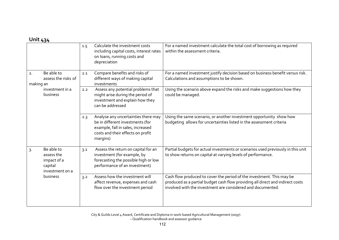|                 |                                                                       | 1.5 | Calculate the investment costs<br>including capital costs, interest rates<br>on loans, running costs and<br>depreciation                                      | For a named investment calculate the total cost of borrowing as required<br>within the assessment criteria.                                                                                                            |
|-----------------|-----------------------------------------------------------------------|-----|---------------------------------------------------------------------------------------------------------------------------------------------------------------|------------------------------------------------------------------------------------------------------------------------------------------------------------------------------------------------------------------------|
| 2.<br>making an | Be able to<br>assess the risks of                                     | 2.1 | Compare benefits and risks of<br>different ways of making capital<br>investments                                                                              | For a named investment justify decision based on business benefit versus risk.<br>Calculations and assumptions to be shown.                                                                                            |
|                 | investment in a<br>business                                           | 2.2 | Assess any potential problems that<br>might arise during the period of<br>investment and explain how they<br>can be addressed                                 | Using the scenario above expand the risks and make suggestions how they<br>could be managed.                                                                                                                           |
|                 |                                                                       | 2.3 | Analyse any uncertainties there may<br>be in different investments (for<br>example, fall in sales, increased<br>costs and their effects on profit<br>margins) | Using the same scenario, or another investment opportunity show how<br>budgeting allows for uncertainties listed in the assessment criteria                                                                            |
| 3.              | Be able to<br>assess the<br>impact of a<br>capital<br>investment on a | 3.1 | Assess the return on capital for an<br>investment (for example, by<br>forecasting the possible high or low<br>performance of an investment)                   | Partial budgets for actual investments or scenarios used previously in this unit<br>to show returns on capital at varying levels of performance.                                                                       |
|                 | business                                                              | 3.2 | Assess how the investment will<br>affect revenue, expenses and cash<br>flow over the investment period                                                        | Cash flow produced to cover the period of the investment. This may be<br>produced as a partial budget cash flow providing all direct and indirect costs<br>involved with the investment are considered and documented. |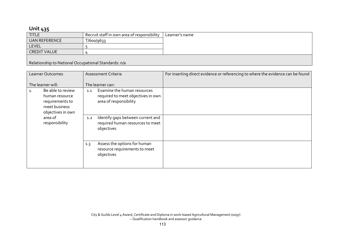| .                                                    |                                             |                |  |  |
|------------------------------------------------------|---------------------------------------------|----------------|--|--|
| <b>TITLE</b>                                         | Recruit staff in own area of responsibility | Learner's name |  |  |
| UAN REFERENCE                                        | Т/6оо/96зз                                  |                |  |  |
| <b>LEVEL</b>                                         |                                             |                |  |  |
| <b>CREDIT VALUE</b>                                  |                                             |                |  |  |
|                                                      |                                             |                |  |  |
| Relationship to National Occupational Standards: n/a |                                             |                |  |  |

Learner Outcomes The learner will: Assessment Criteria The learner can: For inserting direct evidence or referencing to where the evidence can be found 1. Be able to review human resource requirements to meet business objectives in own area of responsibility 1.1 Examine the human resources required to meet objectives in own area of responsibility 1.2 Identify gaps between current and required human resources to meet objectives 1.3 Assess the options for human resource requirements to meet objectives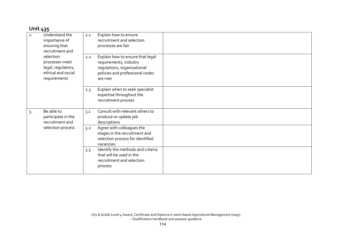| 2. | Understand the<br>importance of<br>ensuring that<br>recruitment and<br>selection<br>processes meet<br>legal, regulatory,<br>ethical and social<br>requirements | 2.1 | Explain how to ensure<br>recruitment and selection<br>processes are fair                                                                |  |
|----|----------------------------------------------------------------------------------------------------------------------------------------------------------------|-----|-----------------------------------------------------------------------------------------------------------------------------------------|--|
|    |                                                                                                                                                                | 2.2 | Explain how to ensure that legal<br>requirements, industry<br>regulations, organisational<br>policies and professional codes<br>are met |  |
|    |                                                                                                                                                                | 2.3 | Explain when to seek specialist<br>expertise throughout the<br>recruitment process                                                      |  |
| 3. | Be able to<br>participate in the<br>recruitment and                                                                                                            | 3.1 | Consult with relevant others to<br>produce or update job<br>descriptions                                                                |  |
|    | selection process                                                                                                                                              | 3.2 | Agree with colleagues the<br>stages in the recruitment and<br>selection process for identified<br>vacancies                             |  |
|    |                                                                                                                                                                | 3.3 | Identify the methods and criteria<br>that will be used in the<br>recruitment and selection<br>process                                   |  |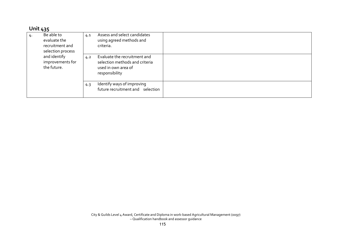|                                  | <b>Unit 435</b>                                 |     |                                                                                                         |  |
|----------------------------------|-------------------------------------------------|-----|---------------------------------------------------------------------------------------------------------|--|
| Be able to<br>4.<br>evaluate the | recruitment and<br>selection process            | 4.1 | Assess and select candidates<br>using agreed methods and<br>criteria.                                   |  |
|                                  | and identify<br>improvements for<br>the future. | 4.2 | Evaluate the recruitment and<br>selection methods and criteria<br>used in own area of<br>responsibility |  |
|                                  |                                                 | 4.3 | Identify ways of improving<br>future recruitment and selection                                          |  |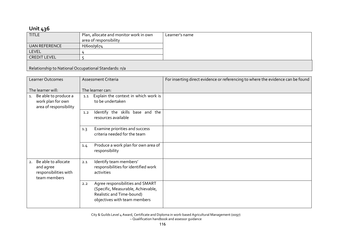| <b>TITLE</b>                                         | Plan, allocate and monitor work in own | Learner's name |  |  |  |
|------------------------------------------------------|----------------------------------------|----------------|--|--|--|
|                                                      | area of responsibility                 |                |  |  |  |
| UAN REFERENCE                                        | H/600/9674                             |                |  |  |  |
| <b>LEVEL</b>                                         |                                        |                |  |  |  |
| <b>CREDIT LEVEL</b>                                  |                                        |                |  |  |  |
|                                                      |                                        |                |  |  |  |
| Relationship to National Occupational Standards: n/a |                                        |                |  |  |  |

| Assessment Criteria<br>Learner Outcomes                                         |                                                                                                                                            | For inserting direct evidence or referencing to where the evidence can be found |
|---------------------------------------------------------------------------------|--------------------------------------------------------------------------------------------------------------------------------------------|---------------------------------------------------------------------------------|
| The learner will:<br>The learner can:                                           |                                                                                                                                            |                                                                                 |
| Be able to produce a<br>1.<br>work plan for own<br>area of responsibility       | Explain the context in which work is<br>1.1<br>to be undertaken                                                                            |                                                                                 |
|                                                                                 | Identify the skills base and the<br>1.2<br>resources available                                                                             |                                                                                 |
|                                                                                 | Examine priorities and success<br>1.3<br>criteria needed for the team                                                                      |                                                                                 |
|                                                                                 | Produce a work plan for own area of<br>1.4<br>responsibility                                                                               |                                                                                 |
| Be able to allocate<br>2.<br>and agree<br>responsibilities with<br>team members | Identify team members'<br>2.1<br>responsibilities for identified work<br>activities                                                        |                                                                                 |
|                                                                                 | Agree responsibilities and SMART<br>2.2<br>(Specific, Measurable, Achievable,<br>Realistic and Time-bound)<br>objectives with team members |                                                                                 |

City & Guilds Level 4 Award, Certificate and Diploma in work-based Agricultural Management (0097) – Qualification handbook and assessor guidance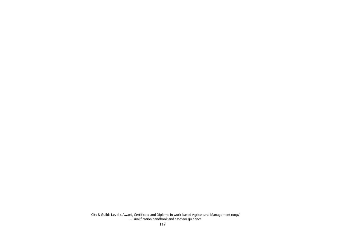City & Guilds Level 4 Award, Certificate and Diploma in work-based Agricultural Management (0097) – Qualification handbook and assessor guidance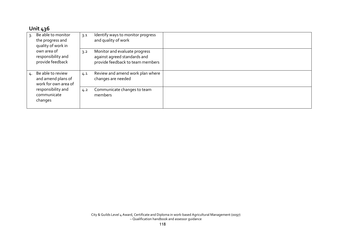|  | Be able to monitor<br>3.<br>the progress and<br>quality of work in                                                    | 3.1 | Identify ways to monitor progress<br>and quality of work                                          |  |
|--|-----------------------------------------------------------------------------------------------------------------------|-----|---------------------------------------------------------------------------------------------------|--|
|  | own area of<br>responsibility and<br>provide feedback                                                                 | 3.2 | Monitor and evaluate progress<br>against agreed standards and<br>provide feedback to team members |  |
|  | Be able to review<br>4.<br>and amend plans of<br>work for own area of<br>responsibility and<br>communicate<br>changes | 4.1 | Review and amend work plan where<br>changes are needed                                            |  |
|  |                                                                                                                       | 4.2 | Communicate changes to team<br>members                                                            |  |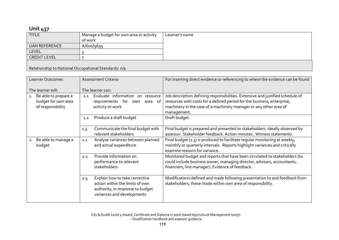| .<br><b>TITLE</b>                                    | Manage a budget for own area or activity | Learner's name |  |
|------------------------------------------------------|------------------------------------------|----------------|--|
|                                                      | of work                                  |                |  |
| UAN REFERENCE                                        | A/600/9695                               |                |  |
| <b>LEVEL</b>                                         |                                          |                |  |
| <b>CREDIT LEVEL</b>                                  |                                          |                |  |
|                                                      |                                          |                |  |
| Relationship to National Occupational Standards: n/a |                                          |                |  |

| <b>Learner Outcomes</b>                                                | <b>Assessment Criteria</b>                                                                                                                 | For inserting direct evidence or referencing to where the evidence can be found                                                                                                                                                               |
|------------------------------------------------------------------------|--------------------------------------------------------------------------------------------------------------------------------------------|-----------------------------------------------------------------------------------------------------------------------------------------------------------------------------------------------------------------------------------------------|
| The learner will:                                                      | The learner can:                                                                                                                           |                                                                                                                                                                                                                                               |
| Be able to prepare a<br>1.<br>budget for own area<br>of responsibility | Evaluate information on resource<br>1.1<br>requirements for own<br>area of<br>activity or work                                             | Job description defining responsibilities. Extensive and justified schedule of<br>resources with costs for a defined period for the business, enterprise,<br>machinery in the case of a machinery manager or any other area of<br>management. |
|                                                                        | Produce a draft budget<br>1.2                                                                                                              | Draft budget.                                                                                                                                                                                                                                 |
|                                                                        | Communicate the final budget with<br>1.3<br>relevant stakeholders                                                                          | Final budget is prepared and presented to stakeholders. Ideally observed by<br>assessor. Stakeholder feedback. Action minutes, Witness statements.                                                                                            |
| Be able to manage a<br>2.<br>budget                                    | Analyse variances between planned<br>2.1<br>and actual expenditure                                                                         | Final budget (1.3) is produced to facilitate regular monitoring at weekly,<br>monthly or quarterly intervals. Reports highlight variances and critically<br>examine reasons for variance.                                                     |
|                                                                        | Provide information on<br>2.2<br>performance to relevant<br>stakeholders                                                                   | Monitored budget and reports that have been circulated to stakeholders (to<br>could include business owner, managing director, advisors, accountants,<br>financiers, line manager). Evidence of feedback.                                     |
|                                                                        | Explain how to take corrective<br>2.3<br>action within the limits of own<br>authority, in response to budget<br>variances and developments | Modifications defined and made following presentation to and feedback from<br>stakeholders, these made within own area of responsibility.                                                                                                     |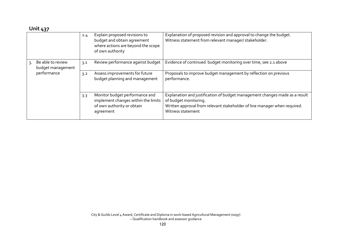|    | <b>Unit 437</b>                        |     |                                                                                                                        |                                                                                                                                                                                                        |
|----|----------------------------------------|-----|------------------------------------------------------------------------------------------------------------------------|--------------------------------------------------------------------------------------------------------------------------------------------------------------------------------------------------------|
|    |                                        | 2.4 | Explain proposed revisions to<br>budget and obtain agreement<br>where actions are beyond the scope<br>of own authority | Explanation of proposed revision and approval to change the budget.<br>Witness statement from relevant manager/ stakeholder.                                                                           |
| 3. | Be able to review<br>budget management | 3.1 | Review performance against budget                                                                                      | Evidence of continued budget monitoring over time, see 2.1 above                                                                                                                                       |
|    | performance                            | 3.2 | Assess improvements for future<br>budget planning and management                                                       | Proposals to improve budget management by reflection on previous<br>performance.                                                                                                                       |
|    |                                        | 3.3 | Monitor budget performance and<br>implement changes within the limits<br>of own authority or obtain<br>agreement       | Explanation and justification of budget management changes made as a result<br>of budget monitoring.<br>Written approval from relevant stakeholder of line manager when required.<br>Witness statement |

City & Guilds Level 4 Award, Certificate and Diploma in work-based Agricultural Management (0097) – Qualification handbook and assessor guidance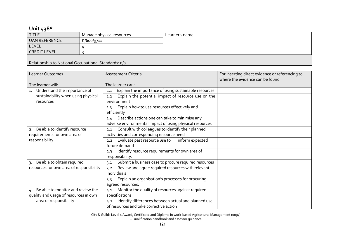#### **Unit 438\***

| . .                                                  |                           |                |  |
|------------------------------------------------------|---------------------------|----------------|--|
| <b>TITLE</b>                                         | Manage physical resources | Learner's name |  |
| UAN REFERENCE                                        | K/600/9711                |                |  |
| <b>LEVEL</b>                                         |                           |                |  |
| <b>CREDIT LEVEL</b>                                  |                           |                |  |
|                                                      |                           |                |  |
| Relationship to National Occupational Standards: n/a |                           |                |  |

| <b>Learner Outcomes</b><br><b>Assessment Criteria</b> |                                                                          | For inserting direct evidence or referencing to<br>where the evidence can be found |
|-------------------------------------------------------|--------------------------------------------------------------------------|------------------------------------------------------------------------------------|
| The learner will:                                     | The learner can:                                                         |                                                                                    |
| Understand the importance of<br>1 <sub>1</sub>        | Explain the importance of using sustainable resources<br>1.1             |                                                                                    |
| sustainability when using physical                    | Explain the potential impact of resource use on the<br>1.2               |                                                                                    |
| resources                                             | environment                                                              |                                                                                    |
|                                                       | Explain how to use resources effectively and<br>1.3<br>efficiently       |                                                                                    |
|                                                       | Describe actions one can take to minimise any<br>1.4                     |                                                                                    |
|                                                       | adverse environmental impact of using physical resources                 |                                                                                    |
| 2. Be able to identify resource                       | Consult with colleagues to identify their planned<br>2.1                 |                                                                                    |
| requirements for own area of                          | activities and corresponding resource need                               |                                                                                    |
| responsibility                                        | Evaluate past resource use to<br>inform expected<br>2.2                  |                                                                                    |
|                                                       | future demand                                                            |                                                                                    |
|                                                       | Identify resource requirements for own area of<br>2.3<br>responsibility. |                                                                                    |
| Be able to obtain required<br>3.                      | Submit a business case to procure required resources<br>3.1              |                                                                                    |
| resources for own area of responsibility              | Review and agree required resources with relevant<br>3.2                 |                                                                                    |
|                                                       | individuals                                                              |                                                                                    |
|                                                       | Explain an organisation's processes for procuring<br>3.3                 |                                                                                    |
|                                                       | agreed resources.                                                        |                                                                                    |
| 4. Be able to monitor and review the                  | Monitor the quality of resources against required<br>4.1                 |                                                                                    |
| quality and usage of resources in own                 | specifications                                                           |                                                                                    |
| area of responsibility                                | Identify differences between actual and planned use<br>4.2               |                                                                                    |
|                                                       | of resources and take corrective action                                  |                                                                                    |

City & Guilds Level 4 Award, Certificate and Diploma in work-based Agricultural Management (0097)

– Qualification handbook and assessor guidance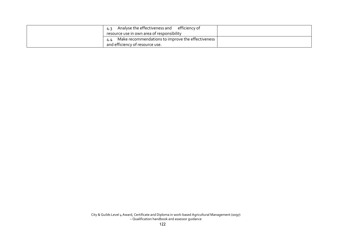| Analyse the effectiveness and efficiency of<br>4.3<br>resource use in own area of responsibility |  |
|--------------------------------------------------------------------------------------------------|--|
| 4.4 Make recommendations to improve the effectiveness<br>and efficiency of resource use.         |  |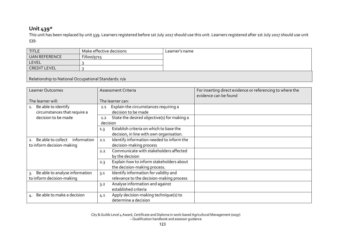### **Unit 439\***

This unit has been replaced by unit 539. Learners registered before 1st July 2017 should use this unit. Learners registered after 1st July 2017 should use unit 539.

| TITLE               | Make effective decisions | Learner's name |
|---------------------|--------------------------|----------------|
| UAN REFERENCE       | F/600/9715               |                |
| LEVEL               |                          |                |
| <b>CREDIT LEVEL</b> |                          |                |
|                     |                          |                |

#### Relationship to National Occupational Standards: n/a

| <b>Learner Outcomes</b>                 | <b>Assessment Criteria</b>                         | For inserting direct evidence or referencing to where the<br>evidence can be found |
|-----------------------------------------|----------------------------------------------------|------------------------------------------------------------------------------------|
| The learner will:                       | The learner can:                                   |                                                                                    |
| Be able to identify<br>1 <sub>1</sub>   | Explain the circumstances requiring a<br>1.1       |                                                                                    |
| circumstances that require a            | decision to be made                                |                                                                                    |
| decision to be made                     | State the desired objective(s) for making a<br>1.2 |                                                                                    |
|                                         | decision                                           |                                                                                    |
|                                         | Establish criteria on which to base the<br>1.3     |                                                                                    |
|                                         | decision, in line with own organisation.           |                                                                                    |
| Be able to collect<br>information<br>2. | Identify information needed to inform the<br>2.1   |                                                                                    |
| to inform decision-making               | decision-making process                            |                                                                                    |
|                                         | Communicate with stakeholders affected<br>2.2      |                                                                                    |
|                                         | by the decision                                    |                                                                                    |
|                                         | Explain how to inform stakeholders about<br>2.3    |                                                                                    |
|                                         | the decision-making process.                       |                                                                                    |
| Be able to analyse information<br>3.    | Identify information for validity and<br>3.1       |                                                                                    |
| to inform decision-making               | relevance to the decision-making process           |                                                                                    |
|                                         | Analyse information and against<br>3.2             |                                                                                    |
|                                         | established criteria                               |                                                                                    |
| Be able to make a decision              | Apply decision-making technique(s) to<br>4.1       |                                                                                    |
|                                         | determine a decision                               |                                                                                    |

City & Guilds Level 4 Award, Certificate and Diploma in work-based Agricultural Management (0097) – Qualification handbook and assessor guidance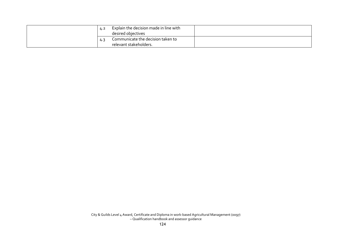| 4.2 | Explain the decision made in line with<br>desired objectives |  |
|-----|--------------------------------------------------------------|--|
|     | Communicate the decision taken to<br>relevant stakeholders.  |  |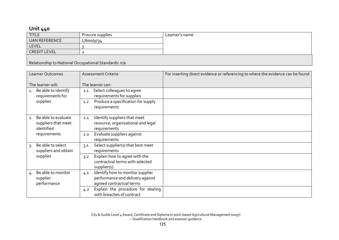| <b>TITLE</b>                                         | Procure supplies | Learner's name |
|------------------------------------------------------|------------------|----------------|
| UAN REFERENCE                                        | L/600/9734       |                |
| <b>LEVEL</b>                                         |                  |                |
| <b>CREDIT LEVEL</b>                                  |                  |                |
| Relationship to National Occupational Standards: n/a |                  |                |

| Learner Outcomes                                               | <b>Assessment Criteria</b>                                                                              | For inserting direct evidence or referencing to where the evidence can be found |
|----------------------------------------------------------------|---------------------------------------------------------------------------------------------------------|---------------------------------------------------------------------------------|
| The learner will:<br>The learner can:                          |                                                                                                         |                                                                                 |
| Be able to identify<br>1.<br>requirements for                  | Select colleagues to agree<br>1.1<br>requirements for supplies                                          |                                                                                 |
| supplies                                                       | Produce a specification for supply<br>1.2<br>requirements                                               |                                                                                 |
| Be able to evaluate<br>2.<br>suppliers that meet<br>identified | Identify suppliers that meet<br>2.1<br>resource, organisational and legal<br>requirements               |                                                                                 |
| requirements                                                   | Evaluate suppliers against<br>2.2<br>requirements                                                       |                                                                                 |
| Be able to select<br>3.<br>suppliers and obtain                | Select supplier(s) that best meet<br>3.1<br>requirements                                                |                                                                                 |
| supplies                                                       | Explain how to agree with the<br>3.2<br>contractual terms with selected<br>supplier(s).                 |                                                                                 |
| Be able to monitor<br>4.<br>supplier<br>performance            | Identify how to monitor supplier<br>4.1<br>performance and delivery against<br>agreed contractual terms |                                                                                 |
|                                                                | Explain the procedure for dealing<br>4.2<br>with breaches of contract                                   |                                                                                 |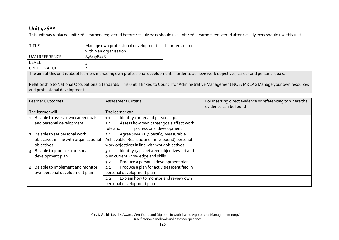#### **Unit 526\*\***

This unit has replaced unit 426. Learners registered before 1st July 2017 should use unit 426. Learners registered after 1st July 2017 should use this unit

| <b>TITLE</b>                                                                                                                                 | Manage own professional development | Learner's name |
|----------------------------------------------------------------------------------------------------------------------------------------------|-------------------------------------|----------------|
|                                                                                                                                              | within an organisation              |                |
| UAN REFERENCE                                                                                                                                | A/615/8558                          |                |
| LEVEL                                                                                                                                        |                                     |                |
| <b>CREDIT VALUE</b>                                                                                                                          |                                     |                |
| The aim of this unit is about learners managing own professional development in order to achieve work objectives, career and personal goals. |                                     |                |

Relationship to National Occupational Standards: This unit is linked to Council for Administrative Management NOS: M&LA2 Manage your own resources and professional development

| <b>Learner Outcomes</b>                | Assessment Criteria                                | For inserting direct evidence or referencing to where the<br>evidence can be found |
|----------------------------------------|----------------------------------------------------|------------------------------------------------------------------------------------|
| The learner will:                      | The learner can:                                   |                                                                                    |
| 1. Be able to assess own career goals  | Identify career and personal goals<br>1.1          |                                                                                    |
| and personal development               | Assess how own career goals affect work<br>1.2     |                                                                                    |
|                                        | professional development<br>role and               |                                                                                    |
| 2. Be able to set personal work        | Agree SMART (Specific, Measurable,<br>2.1          |                                                                                    |
| objectives in line with organisational | Achievable, Realistic and Time-bound) personal     |                                                                                    |
| objectives                             | work objectives in line with work objectives       |                                                                                    |
| 3. Be able to produce a personal       | Identify gaps between objectives set and<br>3.1    |                                                                                    |
| development plan                       | own current knowledge and skills                   |                                                                                    |
|                                        | Produce a personal development plan<br>3.2         |                                                                                    |
| 4. Be able to implement and monitor    | Produce a plan for activities identified in<br>4.1 |                                                                                    |
| own personal development plan          | personal development plan                          |                                                                                    |
|                                        | Explain how to monitor and review own<br>4.2       |                                                                                    |
|                                        | personal development plan                          |                                                                                    |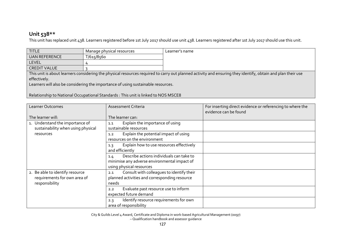### **Unit 538\*\***

This unit has replaced unit 438. Learners registered before 1st July 2017 should use unit 438. Learners registered after 1st July 2017 should use this unit.

| <b>TITLE</b>                                                                                                                                                | Manage physical resources | Learner's name |  |  |
|-------------------------------------------------------------------------------------------------------------------------------------------------------------|---------------------------|----------------|--|--|
| <b>UAN REFERENCE</b>                                                                                                                                        | T/615/8560                |                |  |  |
| <b>LEVEL</b>                                                                                                                                                |                           |                |  |  |
| <b>CREDIT VALUE</b>                                                                                                                                         |                           |                |  |  |
| This unit is about learners considering the physical resources required to carry out planned activity and ensuring they identify, obtain and plan their use |                           |                |  |  |
| effectively.                                                                                                                                                |                           |                |  |  |
| Learners will also be considering the importance of using sustainable resources.                                                                            |                           |                |  |  |
|                                                                                                                                                             |                           |                |  |  |
| Relationship to National Occupational Standards : This unit is linked to NOS MSCE8                                                                          |                           |                |  |  |

| Learner Outcomes                                                                  | <b>Assessment Criteria</b>                                                                                                  | For inserting direct evidence or referencing to where the<br>evidence can be found |
|-----------------------------------------------------------------------------------|-----------------------------------------------------------------------------------------------------------------------------|------------------------------------------------------------------------------------|
| The learner will:                                                                 | The learner can:                                                                                                            |                                                                                    |
| 1. Understand the importance of<br>sustainability when using physical             | Explain the importance of using<br>1.1<br>sustainable resources                                                             |                                                                                    |
| resources                                                                         | Explain the potential impact of using<br>1.2<br>resources on the environment                                                |                                                                                    |
|                                                                                   | Explain how to use resources effectively<br>1.3<br>and efficiently                                                          |                                                                                    |
|                                                                                   | Describe actions individuals can take to<br>1.4<br>minimise any adverse environmental impact of<br>using physical resources |                                                                                    |
| 2. Be able to identify resource<br>requirements for own area of<br>responsibility | Consult with colleagues to identify their<br>2.1<br>planned activities and corresponding resource<br>needs                  |                                                                                    |
|                                                                                   | Evaluate past resource use to inform<br>2.2<br>expected future demand                                                       |                                                                                    |
|                                                                                   | Identify resource requirements for own<br>2.3<br>area of responsibility                                                     |                                                                                    |

City & Guilds Level 4 Award, Certificate and Diploma in work-based Agricultural Management (0097)

– Qualification handbook and assessor guidance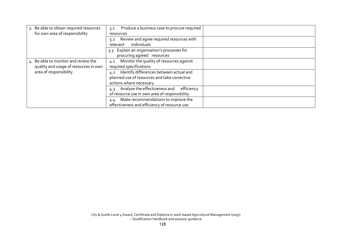| 3. Be able to obtain required resources<br>for own area of responsibility     | Produce a business case to procure required<br>3.1<br>resources                                                           |  |
|-------------------------------------------------------------------------------|---------------------------------------------------------------------------------------------------------------------------|--|
|                                                                               | Review and agree required resources with<br>3.2<br>individuals<br>relevant                                                |  |
|                                                                               | 3.3 Explain an organisation's processes for<br>procuring agreed resources                                                 |  |
| 4. Be able to monitor and review the<br>quality and usage of resources in own | Monitor the quality of resources against<br>4.1<br>required specifications                                                |  |
| area of responsibility                                                        | Identify differences between actual and<br>4.2<br>planned use of resources and take corrective<br>actions where necessary |  |
|                                                                               | Analyse the effectiveness and<br>efficiency<br>4.3<br>of resource use in own area of responsibility                       |  |
|                                                                               | Make recommendations to improve the<br>4.4<br>effectiveness and efficiency of resource use.                               |  |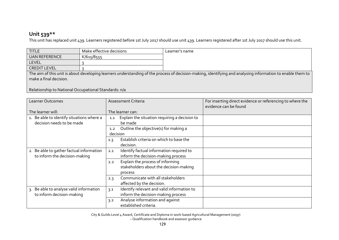### **Unit 539\*\***

This unit has replaced unit 439. Learners registered before 1st July 2017 should use unit 439. Learners registered after 1st July 2017 should use this unit.

| <b>TITLE</b>                                                                                                                                                                                                                       | Make effective decisions |                                                 | Learner's name                         |                                                           |                       |
|------------------------------------------------------------------------------------------------------------------------------------------------------------------------------------------------------------------------------------|--------------------------|-------------------------------------------------|----------------------------------------|-----------------------------------------------------------|-----------------------|
| <b>UAN REFERENCE</b>                                                                                                                                                                                                               | K/615/8555               |                                                 |                                        |                                                           |                       |
| LEVEL                                                                                                                                                                                                                              |                          |                                                 |                                        |                                                           |                       |
| <b>CREDIT LEVEL</b>                                                                                                                                                                                                                |                          |                                                 |                                        |                                                           |                       |
| The aim of this unit is about developing learners understanding of the process of decision-making, identifying and analysing information to enable them to                                                                         |                          |                                                 |                                        |                                                           |                       |
| make a final decision.                                                                                                                                                                                                             |                          |                                                 |                                        |                                                           |                       |
|                                                                                                                                                                                                                                    |                          |                                                 |                                        |                                                           |                       |
| Relationship to National Occupational Standards: n/a                                                                                                                                                                               |                          |                                                 |                                        |                                                           |                       |
|                                                                                                                                                                                                                                    |                          |                                                 |                                        |                                                           |                       |
| <b>Learner Outcomes</b>                                                                                                                                                                                                            | Assessment Criteria      |                                                 |                                        | For inserting direct evidence or referencing to where the |                       |
|                                                                                                                                                                                                                                    |                          |                                                 |                                        |                                                           | evidence can be found |
| The learner will:                                                                                                                                                                                                                  |                          | The learner can:                                |                                        |                                                           |                       |
| 1. Be able to identify situations where a                                                                                                                                                                                          |                          | 1.1                                             |                                        | Explain the situation requiring a decision to             |                       |
| decision needs to be made                                                                                                                                                                                                          |                          | be made                                         |                                        |                                                           |                       |
|                                                                                                                                                                                                                                    |                          | Outline the objective(s) for making a<br>1.2    |                                        |                                                           |                       |
|                                                                                                                                                                                                                                    |                          | decision                                        |                                        |                                                           |                       |
|                                                                                                                                                                                                                                    |                          | Establish criteria on which to base the<br>1.3  |                                        |                                                           |                       |
|                                                                                                                                                                                                                                    |                          |                                                 | decision.                              |                                                           |                       |
| 2. Be able to gather factual information                                                                                                                                                                                           |                          | Identify factual information required to<br>2.1 |                                        |                                                           |                       |
| to inform the decision-making                                                                                                                                                                                                      |                          |                                                 | inform the decision-making process     |                                                           |                       |
|                                                                                                                                                                                                                                    |                          | 2.2                                             | Explain the process of informing       |                                                           |                       |
|                                                                                                                                                                                                                                    |                          |                                                 | stakeholders about the decision-making |                                                           |                       |
|                                                                                                                                                                                                                                    |                          |                                                 | process                                |                                                           |                       |
|                                                                                                                                                                                                                                    |                          | 2.3                                             | Communicate with all stakeholders      |                                                           |                       |
|                                                                                                                                                                                                                                    |                          |                                                 | affected by the decision.              |                                                           |                       |
| 3. Be able to analyse valid information<br>Identify relevant and valid information to<br>3.1<br>to inform decision-making<br>inform the decision-making process<br>Analyse information and against<br>3.2<br>established criteria. |                          |                                                 |                                        |                                                           |                       |
|                                                                                                                                                                                                                                    |                          |                                                 |                                        |                                                           |                       |
|                                                                                                                                                                                                                                    |                          |                                                 |                                        |                                                           |                       |
|                                                                                                                                                                                                                                    |                          |                                                 |                                        |                                                           |                       |

City & Guilds Level 4 Award, Certificate and Diploma in work-based Agricultural Management (0097)

– Qualification handbook and assessor guidance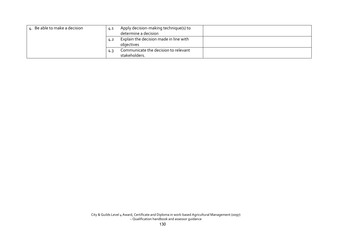| 4. Be able to make a decision | 4.1 | Apply decision-making technique(s) to<br>determine a decision |  |
|-------------------------------|-----|---------------------------------------------------------------|--|
|                               |     | Explain the decision made in line with<br>objectives          |  |
|                               |     | Communicate the decision to relevant<br>stakeholders.         |  |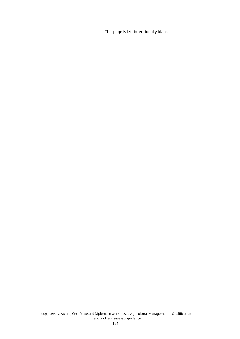This page is left intentionally blank